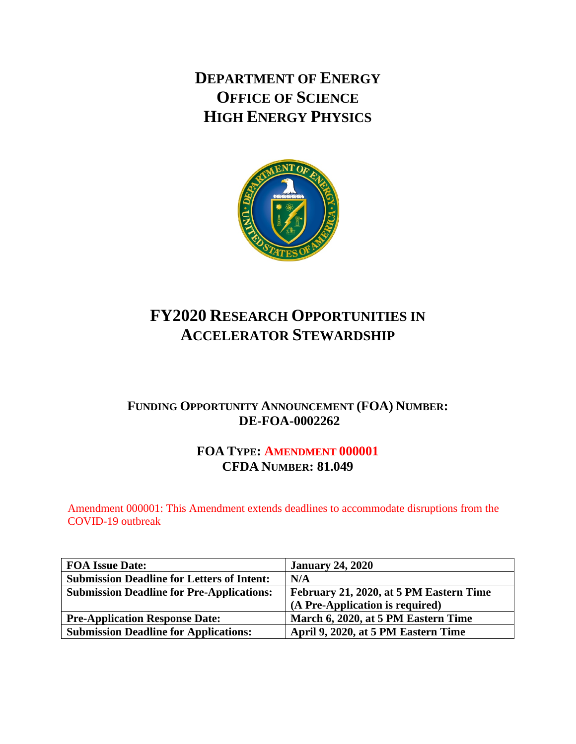**DEPARTMENT OF ENERGY OFFICE OF SCIENCE HIGH ENERGY PHYSICS**



# **FY2020 RESEARCH OPPORTUNITIES IN ACCELERATOR STEWARDSHIP**

# **FUNDING OPPORTUNITY ANNOUNCEMENT (FOA) NUMBER: DE-FOA-0002262**

# **FOA TYPE: AMENDMENT 000001 CFDA NUMBER: 81.049**

Amendment 000001: This Amendment extends deadlines to accommodate disruptions from the COVID-19 outbreak

| <b>FOA Issue Date:</b>                            | <b>January 24, 2020</b>                 |
|---------------------------------------------------|-----------------------------------------|
| <b>Submission Deadline for Letters of Intent:</b> | N/A                                     |
| <b>Submission Deadline for Pre-Applications:</b>  | February 21, 2020, at 5 PM Eastern Time |
|                                                   | (A Pre-Application is required)         |
| <b>Pre-Application Response Date:</b>             | March 6, 2020, at 5 PM Eastern Time     |
| <b>Submission Deadline for Applications:</b>      | April 9, 2020, at 5 PM Eastern Time     |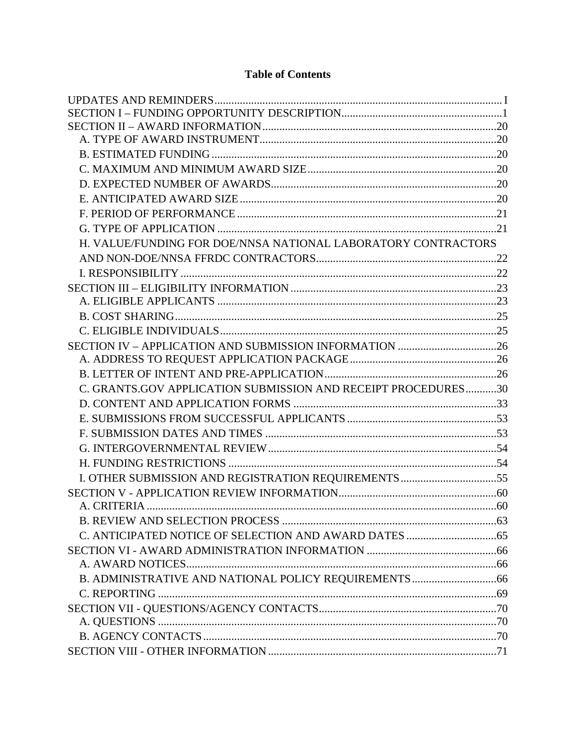# **Table of Contents**

| H. VALUE/FUNDING FOR DOE/NNSA NATIONAL LABORATORY CONTRACTORS |  |
|---------------------------------------------------------------|--|
|                                                               |  |
|                                                               |  |
|                                                               |  |
|                                                               |  |
|                                                               |  |
|                                                               |  |
|                                                               |  |
|                                                               |  |
|                                                               |  |
| C. GRANTS.GOV APPLICATION SUBMISSION AND RECEIPT PROCEDURES30 |  |
|                                                               |  |
|                                                               |  |
|                                                               |  |
|                                                               |  |
|                                                               |  |
|                                                               |  |
|                                                               |  |
|                                                               |  |
|                                                               |  |
|                                                               |  |
|                                                               |  |
|                                                               |  |
|                                                               |  |
|                                                               |  |
|                                                               |  |
|                                                               |  |
|                                                               |  |
|                                                               |  |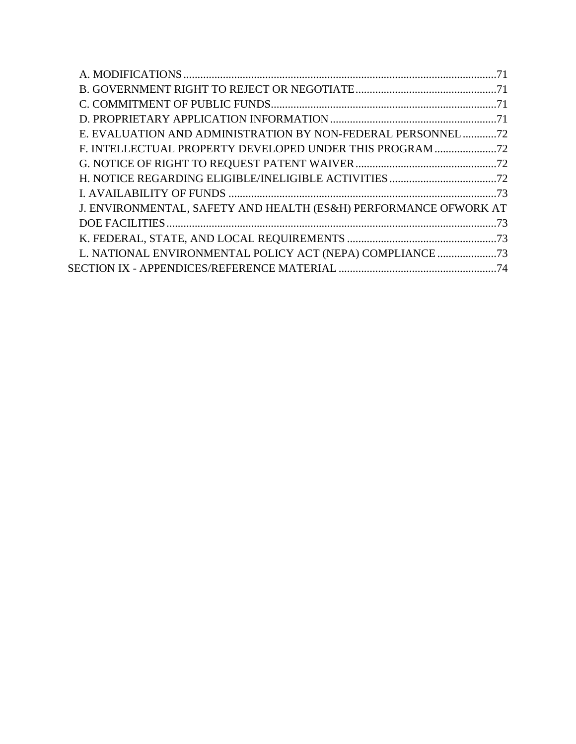| E. EVALUATION AND ADMINISTRATION BY NON-FEDERAL PERSONNEL 72     |  |
|------------------------------------------------------------------|--|
| F. INTELLECTUAL PROPERTY DEVELOPED UNDER THIS PROGRAM            |  |
|                                                                  |  |
|                                                                  |  |
|                                                                  |  |
| J. ENVIRONMENTAL, SAFETY AND HEALTH (ES&H) PERFORMANCE OFWORK AT |  |
|                                                                  |  |
|                                                                  |  |
|                                                                  |  |
|                                                                  |  |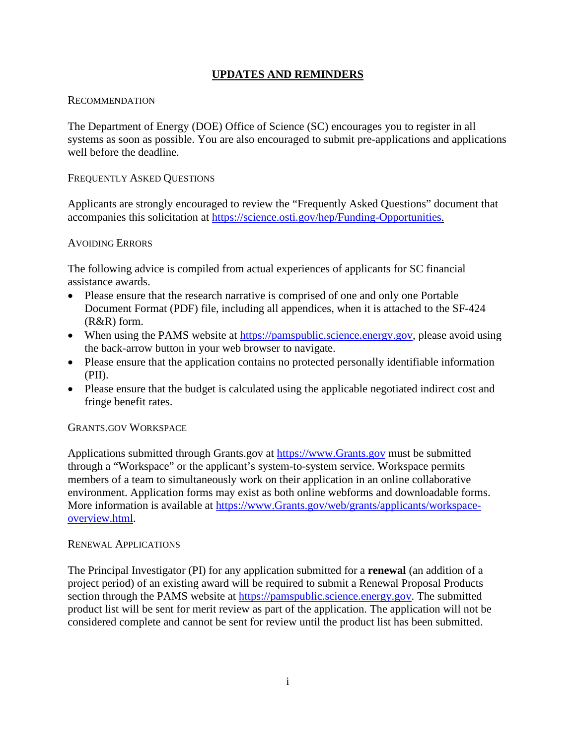# **UPDATES AND REMINDERS**

### <span id="page-3-0"></span>RECOMMENDATION

The Department of Energy (DOE) Office of Science (SC) encourages you to register in all systems as soon as possible. You are also encouraged to submit pre-applications and applications well before the deadline.

### FREQUENTLY ASKED QUESTIONS

Applicants are strongly encouraged to review the "Frequently Asked Questions" document that accompanies this solicitation at [https://science.osti.gov/hep/Funding-Opportunities.](https://science.osti.gov/hep/Funding-Opportunities)

### AVOIDING ERRORS

The following advice is compiled from actual experiences of applicants for SC financial assistance awards.

- Please ensure that the research narrative is comprised of one and only one Portable Document Format (PDF) file, including all appendices, when it is attached to the SF-424 (R&R) form.
- When using the PAMS website at [https://pamspublic.science.energy.gov,](https://pamspublic.science.energy.gov/) please avoid using the back-arrow button in your web browser to navigate.
- Please ensure that the application contains no protected personally identifiable information (PII).
- Please ensure that the budget is calculated using the applicable negotiated indirect cost and fringe benefit rates.

### GRANTS.GOV WORKSPACE

Applications submitted through Grants.gov at [https://www.Grants.gov](https://www.grants.gov/) must be submitted through a "Workspace" or the applicant's system-to-system service. Workspace permits members of a team to simultaneously work on their application in an online collaborative environment. Application forms may exist as both online webforms and downloadable forms. More information is available at [https://www.Grants.gov/web/grants/applicants/workspace](https://www.grants.gov/web/grants/applicants/workspace-overview.html)[overview.html.](https://www.grants.gov/web/grants/applicants/workspace-overview.html)

#### RENEWAL APPLICATIONS

The Principal Investigator (PI) for any application submitted for a **renewal** (an addition of a project period) of an existing award will be required to submit a Renewal Proposal Products section through the PAMS website at [https://pamspublic.science.energy.gov.](https://www.grants.gov/) The submitted product list will be sent for merit review as part of the application. The application will not be considered complete and cannot be sent for review until the product list has been submitted.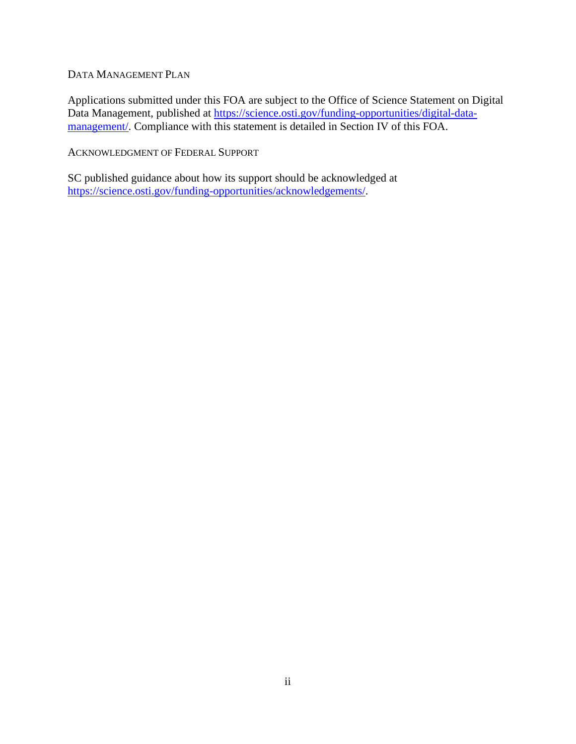### DATA MANAGEMENT PLAN

Applications submitted under this FOA are subject to the Office of Science Statement on Digital Data Management, published at [https://science.osti.gov/funding-opportunities/digital-data](https://science.osti.gov/funding-opportunities/digital-data-management/)[management/.](https://science.osti.gov/funding-opportunities/digital-data-management/) Compliance with this statement is detailed in Section IV of this FOA.

ACKNOWLEDGMENT OF FEDERAL SUPPORT

SC published guidance about how its support should be acknowledged at [https://science.osti.gov/funding-opportunities/acknowledgements/.](https://science.osti.gov/funding-opportunities/acknowledgements/)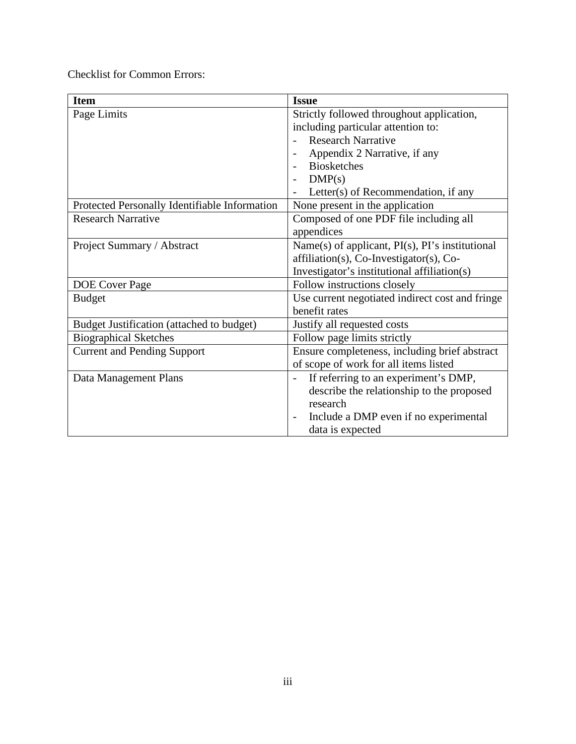Checklist for Common Errors:

| <b>Item</b>                                   | <b>Issue</b>                                             |
|-----------------------------------------------|----------------------------------------------------------|
| Page Limits                                   | Strictly followed throughout application,                |
|                                               | including particular attention to:                       |
|                                               | <b>Research Narrative</b>                                |
|                                               | Appendix 2 Narrative, if any                             |
|                                               | <b>Biosketches</b>                                       |
|                                               | DMP(s)                                                   |
|                                               | Letter(s) of Recommendation, if any                      |
| Protected Personally Identifiable Information | None present in the application                          |
| <b>Research Narrative</b>                     | Composed of one PDF file including all                   |
|                                               | appendices                                               |
| Project Summary / Abstract                    | Name(s) of applicant, $PI(s)$ , $PI's$ institutional     |
|                                               | affiliation(s), Co-Investigator(s), Co-                  |
|                                               | Investigator's institutional affiliation(s)              |
| <b>DOE</b> Cover Page                         | Follow instructions closely                              |
| <b>Budget</b>                                 | Use current negotiated indirect cost and fringe          |
|                                               | benefit rates                                            |
| Budget Justification (attached to budget)     | Justify all requested costs                              |
| <b>Biographical Sketches</b>                  | Follow page limits strictly                              |
| <b>Current and Pending Support</b>            | Ensure completeness, including brief abstract            |
|                                               | of scope of work for all items listed                    |
| Data Management Plans                         | If referring to an experiment's DMP,<br>$\overline{a}$   |
|                                               | describe the relationship to the proposed                |
|                                               | research                                                 |
|                                               | Include a DMP even if no experimental<br>$\qquad \qquad$ |
|                                               | data is expected                                         |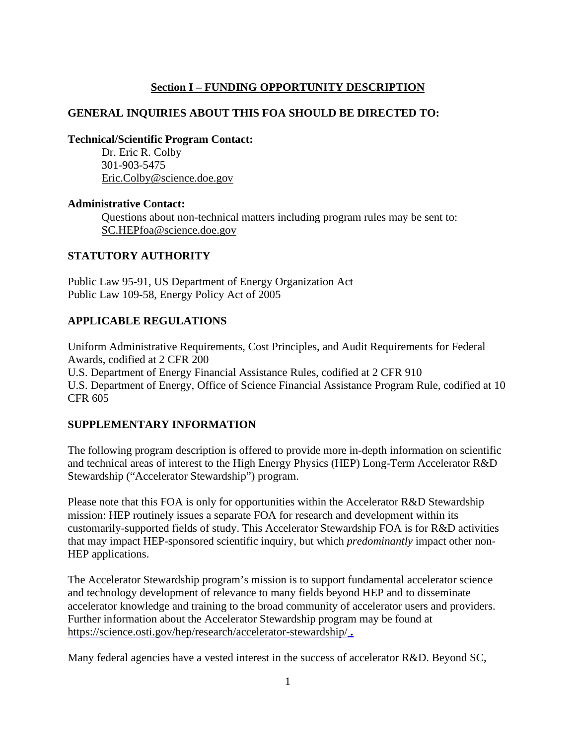# **Section I – FUNDING OPPORTUNITY DESCRIPTION**

### <span id="page-6-0"></span>**GENERAL INQUIRIES ABOUT THIS FOA SHOULD BE DIRECTED TO:**

**Technical/Scientific Program Contact:**

Dr. Eric R. Colby 301-903-5475 [Eric.Colby@science.doe.gov](mailto:Eric.Colby@science.doe.gov)

#### **Administrative Contact:**

Questions about non-technical matters including program rules may be sent to: [SC.HEPfoa@science.doe.gov](mailto:SC.HEPfoa@science.doe.gov)

### **STATUTORY AUTHORITY**

Public Law 95-91, US Department of Energy Organization Act Public Law 109-58, Energy Policy Act of 2005

# **APPLICABLE REGULATIONS**

Uniform Administrative Requirements, Cost Principles, and Audit Requirements for Federal Awards, codified at 2 CFR 200 U.S. Department of Energy Financial Assistance Rules, codified at 2 CFR 910 U.S. Department of Energy, Office of Science Financial Assistance Program Rule, codified at 10 CFR 605

### **SUPPLEMENTARY INFORMATION**

The following program description is offered to provide more in-depth information on scientific and technical areas of interest to the High Energy Physics (HEP) Long-Term Accelerator R&D Stewardship ("Accelerator Stewardship") program.

Please note that this FOA is only for opportunities within the Accelerator R&D Stewardship mission: HEP routinely issues a separate FOA for research and development within its customarily-supported fields of study. This Accelerator Stewardship FOA is for R&D activities that may impact HEP-sponsored scientific inquiry, but which *predominantly* impact other non-HEP applications.

The Accelerator Stewardship program's mission is to support fundamental accelerator science and technology development of relevance to many fields beyond HEP and to disseminate accelerator knowledge and training to the broad community of accelerator users and providers. Further information about the Accelerator Stewardship program may be found at <https://science.osti.gov/hep/research/accelerator-stewardship/> **.**

Many federal agencies have a vested interest in the success of accelerator R&D. Beyond SC,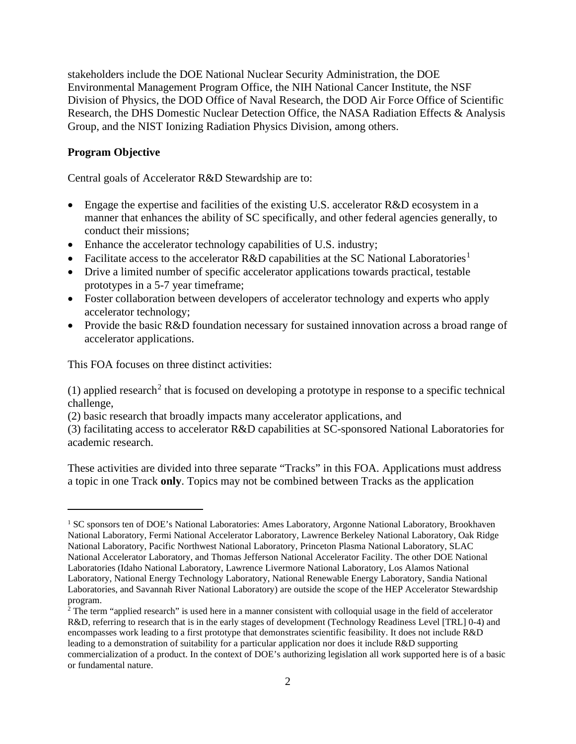stakeholders include the DOE National Nuclear Security Administration, the DOE Environmental Management Program Office, the NIH National Cancer Institute, the NSF Division of Physics, the DOD Office of Naval Research, the DOD Air Force Office of Scientific Research, the DHS Domestic Nuclear Detection Office, the NASA Radiation Effects & Analysis Group, and the NIST Ionizing Radiation Physics Division, among others.

#### **Program Objective**

Central goals of Accelerator R&D Stewardship are to:

- Engage the expertise and facilities of the existing U.S. accelerator R&D ecosystem in a manner that enhances the ability of SC specifically, and other federal agencies generally, to conduct their missions;
- Enhance the accelerator technology capabilities of U.S. industry;
- Facilitate access to the accelerator R&D capabilities at the SC National Laboratories<sup>[1](#page-7-0)</sup>
- Drive a limited number of specific accelerator applications towards practical, testable prototypes in a 5-7 year timeframe;
- Foster collaboration between developers of accelerator technology and experts who apply accelerator technology;
- Provide the basic R&D foundation necessary for sustained innovation across a broad range of accelerator applications.

This FOA focuses on three distinct activities:

(1) applied research<sup>[2](#page-7-1)</sup> that is focused on developing a prototype in response to a specific technical challenge,

(2) basic research that broadly impacts many accelerator applications, and

(3) facilitating access to accelerator R&D capabilities at SC-sponsored National Laboratories for academic research.

These activities are divided into three separate "Tracks" in this FOA. Applications must address a topic in one Track **only**. Topics may not be combined between Tracks as the application

<span id="page-7-0"></span><sup>&</sup>lt;sup>1</sup> SC sponsors ten of DOE's National Laboratories: Ames Laboratory, Argonne National Laboratory, Brookhaven National Laboratory, Fermi National Accelerator Laboratory, Lawrence Berkeley National Laboratory, Oak Ridge National Laboratory, Pacific Northwest National Laboratory, Princeton Plasma National Laboratory, SLAC National Accelerator Laboratory, and Thomas Jefferson National Accelerator Facility. The other DOE National Laboratories (Idaho National Laboratory, Lawrence Livermore National Laboratory, Los Alamos National Laboratory, National Energy Technology Laboratory, National Renewable Energy Laboratory, Sandia National Laboratories, and Savannah River National Laboratory) are outside the scope of the HEP Accelerator Stewardship program.

<span id="page-7-1"></span> $2^{\circ}$  The term "applied research" is used here in a manner consistent with colloquial usage in the field of accelerator R&D, referring to research that is in the early stages of development (Technology Readiness Level [TRL] 0-4) and encompasses work leading to a first prototype that demonstrates scientific feasibility. It does not include R&D leading to a demonstration of suitability for a particular application nor does it include R&D supporting commercialization of a product. In the context of DOE's authorizing legislation all work supported here is of a basic or fundamental nature.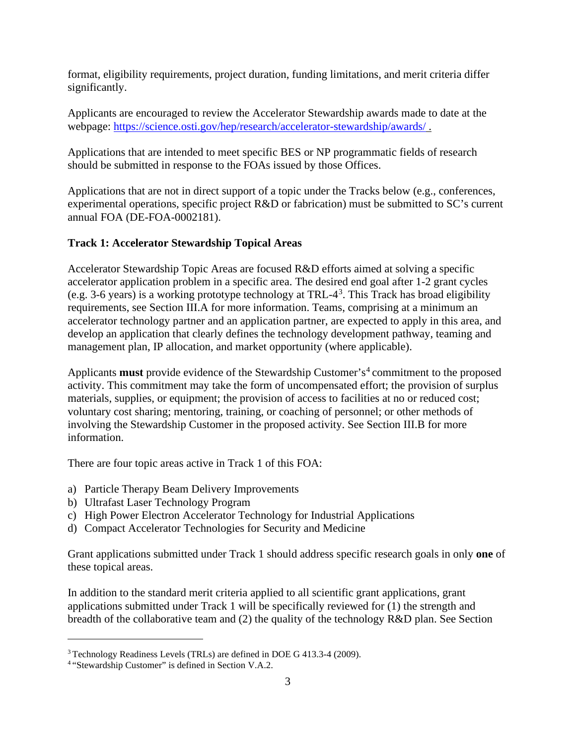format, eligibility requirements, project duration, funding limitations, and merit criteria differ significantly.

Applicants are encouraged to review the Accelerator Stewardship awards made to date at the webpage: <https://science.osti.gov/hep/research/accelerator-stewardship/awards/> .

Applications that are intended to meet specific BES or NP programmatic fields of research should be submitted in response to the FOAs issued by those Offices.

Applications that are not in direct support of a topic under the Tracks below (e.g., conferences, experimental operations, specific project R&D or fabrication) must be submitted to SC's current annual FOA (DE-FOA-0002181).

# **Track 1: Accelerator Stewardship Topical Areas**

Accelerator Stewardship Topic Areas are focused R&D efforts aimed at solving a specific accelerator application problem in a specific area. The desired end goal after 1-2 grant cycles (e.g. [3](#page-8-0)-6 years) is a working prototype technology at TRL- $4^3$ . This Track has broad eligibility requirements, see Section III.A for more information. Teams, comprising at a minimum an accelerator technology partner and an application partner, are expected to apply in this area, and develop an application that clearly defines the technology development pathway, teaming and management plan, IP allocation, and market opportunity (where applicable).

Applicants **must** provide evidence of the Stewardship Customer's<sup>[4](#page-8-1)</sup> commitment to the proposed activity. This commitment may take the form of uncompensated effort; the provision of surplus materials, supplies, or equipment; the provision of access to facilities at no or reduced cost; voluntary cost sharing; mentoring, training, or coaching of personnel; or other methods of involving the Stewardship Customer in the proposed activity. See Section III.B for more information.

There are four topic areas active in Track 1 of this FOA:

- a) Particle Therapy Beam Delivery Improvements
- b) Ultrafast Laser Technology Program
- c) High Power Electron Accelerator Technology for Industrial Applications
- d) Compact Accelerator Technologies for Security and Medicine

Grant applications submitted under Track 1 should address specific research goals in only **one** of these topical areas.

In addition to the standard merit criteria applied to all scientific grant applications, grant applications submitted under Track 1 will be specifically reviewed for (1) the strength and breadth of the collaborative team and (2) the quality of the technology R&D plan. See Section

<span id="page-8-0"></span><sup>3</sup> Technology Readiness Levels (TRLs) are defined in DOE G 413.3-4 (2009).

<span id="page-8-1"></span><sup>4</sup> "Stewardship Customer" is defined in Section V.A.2.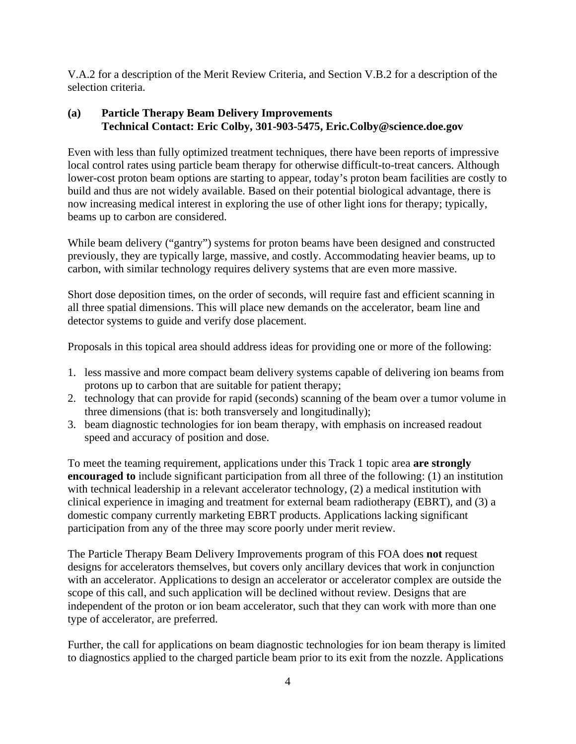V.A.2 for a description of the Merit Review Criteria, and Section V.B.2 for a description of the selection criteria.

# **(a) Particle Therapy Beam Delivery Improvements Technical Contact: Eric Colby, 301-903-5475, Eric.Colby@science.doe.gov**

Even with less than fully optimized treatment techniques, there have been reports of impressive local control rates using particle beam therapy for otherwise difficult-to-treat cancers. Although lower-cost proton beam options are starting to appear, today's proton beam facilities are costly to build and thus are not widely available. Based on their potential biological advantage, there is now increasing medical interest in exploring the use of other light ions for therapy; typically, beams up to carbon are considered.

While beam delivery ("gantry") systems for proton beams have been designed and constructed previously, they are typically large, massive, and costly. Accommodating heavier beams, up to carbon, with similar technology requires delivery systems that are even more massive.

Short dose deposition times, on the order of seconds, will require fast and efficient scanning in all three spatial dimensions. This will place new demands on the accelerator, beam line and detector systems to guide and verify dose placement.

Proposals in this topical area should address ideas for providing one or more of the following:

- 1. less massive and more compact beam delivery systems capable of delivering ion beams from protons up to carbon that are suitable for patient therapy;
- 2. technology that can provide for rapid (seconds) scanning of the beam over a tumor volume in three dimensions (that is: both transversely and longitudinally);
- 3. beam diagnostic technologies for ion beam therapy, with emphasis on increased readout speed and accuracy of position and dose.

To meet the teaming requirement, applications under this Track 1 topic area **are strongly encouraged to** include significant participation from all three of the following: (1) an institution with technical leadership in a relevant accelerator technology, (2) a medical institution with clinical experience in imaging and treatment for external beam radiotherapy (EBRT), and (3) a domestic company currently marketing EBRT products. Applications lacking significant participation from any of the three may score poorly under merit review.

The Particle Therapy Beam Delivery Improvements program of this FOA does **not** request designs for accelerators themselves, but covers only ancillary devices that work in conjunction with an accelerator. Applications to design an accelerator or accelerator complex are outside the scope of this call, and such application will be declined without review. Designs that are independent of the proton or ion beam accelerator, such that they can work with more than one type of accelerator, are preferred.

Further, the call for applications on beam diagnostic technologies for ion beam therapy is limited to diagnostics applied to the charged particle beam prior to its exit from the nozzle. Applications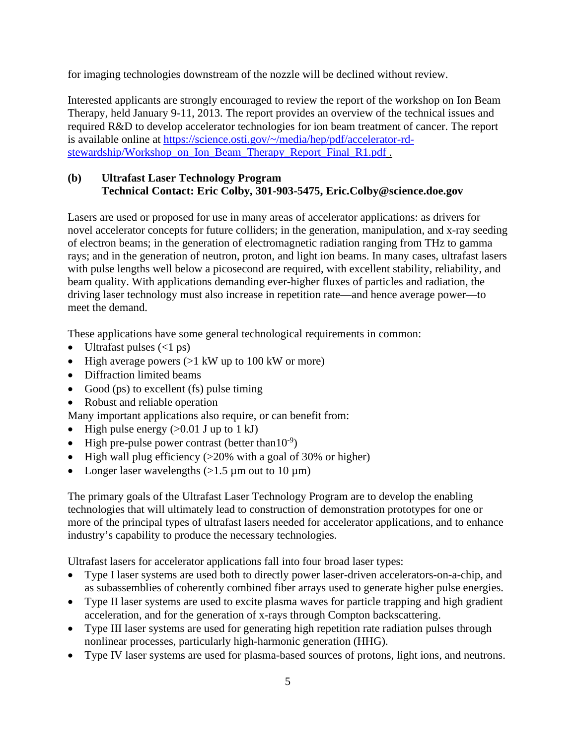for imaging technologies downstream of the nozzle will be declined without review.

Interested applicants are strongly encouraged to review the report of the workshop on Ion Beam Therapy, held January 9-11, 2013. The report provides an overview of the technical issues and required R&D to develop accelerator technologies for ion beam treatment of cancer. The report is available online at [https://science.osti.gov/~/media/hep/pdf/accelerator-rd](https://science.osti.gov/%7E/media/hep/pdf/accelerator-rd-stewardship/Workshop_on_Ion_Beam_Therapy_Report_Final_R1.pdf)[stewardship/Workshop\\_on\\_Ion\\_Beam\\_Therapy\\_Report\\_Final\\_R1.pdf](https://science.osti.gov/%7E/media/hep/pdf/accelerator-rd-stewardship/Workshop_on_Ion_Beam_Therapy_Report_Final_R1.pdf) .

### **(b) Ultrafast Laser Technology Program Technical Contact: Eric Colby, 301-903-5475, Eric.Colby@science.doe.gov**

Lasers are used or proposed for use in many areas of accelerator applications: as drivers for novel accelerator concepts for future colliders; in the generation, manipulation, and x-ray seeding of electron beams; in the generation of electromagnetic radiation ranging from THz to gamma rays; and in the generation of neutron, proton, and light ion beams. In many cases, ultrafast lasers with pulse lengths well below a picosecond are required, with excellent stability, reliability, and beam quality. With applications demanding ever-higher fluxes of particles and radiation, the driving laser technology must also increase in repetition rate—and hence average power—to meet the demand.

These applications have some general technological requirements in common:

- Ultrafast pulses  $(<1$  ps)
- High average powers  $(>1 \text{ kW up to } 100 \text{ kW or more})$
- Diffraction limited beams
- Good (ps) to excellent (fs) pulse timing
- Robust and reliable operation

Many important applications also require, or can benefit from:

- High pulse energy  $(>0.01$  J up to 1 kJ)
- High pre-pulse power contrast (better than  $10^{-9}$ )
- High wall plug efficiency  $(>20\%$  with a goal of 30% or higher)
- Longer laser wavelengths  $(>1.5 \mu m)$  out to 10  $\mu$ m)

The primary goals of the Ultrafast Laser Technology Program are to develop the enabling technologies that will ultimately lead to construction of demonstration prototypes for one or more of the principal types of ultrafast lasers needed for accelerator applications, and to enhance industry's capability to produce the necessary technologies.

Ultrafast lasers for accelerator applications fall into four broad laser types:

- Type I laser systems are used both to directly power laser-driven accelerators-on-a-chip, and as subassemblies of coherently combined fiber arrays used to generate higher pulse energies.
- Type II laser systems are used to excite plasma waves for particle trapping and high gradient acceleration, and for the generation of x-rays through Compton backscattering.
- Type III laser systems are used for generating high repetition rate radiation pulses through nonlinear processes, particularly high-harmonic generation (HHG).
- Type IV laser systems are used for plasma-based sources of protons, light ions, and neutrons.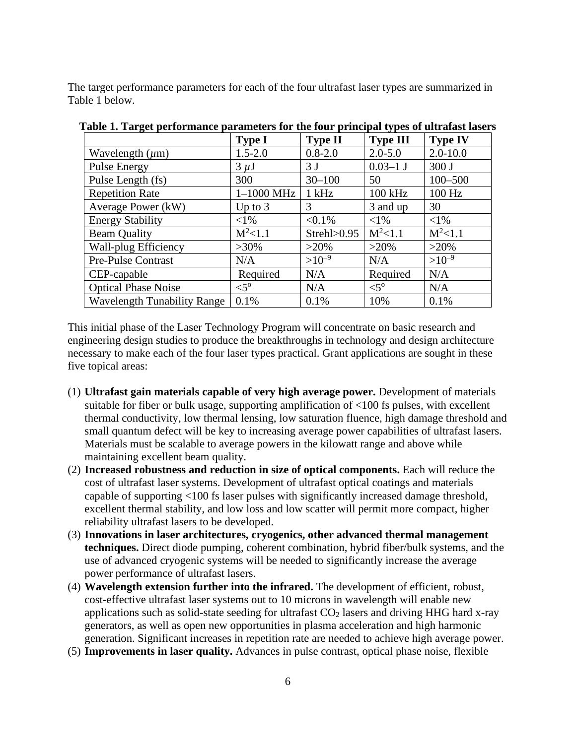The target performance parameters for each of the four ultrafast laser types are summarized in Table 1 below.

|                                    | <b>Type I</b>    | <b>Type II</b> | <b>Type III</b>  | <b>Type IV</b> |
|------------------------------------|------------------|----------------|------------------|----------------|
| Wavelength $(\mu m)$               | $1.5 - 2.0$      | $0.8 - 2.0$    | $2.0 - 5.0$      | $2.0 - 10.0$   |
| <b>Pulse Energy</b>                | $3 \mu J$        | 3 <sub>J</sub> | $0.03 - 1$ J     | 300J           |
| Pulse Length (fs)                  | 300              | $30 - 100$     | 50               | $100 - 500$    |
| <b>Repetition Rate</b>             | $1-1000$ MHz     | $1$ kHz        | 100 kHz          | 100 Hz         |
| Average Power (kW)                 | Up to $3$        | 3              | 3 and up         | 30             |
| <b>Energy Stability</b>            | ${<}1\%$         | $< 0.1\%$      | ${<}1\%$         | ${<}1\%$       |
| <b>Beam Quality</b>                | $M^2<1.1$        | Streh1>0.95    | $M^2<1.1$        | $M^2<1.1$      |
| Wall-plug Efficiency               | $>30\%$          | $>20\%$        | $>20\%$          | $>20\%$        |
| Pre-Pulse Contrast                 | N/A              | $>10^{-9}$     | N/A              | $>10^{-9}$     |
| CEP-capable                        | Required         | N/A            | Required         | N/A            |
| <b>Optical Phase Noise</b>         | $\leq 5^{\circ}$ | N/A            | $\leq 5^{\circ}$ | N/A            |
| <b>Wavelength Tunability Range</b> | 0.1%             | 0.1%           | 10%              | 0.1%           |

**Table 1. Target performance parameters for the four principal types of ultrafast lasers**

This initial phase of the Laser Technology Program will concentrate on basic research and engineering design studies to produce the breakthroughs in technology and design architecture necessary to make each of the four laser types practical. Grant applications are sought in these five topical areas:

- (1) **Ultrafast gain materials capable of very high average power.** Development of materials suitable for fiber or bulk usage, supporting amplification of <100 fs pulses, with excellent thermal conductivity, low thermal lensing, low saturation fluence, high damage threshold and small quantum defect will be key to increasing average power capabilities of ultrafast lasers. Materials must be scalable to average powers in the kilowatt range and above while maintaining excellent beam quality.
- (2) **Increased robustness and reduction in size of optical components.** Each will reduce the cost of ultrafast laser systems. Development of ultrafast optical coatings and materials capable of supporting <100 fs laser pulses with significantly increased damage threshold, excellent thermal stability, and low loss and low scatter will permit more compact, higher reliability ultrafast lasers to be developed.
- (3) **Innovations in laser architectures, cryogenics, other advanced thermal management techniques.** Direct diode pumping, coherent combination, hybrid fiber/bulk systems, and the use of advanced cryogenic systems will be needed to significantly increase the average power performance of ultrafast lasers.
- (4) **Wavelength extension further into the infrared.** The development of efficient, robust, cost-effective ultrafast laser systems out to 10 microns in wavelength will enable new applications such as solid-state seeding for ultrafast  $CO<sub>2</sub>$  lasers and driving HHG hard x-ray generators, as well as open new opportunities in plasma acceleration and high harmonic generation. Significant increases in repetition rate are needed to achieve high average power.
- (5) **Improvements in laser quality.** Advances in pulse contrast, optical phase noise, flexible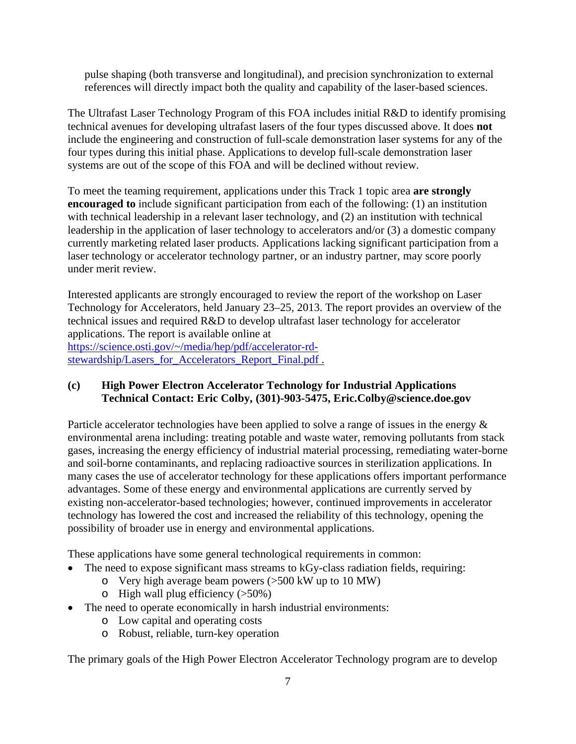pulse shaping (both transverse and longitudinal), and precision synchronization to external references will directly impact both the quality and capability of the laser-based sciences.

The Ultrafast Laser Technology Program of this FOA includes initial R&D to identify promising technical avenues for developing ultrafast lasers of the four types discussed above. It does **not** include the engineering and construction of full-scale demonstration laser systems for any of the four types during this initial phase. Applications to develop full-scale demonstration laser systems are out of the scope of this FOA and will be declined without review.

To meet the teaming requirement, applications under this Track 1 topic area **are strongly encouraged to** include significant participation from each of the following: (1) an institution with technical leadership in a relevant laser technology, and (2) an institution with technical leadership in the application of laser technology to accelerators and/or (3) a domestic company currently marketing related laser products. Applications lacking significant participation from a laser technology or accelerator technology partner, or an industry partner, may score poorly under merit review.

Interested applicants are strongly encouraged to review the report of the workshop on Laser Technology for Accelerators, held January 23–25, 2013. The report provides an overview of the technical issues and required R&D to develop ultrafast laser technology for accelerator applications. The report is available online at [https://science.osti.gov/~/media/hep/pdf/accelerator-rd](https://science.osti.gov/%7E/media/hep/pdf/accelerator-rd-stewardship/Lasers_for_Accelerators_Report_Final.pdf)[stewardship/Lasers\\_for\\_Accelerators\\_Report\\_Final.pdf](https://science.osti.gov/%7E/media/hep/pdf/accelerator-rd-stewardship/Lasers_for_Accelerators_Report_Final.pdf) .

### **(c) High Power Electron Accelerator Technology for Industrial Applications Technical Contact: Eric Colby, (301)-903-5475, Eric.Colby@science.doe.gov**

Particle accelerator technologies have been applied to solve a range of issues in the energy & environmental arena including: treating potable and waste water, removing pollutants from stack gases, increasing the energy efficiency of industrial material processing, remediating water-borne and soil-borne contaminants, and replacing radioactive sources in sterilization applications. In many cases the use of accelerator technology for these applications offers important performance advantages. Some of these energy and environmental applications are currently served by existing non-accelerator-based technologies; however, continued improvements in accelerator technology has lowered the cost and increased the reliability of this technology, opening the possibility of broader use in energy and environmental applications.

These applications have some general technological requirements in common:

- The need to expose significant mass streams to kGy-class radiation fields, requiring:
	- o Very high average beam powers (>500 kW up to 10 MW)
	- $\circ$  High wall plug efficiency ( $>50\%$ )
- The need to operate economically in harsh industrial environments:
	- o Low capital and operating costs
	- o Robust, reliable, turn-key operation

The primary goals of the High Power Electron Accelerator Technology program are to develop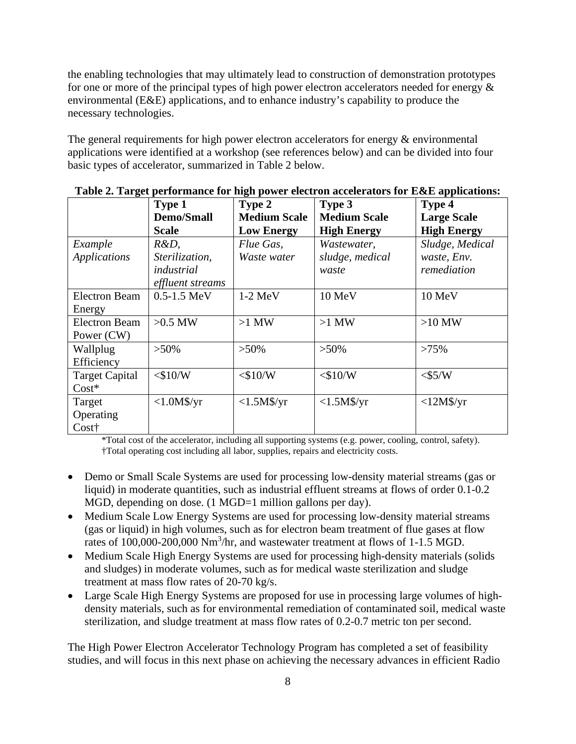the enabling technologies that may ultimately lead to construction of demonstration prototypes for one or more of the principal types of high power electron accelerators needed for energy  $\&$ environmental (E&E) applications, and to enhance industry's capability to produce the necessary technologies.

The general requirements for high power electron accelerators for energy  $\&$  environmental applications were identified at a workshop (see references below) and can be divided into four basic types of accelerator, summarized in Table 2 below.

| $\mathbf{C}$          | Type 1            | Type 2              | Type 3              | .<br>Type 4        |
|-----------------------|-------------------|---------------------|---------------------|--------------------|
|                       | <b>Demo/Small</b> | <b>Medium Scale</b> | <b>Medium Scale</b> | <b>Large Scale</b> |
|                       | <b>Scale</b>      | <b>Low Energy</b>   | <b>High Energy</b>  | <b>High Energy</b> |
| Example               | $R&D$ ,           | Flue Gas,           | Wastewater,         | Sludge, Medical    |
| <b>Applications</b>   | Sterilization,    | Waste water         | sludge, medical     | waste, Env.        |
|                       | industrial        |                     | waste               | remediation        |
|                       | effluent streams  |                     |                     |                    |
| <b>Electron Beam</b>  | $0.5 - 1.5$ MeV   | $1-2$ MeV           | 10 MeV              | 10 MeV             |
| Energy                |                   |                     |                     |                    |
| <b>Electron Beam</b>  | $>0.5$ MW         | $>1$ MW             | $>1$ MW             | $>10$ MW           |
| Power (CW)            |                   |                     |                     |                    |
| Wallplug              | $>50\%$           | $>50\%$             | $>50\%$             | $>75\%$            |
| Efficiency            |                   |                     |                     |                    |
| <b>Target Capital</b> | $<$ \$10/W        | $<$ \$10/W          | $<$ \$10/W          | $<$ \$5/W          |
| $Cost*$               |                   |                     |                     |                    |
| Target                | $<1.0M$ \$/yr     | $<1.5M$ \$/yr       | $<1.5M$ \$/yr       | $<12M\$ /yr        |
| Operating             |                   |                     |                     |                    |
| Cost†                 |                   |                     |                     |                    |

**Table 2. Target performance for high power electron accelerators for E&E applications:**

\*Total cost of the accelerator, including all supporting systems (e.g. power, cooling, control, safety). †Total operating cost including all labor, supplies, repairs and electricity costs.

- Demo or Small Scale Systems are used for processing low-density material streams (gas or liquid) in moderate quantities, such as industrial effluent streams at flows of order 0.1-0.2 MGD, depending on dose. (1 MGD=1 million gallons per day).
- Medium Scale Low Energy Systems are used for processing low-density material streams (gas or liquid) in high volumes, such as for electron beam treatment of flue gases at flow rates of 100,000-200,000 Nm<sup>3</sup>/hr, and wastewater treatment at flows of 1-1.5 MGD.
- Medium Scale High Energy Systems are used for processing high-density materials (solids and sludges) in moderate volumes, such as for medical waste sterilization and sludge treatment at mass flow rates of 20-70 kg/s.
- Large Scale High Energy Systems are proposed for use in processing large volumes of highdensity materials, such as for environmental remediation of contaminated soil, medical waste sterilization, and sludge treatment at mass flow rates of 0.2-0.7 metric ton per second.

The High Power Electron Accelerator Technology Program has completed a set of feasibility studies, and will focus in this next phase on achieving the necessary advances in efficient Radio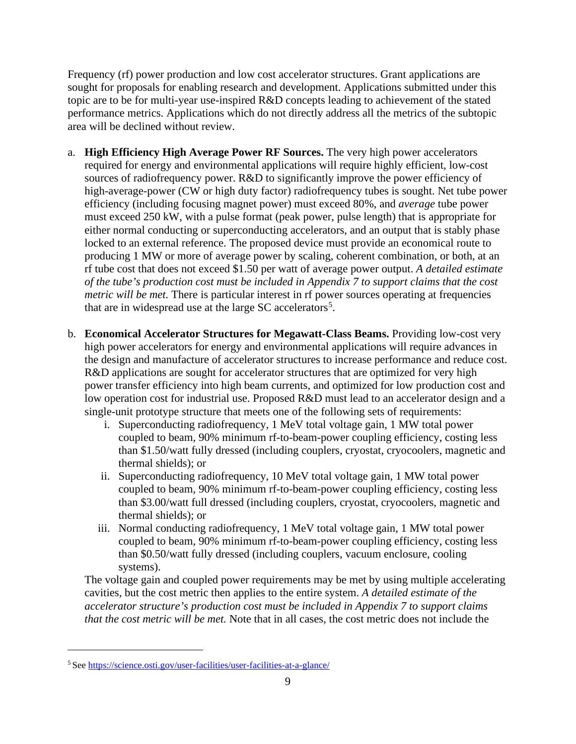Frequency (rf) power production and low cost accelerator structures. Grant applications are sought for proposals for enabling research and development. Applications submitted under this topic are to be for multi-year use-inspired R&D concepts leading to achievement of the stated performance metrics. Applications which do not directly address all the metrics of the subtopic area will be declined without review.

- a. **High Efficiency High Average Power RF Sources.** The very high power accelerators required for energy and environmental applications will require highly efficient, low-cost sources of radiofrequency power. R&D to significantly improve the power efficiency of high-average-power (CW or high duty factor) radiofrequency tubes is sought. Net tube power efficiency (including focusing magnet power) must exceed 80%, and *average* tube power must exceed 250 kW, with a pulse format (peak power, pulse length) that is appropriate for either normal conducting or superconducting accelerators, and an output that is stably phase locked to an external reference. The proposed device must provide an economical route to producing 1 MW or more of average power by scaling, coherent combination, or both, at an rf tube cost that does not exceed \$1.50 per watt of average power output. *A detailed estimate of the tube's production cost must be included in Appendix 7 to support claims that the cost metric will be met.* There is particular interest in rf power sources operating at frequencies that are in widespread use at the large SC accelerators<sup>[5](#page-14-0)</sup>.
- b. **Economical Accelerator Structures for Megawatt-Class Beams.** Providing low-cost very high power accelerators for energy and environmental applications will require advances in the design and manufacture of accelerator structures to increase performance and reduce cost. R&D applications are sought for accelerator structures that are optimized for very high power transfer efficiency into high beam currents, and optimized for low production cost and low operation cost for industrial use. Proposed R&D must lead to an accelerator design and a single-unit prototype structure that meets one of the following sets of requirements:
	- i. Superconducting radiofrequency, 1 MeV total voltage gain, 1 MW total power coupled to beam, 90% minimum rf-to-beam-power coupling efficiency, costing less than \$1.50/watt fully dressed (including couplers, cryostat, cryocoolers, magnetic and thermal shields); or
	- ii. Superconducting radiofrequency, 10 MeV total voltage gain, 1 MW total power coupled to beam, 90% minimum rf-to-beam-power coupling efficiency, costing less than \$3.00/watt full dressed (including couplers, cryostat, cryocoolers, magnetic and thermal shields); or
	- iii. Normal conducting radiofrequency, 1 MeV total voltage gain, 1 MW total power coupled to beam, 90% minimum rf-to-beam-power coupling efficiency, costing less than \$0.50/watt fully dressed (including couplers, vacuum enclosure, cooling systems).

The voltage gain and coupled power requirements may be met by using multiple accelerating cavities, but the cost metric then applies to the entire system. *A detailed estimate of the accelerator structure's production cost must be included in Appendix 7 to support claims that the cost metric will be met.* Note that in all cases, the cost metric does not include the

<span id="page-14-0"></span><sup>5</sup> See<https://science.osti.gov/user-facilities/user-facilities-at-a-glance/>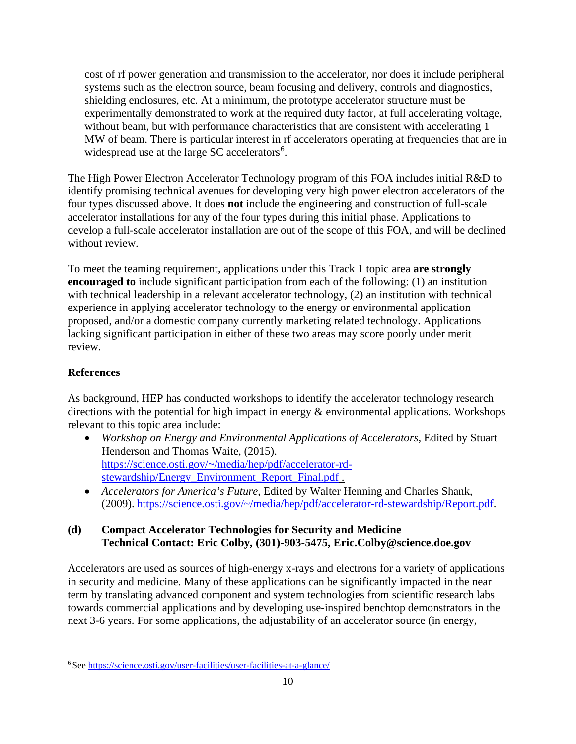cost of rf power generation and transmission to the accelerator, nor does it include peripheral systems such as the electron source, beam focusing and delivery, controls and diagnostics, shielding enclosures, etc. At a minimum, the prototype accelerator structure must be experimentally demonstrated to work at the required duty factor, at full accelerating voltage, without beam, but with performance characteristics that are consistent with accelerating 1 MW of beam. There is particular interest in rf accelerators operating at frequencies that are in widespread use at the large SC accelerators $6$ .

The High Power Electron Accelerator Technology program of this FOA includes initial R&D to identify promising technical avenues for developing very high power electron accelerators of the four types discussed above. It does **not** include the engineering and construction of full-scale accelerator installations for any of the four types during this initial phase. Applications to develop a full-scale accelerator installation are out of the scope of this FOA, and will be declined without review.

To meet the teaming requirement, applications under this Track 1 topic area **are strongly encouraged to** include significant participation from each of the following: (1) an institution with technical leadership in a relevant accelerator technology, (2) an institution with technical experience in applying accelerator technology to the energy or environmental application proposed, and/or a domestic company currently marketing related technology. Applications lacking significant participation in either of these two areas may score poorly under merit review.

# **References**

As background, HEP has conducted workshops to identify the accelerator technology research directions with the potential for high impact in energy  $\&$  environmental applications. Workshops relevant to this topic area include:

- *Workshop on Energy and Environmental Applications of Accelerators*, Edited by Stuart Henderson and Thomas Waite, (2015). [https://science.osti.gov/~/media/hep/pdf/accelerator-rd](https://science.osti.gov/%7E/media/hep/pdf/accelerator-rd-stewardship/Energy_Environment_Report_Final.pdf)[stewardship/Energy\\_Environment\\_Report\\_Final.pdf](https://science.osti.gov/%7E/media/hep/pdf/accelerator-rd-stewardship/Energy_Environment_Report_Final.pdf) .
- *Accelerators for America's Future*, Edited by Walter Henning and Charles Shank, (2009). [https://science.osti.gov/~/media/hep/pdf/accelerator-rd-stewardship/Report.pdf.](https://science.osti.gov/%7E/media/hep/pdf/accelerator-rd-stewardship/Report.pdf)

# **(d) Compact Accelerator Technologies for Security and Medicine Technical Contact: Eric Colby, (301)-903-5475, Eric.Colby@science.doe.gov**

Accelerators are used as sources of high-energy x-rays and electrons for a variety of applications in security and medicine. Many of these applications can be significantly impacted in the near term by translating advanced component and system technologies from scientific research labs towards commercial applications and by developing use-inspired benchtop demonstrators in the next 3-6 years. For some applications, the adjustability of an accelerator source (in energy,

<span id="page-15-0"></span><sup>6</sup> See<https://science.osti.gov/user-facilities/user-facilities-at-a-glance/>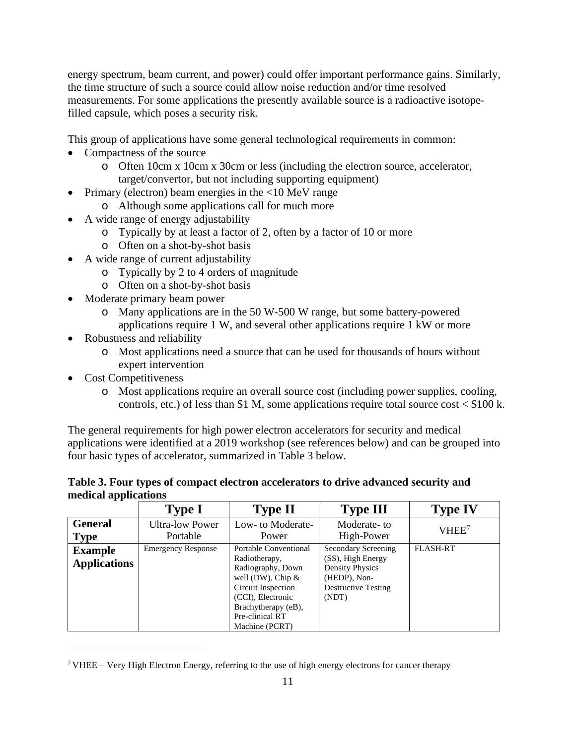energy spectrum, beam current, and power) could offer important performance gains. Similarly, the time structure of such a source could allow noise reduction and/or time resolved measurements. For some applications the presently available source is a radioactive isotopefilled capsule, which poses a security risk.

This group of applications have some general technological requirements in common:

- Compactness of the source
	- o Often 10cm x 10cm x 30cm or less (including the electron source, accelerator, target/convertor, but not including supporting equipment)
- Primary (electron) beam energies in the <10 MeV range
	- o Although some applications call for much more
- A wide range of energy adjustability
	- o Typically by at least a factor of 2, often by a factor of 10 or more
	- o Often on a shot-by-shot basis
- A wide range of current adjustability
	- o Typically by 2 to 4 orders of magnitude
	- o Often on a shot-by-shot basis
- Moderate primary beam power
	- o Many applications are in the 50 W-500 W range, but some battery-powered applications require 1 W, and several other applications require 1 kW or more
- Robustness and reliability
	- o Most applications need a source that can be used for thousands of hours without expert intervention
- Cost Competitiveness
	- o Most applications require an overall source cost (including power supplies, cooling, controls, etc.) of less than \$1 M, some applications require total source cost  $\langle$  \$100 k.

The general requirements for high power electron accelerators for security and medical applications were identified at a 2019 workshop (see references below) and can be grouped into four basic types of accelerator, summarized in Table 3 below.

#### **Table 3. Four types of compact electron accelerators to drive advanced security and medical applications**

|                                       | <b>Type I</b>             | <b>Type II</b>                                                                                                                                                                             | <b>Type III</b>                                                                                                           | <b>Type IV</b>    |
|---------------------------------------|---------------------------|--------------------------------------------------------------------------------------------------------------------------------------------------------------------------------------------|---------------------------------------------------------------------------------------------------------------------------|-------------------|
| <b>General</b>                        | <b>Ultra-low Power</b>    | Low- to Moderate-                                                                                                                                                                          | Moderate-to                                                                                                               | VHEE <sup>7</sup> |
| <b>Type</b>                           | Portable                  | Power                                                                                                                                                                                      | High-Power                                                                                                                |                   |
| <b>Example</b><br><b>Applications</b> | <b>Emergency Response</b> | Portable Conventional<br>Radiotherapy,<br>Radiography, Down<br>well (DW), Chip $\&$<br>Circuit Inspection<br>(CCI), Electronic<br>Brachytherapy (eB),<br>Pre-clinical RT<br>Machine (PCRT) | Secondary Screening<br>(SS), High Energy<br><b>Density Physics</b><br>(HEDP), Non-<br><b>Destructive Testing</b><br>(NDT) | <b>FLASH-RT</b>   |

<span id="page-16-0"></span><sup>&</sup>lt;sup>7</sup> VHEE – Very High Electron Energy, referring to the use of high energy electrons for cancer therapy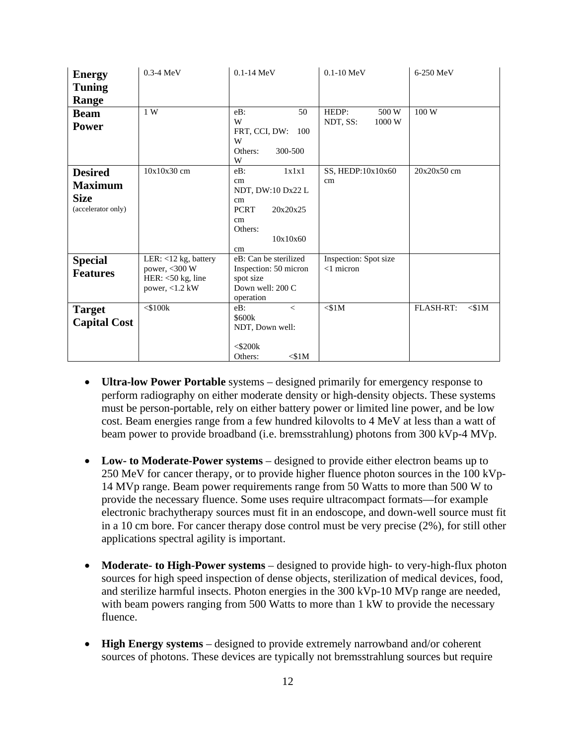| <b>Energy</b>                                                         | $0.3-4$ MeV                                                                     | $0.1 - 14$ MeV                                                                                                 | $0.1 - 10$ MeV                        | 6-250 MeV             |
|-----------------------------------------------------------------------|---------------------------------------------------------------------------------|----------------------------------------------------------------------------------------------------------------|---------------------------------------|-----------------------|
| <b>Tuning</b>                                                         |                                                                                 |                                                                                                                |                                       |                       |
| Range                                                                 |                                                                                 |                                                                                                                |                                       |                       |
| <b>Beam</b>                                                           | 1W                                                                              | 50<br>$eB$ :                                                                                                   | HEDP:<br>500 W                        | 100 W                 |
| <b>Power</b>                                                          |                                                                                 | W<br>FRT, CCI, DW:<br>100<br>W<br>Others:<br>300-500<br>W                                                      | NDT, SS:<br>1000 W                    |                       |
| <b>Desired</b><br><b>Maximum</b><br><b>Size</b><br>(accelerator only) | $10x10x30$ cm                                                                   | 1x1x1<br>$eB$ :<br>cm<br>NDT, DW:10 Dx22 L<br>cm<br><b>PCRT</b><br>20x20x25<br>cm<br>Others:<br>10x10x60<br>cm | SS, HEDP:10x10x60<br>cm               | 20x20x50 cm           |
| <b>Special</b><br><b>Features</b>                                     | LER: <12 kg, battery<br>power, <300 W<br>HER: $<$ 50 kg, line<br>power, <1.2 kW | eB: Can be sterilized<br>Inspection: 50 micron<br>spot size<br>Down well: 200 C<br>operation                   | Inspection: Spot size<br>$<$ 1 micron |                       |
| <b>Target</b><br><b>Capital Cost</b>                                  | $<$ \$100 $k$                                                                   | eB:<br>$\lt$<br>\$600k<br>NDT, Down well:<br>$<$ \$200 $k$<br>$<$ \$1M<br>Others:                              | $<$ \$1M                              | FLASH-RT:<br>$<$ \$1M |

- **Ultra-low Power Portable** systems designed primarily for emergency response to perform radiography on either moderate density or high-density objects. These systems must be person-portable, rely on either battery power or limited line power, and be low cost. Beam energies range from a few hundred kilovolts to 4 MeV at less than a watt of beam power to provide broadband (i.e. bremsstrahlung) photons from 300 kVp-4 MVp.
- **Low- to Moderate-Power systems**  designed to provide either electron beams up to 250 MeV for cancer therapy, or to provide higher fluence photon sources in the 100 kVp-14 MVp range. Beam power requirements range from 50 Watts to more than 500 W to provide the necessary fluence. Some uses require ultracompact formats—for example electronic brachytherapy sources must fit in an endoscope, and down-well source must fit in a 10 cm bore. For cancer therapy dose control must be very precise (2%), for still other applications spectral agility is important.
- Moderate- to High-Power systems designed to provide high- to very-high-flux photon sources for high speed inspection of dense objects, sterilization of medical devices, food, and sterilize harmful insects. Photon energies in the 300 kVp-10 MVp range are needed, with beam powers ranging from 500 Watts to more than 1 kW to provide the necessary fluence.
- **High Energy systems**  designed to provide extremely narrowband and/or coherent sources of photons. These devices are typically not bremsstrahlung sources but require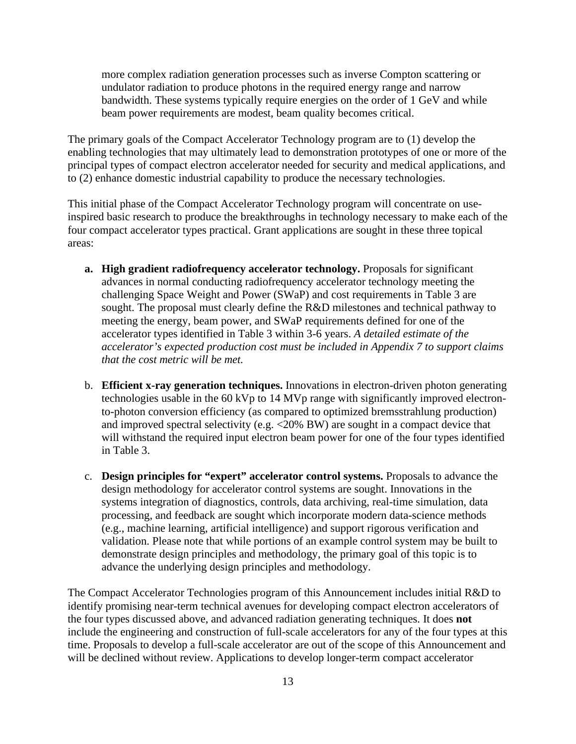more complex radiation generation processes such as inverse Compton scattering or undulator radiation to produce photons in the required energy range and narrow bandwidth. These systems typically require energies on the order of 1 GeV and while beam power requirements are modest, beam quality becomes critical.

The primary goals of the Compact Accelerator Technology program are to (1) develop the enabling technologies that may ultimately lead to demonstration prototypes of one or more of the principal types of compact electron accelerator needed for security and medical applications, and to (2) enhance domestic industrial capability to produce the necessary technologies.

This initial phase of the Compact Accelerator Technology program will concentrate on useinspired basic research to produce the breakthroughs in technology necessary to make each of the four compact accelerator types practical. Grant applications are sought in these three topical areas:

- **a. High gradient radiofrequency accelerator technology.** Proposals for significant advances in normal conducting radiofrequency accelerator technology meeting the challenging Space Weight and Power (SWaP) and cost requirements in Table 3 are sought. The proposal must clearly define the R&D milestones and technical pathway to meeting the energy, beam power, and SWaP requirements defined for one of the accelerator types identified in Table 3 within 3-6 years. *A detailed estimate of the accelerator's expected production cost must be included in Appendix 7 to support claims that the cost metric will be met.*
- b. **Efficient x-ray generation techniques.** Innovations in electron-driven photon generating technologies usable in the 60 kVp to 14 MVp range with significantly improved electronto-photon conversion efficiency (as compared to optimized bremsstrahlung production) and improved spectral selectivity (e.g. <20% BW) are sought in a compact device that will withstand the required input electron beam power for one of the four types identified in Table 3.
- c. **Design principles for "expert" accelerator control systems.** Proposals to advance the design methodology for accelerator control systems are sought. Innovations in the systems integration of diagnostics, controls, data archiving, real-time simulation, data processing, and feedback are sought which incorporate modern data-science methods (e.g., machine learning, artificial intelligence) and support rigorous verification and validation. Please note that while portions of an example control system may be built to demonstrate design principles and methodology, the primary goal of this topic is to advance the underlying design principles and methodology.

The Compact Accelerator Technologies program of this Announcement includes initial R&D to identify promising near-term technical avenues for developing compact electron accelerators of the four types discussed above, and advanced radiation generating techniques. It does **not** include the engineering and construction of full-scale accelerators for any of the four types at this time. Proposals to develop a full-scale accelerator are out of the scope of this Announcement and will be declined without review. Applications to develop longer-term compact accelerator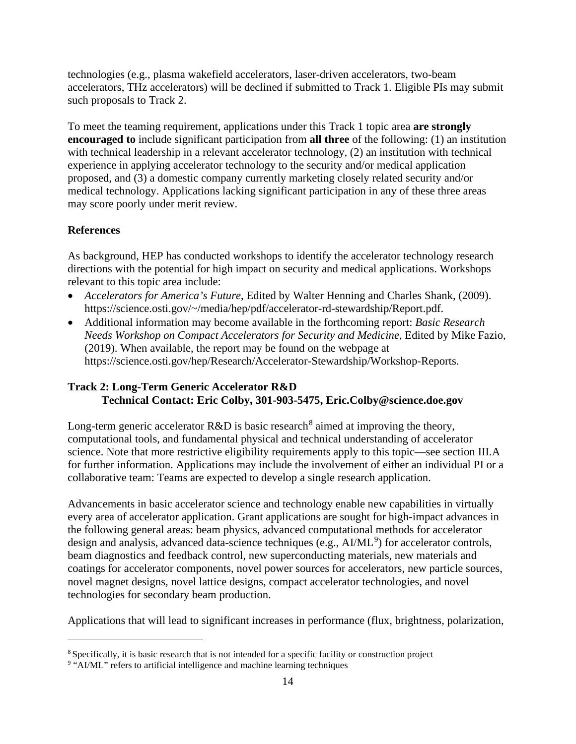technologies (e.g., plasma wakefield accelerators, laser-driven accelerators, two-beam accelerators, THz accelerators) will be declined if submitted to Track 1. Eligible PIs may submit such proposals to Track 2.

To meet the teaming requirement, applications under this Track 1 topic area **are strongly encouraged to** include significant participation from **all three** of the following: (1) an institution with technical leadership in a relevant accelerator technology, (2) an institution with technical experience in applying accelerator technology to the security and/or medical application proposed, and (3) a domestic company currently marketing closely related security and/or medical technology. Applications lacking significant participation in any of these three areas may score poorly under merit review.

### **References**

As background, HEP has conducted workshops to identify the accelerator technology research directions with the potential for high impact on security and medical applications. Workshops relevant to this topic area include:

- *Accelerators for America's Future*, Edited by Walter Henning and Charles Shank, (2009). [https://science.osti.gov/~/media/hep/pdf/accelerator-rd-stewardship/Report.pdf.](http://science.osti.gov/%7E/media/hep/pdf/accelerator-rd-stewardship/Report.pdf)
- Additional information may become available in the forthcoming report: *Basic Research Needs Workshop on Compact Accelerators for Security and Medicine*, Edited by Mike Fazio, (2019). When available, the report may be found on the webpage at [https://science.osti.gov/hep/Research/Accelerator-Stewardship/Workshop-Reports.](https://science.osti.gov/hep/Research/Accelerator-Stewardship/Workshop-Reports)

### **Track 2: Long-Term Generic Accelerator R&D Technical Contact: Eric Colby, 301-903-5475, Eric.Colby@science.doe.gov**

Long-term generic accelerator  $R&D$  is basic research<sup>[8](#page-19-0)</sup> aimed at improving the theory, computational tools, and fundamental physical and technical understanding of accelerator science. Note that more restrictive eligibility requirements apply to this topic—see section III.A for further information. Applications may include the involvement of either an individual PI or a collaborative team: Teams are expected to develop a single research application.

Advancements in basic accelerator science and technology enable new capabilities in virtually every area of accelerator application. Grant applications are sought for high-impact advances in the following general areas: beam physics, advanced computational methods for accelerator design and analysis, advanced data-science techniques (e.g., AI/ML<sup>[9](#page-19-1)</sup>) for accelerator controls, beam diagnostics and feedback control, new superconducting materials, new materials and coatings for accelerator components, novel power sources for accelerators, new particle sources, novel magnet designs, novel lattice designs, compact accelerator technologies, and novel technologies for secondary beam production.

Applications that will lead to significant increases in performance (flux, brightness, polarization,

<span id="page-19-0"></span><sup>8</sup> Specifically, it is basic research that is not intended for a specific facility or construction project

<span id="page-19-1"></span><sup>&</sup>lt;sup>9</sup> "AI/ML" refers to artificial intelligence and machine learning techniques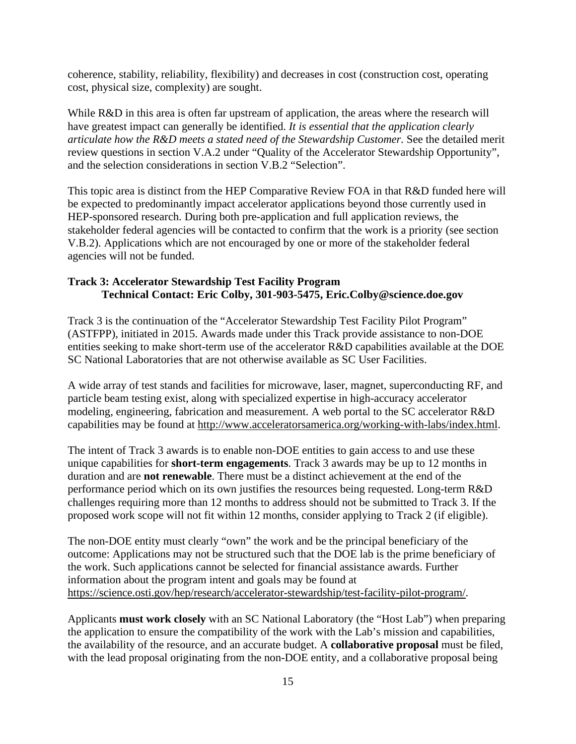coherence, stability, reliability, flexibility) and decreases in cost (construction cost, operating cost, physical size, complexity) are sought.

While R&D in this area is often far upstream of application, the areas where the research will have greatest impact can generally be identified. *It is essential that the application clearly articulate how the R&D meets a stated need of the Stewardship Customer.* See the detailed merit review questions in section V.A.2 under "Quality of the Accelerator Stewardship Opportunity", and the selection considerations in section V.B.2 "Selection".

This topic area is distinct from the HEP Comparative Review FOA in that R&D funded here will be expected to predominantly impact accelerator applications beyond those currently used in HEP-sponsored research. During both pre-application and full application reviews, the stakeholder federal agencies will be contacted to confirm that the work is a priority (see section V.B.2). Applications which are not encouraged by one or more of the stakeholder federal agencies will not be funded.

### **Track 3: Accelerator Stewardship Test Facility Program Technical Contact: Eric Colby, 301-903-5475, Eric.Colby@science.doe.gov**

Track 3 is the continuation of the "Accelerator Stewardship Test Facility Pilot Program" (ASTFPP), initiated in 2015. Awards made under this Track provide assistance to non-DOE entities seeking to make short-term use of the accelerator R&D capabilities available at the DOE SC National Laboratories that are not otherwise available as SC User Facilities.

A wide array of test stands and facilities for microwave, laser, magnet, superconducting RF, and particle beam testing exist, along with specialized expertise in high-accuracy accelerator modeling, engineering, fabrication and measurement. A web portal to the SC accelerator R&D capabilities may be found at [http://www.acceleratorsamerica.org/working-with-labs/index.html.](http://www.acceleratorsamerica.org/working-with-labs/index.html)

The intent of Track 3 awards is to enable non-DOE entities to gain access to and use these unique capabilities for **short-term engagements**. Track 3 awards may be up to 12 months in duration and are **not renewable**. There must be a distinct achievement at the end of the performance period which on its own justifies the resources being requested. Long-term R&D challenges requiring more than 12 months to address should not be submitted to Track 3. If the proposed work scope will not fit within 12 months, consider applying to Track 2 (if eligible).

The non-DOE entity must clearly "own" the work and be the principal beneficiary of the outcome: Applications may not be structured such that the DOE lab is the prime beneficiary of the work. Such applications cannot be selected for financial assistance awards. Further information about the program intent and goals may be found at [https://science.osti.gov/hep/research/accelerator-stewardship/test-facility-pilot-program/.](https://science.osti.gov/hep/research/accelerator-stewardship/test-facility-pilot-program/)

Applicants **must work closely** with an SC National Laboratory (the "Host Lab") when preparing the application to ensure the compatibility of the work with the Lab's mission and capabilities, the availability of the resource, and an accurate budget. A **collaborative proposal** must be filed, with the lead proposal originating from the non-DOE entity, and a collaborative proposal being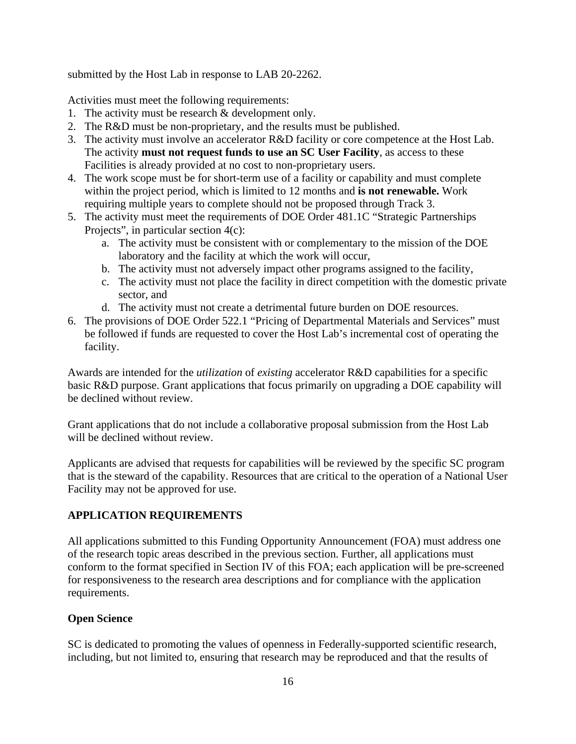submitted by the Host Lab in response to LAB 20-2262.

Activities must meet the following requirements:

- 1. The activity must be research & development only.
- 2. The R&D must be non-proprietary, and the results must be published.
- 3. The activity must involve an accelerator R&D facility or core competence at the Host Lab. The activity **must not request funds to use an SC User Facility**, as access to these Facilities is already provided at no cost to non-proprietary users.
- 4. The work scope must be for short-term use of a facility or capability and must complete within the project period, which is limited to 12 months and **is not renewable.** Work requiring multiple years to complete should not be proposed through Track 3.
- 5. The activity must meet the requirements of DOE Order 481.1C "Strategic Partnerships Projects", in particular section 4(c):
	- a. The activity must be consistent with or complementary to the mission of the DOE laboratory and the facility at which the work will occur,
	- b. The activity must not adversely impact other programs assigned to the facility,
	- c. The activity must not place the facility in direct competition with the domestic private sector, and
	- d. The activity must not create a detrimental future burden on DOE resources.
- 6. The provisions of DOE Order 522.1 "Pricing of Departmental Materials and Services" must be followed if funds are requested to cover the Host Lab's incremental cost of operating the facility.

Awards are intended for the *utilization* of *existing* accelerator R&D capabilities for a specific basic R&D purpose. Grant applications that focus primarily on upgrading a DOE capability will be declined without review.

Grant applications that do not include a collaborative proposal submission from the Host Lab will be declined without review.

Applicants are advised that requests for capabilities will be reviewed by the specific SC program that is the steward of the capability. Resources that are critical to the operation of a National User Facility may not be approved for use.

# **APPLICATION REQUIREMENTS**

All applications submitted to this Funding Opportunity Announcement (FOA) must address one of the research topic areas described in the previous section. Further, all applications must conform to the format specified in Section IV of this FOA; each application will be pre-screened for responsiveness to the research area descriptions and for compliance with the application requirements.

# **Open Science**

SC is dedicated to promoting the values of openness in Federally-supported scientific research, including, but not limited to, ensuring that research may be reproduced and that the results of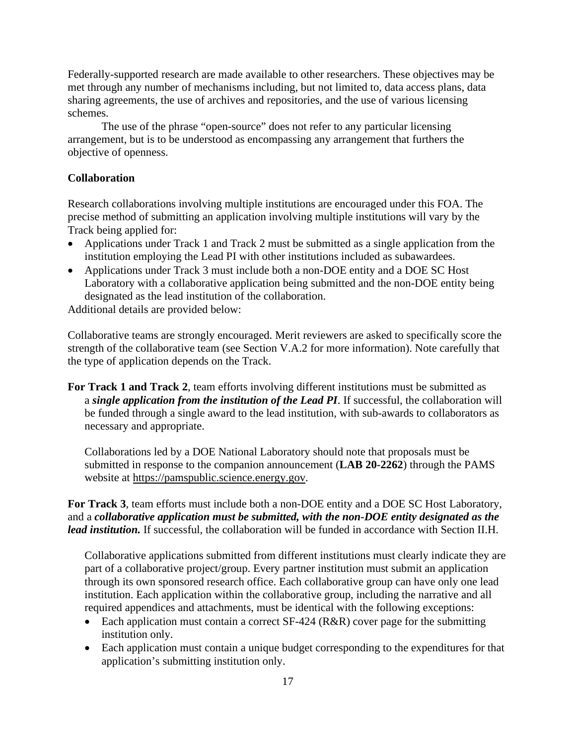Federally-supported research are made available to other researchers. These objectives may be met through any number of mechanisms including, but not limited to, data access plans, data sharing agreements, the use of archives and repositories, and the use of various licensing schemes.

The use of the phrase "open-source" does not refer to any particular licensing arrangement, but is to be understood as encompassing any arrangement that furthers the objective of openness.

#### **Collaboration**

Research collaborations involving multiple institutions are encouraged under this FOA. The precise method of submitting an application involving multiple institutions will vary by the Track being applied for:

- Applications under Track 1 and Track 2 must be submitted as a single application from the institution employing the Lead PI with other institutions included as subawardees.
- Applications under Track 3 must include both a non-DOE entity and a DOE SC Host Laboratory with a collaborative application being submitted and the non-DOE entity being designated as the lead institution of the collaboration.

Additional details are provided below:

Collaborative teams are strongly encouraged. Merit reviewers are asked to specifically score the strength of the collaborative team (see Section V.A.2 for more information). Note carefully that the type of application depends on the Track.

**For Track 1 and Track 2**, team efforts involving different institutions must be submitted as a *single application from the institution of the Lead PI*. If successful, the collaboration will be funded through a single award to the lead institution, with sub-awards to collaborators as necessary and appropriate.

Collaborations led by a DOE National Laboratory should note that proposals must be submitted in response to the companion announcement (**LAB 20-2262**) through the PAMS website at [https://pamspublic.science.energy.gov.](https://pamspublic.science.energy.gov/)

**For Track 3**, team efforts must include both a non-DOE entity and a DOE SC Host Laboratory, and a *collaborative application must be submitted, with the non-DOE entity designated as the lead institution.* If successful, the collaboration will be funded in accordance with Section II.H.

Collaborative applications submitted from different institutions must clearly indicate they are part of a collaborative project/group. Every partner institution must submit an application through its own sponsored research office. Each collaborative group can have only one lead institution. Each application within the collaborative group, including the narrative and all required appendices and attachments, must be identical with the following exceptions:

- Each application must contain a correct SF-424 (R&R) cover page for the submitting institution only.
- Each application must contain a unique budget corresponding to the expenditures for that application's submitting institution only.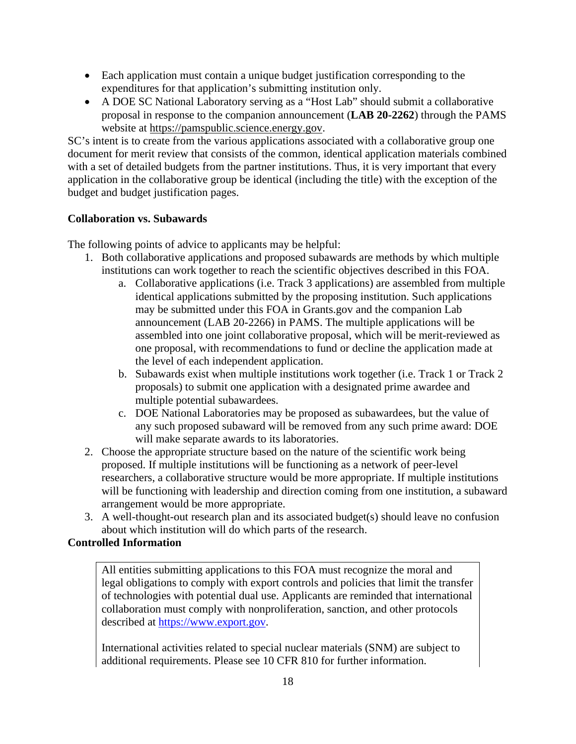- Each application must contain a unique budget justification corresponding to the expenditures for that application's submitting institution only.
- A DOE SC National Laboratory serving as a "Host Lab" should submit a collaborative proposal in response to the companion announcement (**LAB 20-2262**) through the PAMS website at [https://pamspublic.science.energy.gov.](https://pamspublic.science.energy.gov/)

SC's intent is to create from the various applications associated with a collaborative group one document for merit review that consists of the common, identical application materials combined with a set of detailed budgets from the partner institutions. Thus, it is very important that every application in the collaborative group be identical (including the title) with the exception of the budget and budget justification pages.

# **Collaboration vs. Subawards**

The following points of advice to applicants may be helpful:

- 1. Both collaborative applications and proposed subawards are methods by which multiple institutions can work together to reach the scientific objectives described in this FOA.
	- a. Collaborative applications (i.e. Track 3 applications) are assembled from multiple identical applications submitted by the proposing institution. Such applications may be submitted under this FOA in Grants.gov and the companion Lab announcement (LAB 20-2266) in PAMS. The multiple applications will be assembled into one joint collaborative proposal, which will be merit-reviewed as one proposal, with recommendations to fund or decline the application made at the level of each independent application.
	- b. Subawards exist when multiple institutions work together (i.e. Track 1 or Track 2 proposals) to submit one application with a designated prime awardee and multiple potential subawardees.
	- c. DOE National Laboratories may be proposed as subawardees, but the value of any such proposed subaward will be removed from any such prime award: DOE will make separate awards to its laboratories.
- 2. Choose the appropriate structure based on the nature of the scientific work being proposed. If multiple institutions will be functioning as a network of peer-level researchers, a collaborative structure would be more appropriate. If multiple institutions will be functioning with leadership and direction coming from one institution, a subaward arrangement would be more appropriate.
- 3. A well-thought-out research plan and its associated budget(s) should leave no confusion about which institution will do which parts of the research.

# **Controlled Information**

All entities submitting applications to this FOA must recognize the moral and legal obligations to comply with export controls and policies that limit the transfer of technologies with potential dual use. Applicants are reminded that international collaboration must comply with nonproliferation, sanction, and other protocols described at [https://www.export.gov.](https://www.export.gov/)

International activities related to special nuclear materials (SNM) are subject to additional requirements. Please see 10 CFR 810 for further information.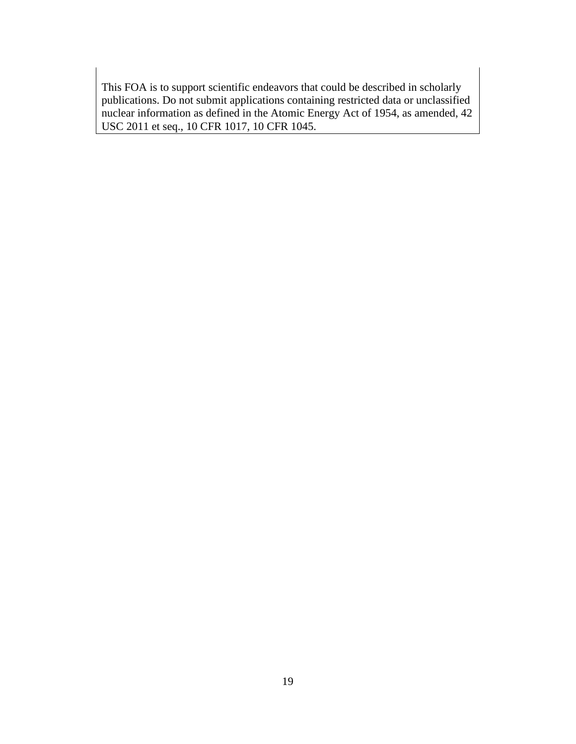This FOA is to support scientific endeavors that could be described in scholarly publications. Do not submit applications containing restricted data or unclassified nuclear information as defined in the Atomic Energy Act of 1954, as amended, 42 USC 2011 et seq., 10 CFR 1017, 10 CFR 1045.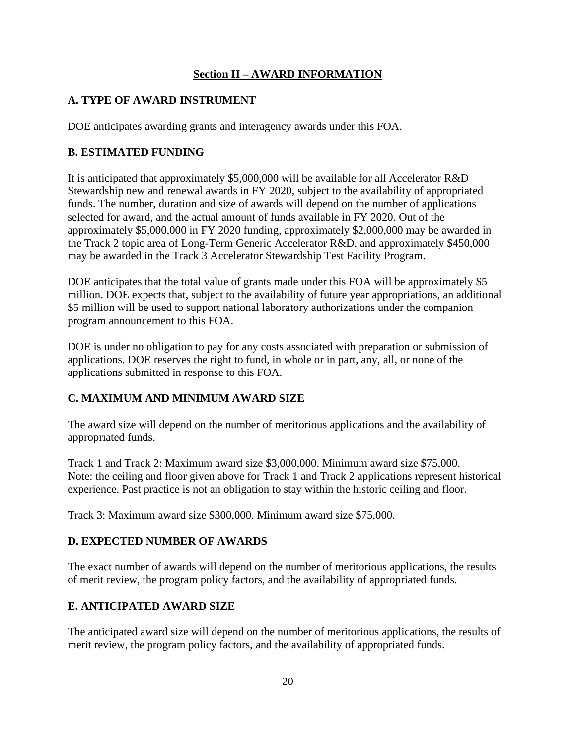# **Section II – AWARD INFORMATION**

# <span id="page-25-1"></span><span id="page-25-0"></span>**A. TYPE OF AWARD INSTRUMENT**

DOE anticipates awarding grants and interagency awards under this FOA.

# <span id="page-25-2"></span>**B. ESTIMATED FUNDING**

It is anticipated that approximately \$5,000,000 will be available for all Accelerator R&D Stewardship new and renewal awards in FY 2020, subject to the availability of appropriated funds. The number, duration and size of awards will depend on the number of applications selected for award, and the actual amount of funds available in FY 2020. Out of the approximately \$5,000,000 in FY 2020 funding, approximately \$2,000,000 may be awarded in the Track 2 topic area of Long-Term Generic Accelerator R&D, and approximately \$450,000 may be awarded in the Track 3 Accelerator Stewardship Test Facility Program.

DOE anticipates that the total value of grants made under this FOA will be approximately \$5 million. DOE expects that, subject to the availability of future year appropriations, an additional \$5 million will be used to support national laboratory authorizations under the companion program announcement to this FOA.

DOE is under no obligation to pay for any costs associated with preparation or submission of applications. DOE reserves the right to fund, in whole or in part, any, all, or none of the applications submitted in response to this FOA.

# <span id="page-25-3"></span>**C. MAXIMUM AND MINIMUM AWARD SIZE**

The award size will depend on the number of meritorious applications and the availability of appropriated funds.

Track 1 and Track 2: Maximum award size \$3,000,000. Minimum award size \$75,000. Note: the ceiling and floor given above for Track 1 and Track 2 applications represent historical experience. Past practice is not an obligation to stay within the historic ceiling and floor.

Track 3: Maximum award size \$300,000. Minimum award size \$75,000.

# <span id="page-25-4"></span>**D. EXPECTED NUMBER OF AWARDS**

The exact number of awards will depend on the number of meritorious applications, the results of merit review, the program policy factors, and the availability of appropriated funds.

# <span id="page-25-5"></span>**E. ANTICIPATED AWARD SIZE**

The anticipated award size will depend on the number of meritorious applications, the results of merit review, the program policy factors, and the availability of appropriated funds.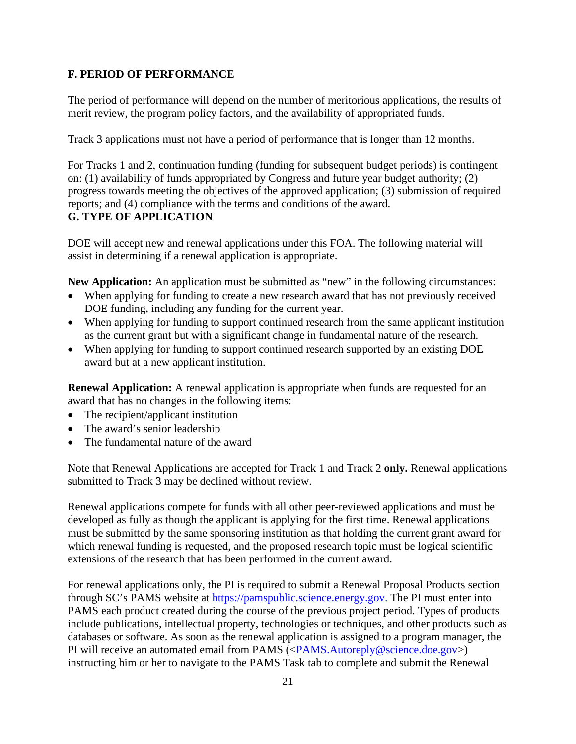# <span id="page-26-0"></span>**F. PERIOD OF PERFORMANCE**

The period of performance will depend on the number of meritorious applications, the results of merit review, the program policy factors, and the availability of appropriated funds.

Track 3 applications must not have a period of performance that is longer than 12 months.

For Tracks 1 and 2, continuation funding (funding for subsequent budget periods) is contingent on: (1) availability of funds appropriated by Congress and future year budget authority; (2) progress towards meeting the objectives of the approved application; (3) submission of required reports; and (4) compliance with the terms and conditions of the award. **G. TYPE OF APPLICATION**

<span id="page-26-1"></span>DOE will accept new and renewal applications under this FOA. The following material will assist in determining if a renewal application is appropriate.

**New Application:** An application must be submitted as "new" in the following circumstances:

- When applying for funding to create a new research award that has not previously received DOE funding, including any funding for the current year.
- When applying for funding to support continued research from the same applicant institution as the current grant but with a significant change in fundamental nature of the research.
- When applying for funding to support continued research supported by an existing DOE award but at a new applicant institution.

**Renewal Application:** A renewal application is appropriate when funds are requested for an award that has no changes in the following items:

- The recipient/applicant institution
- The award's senior leadership
- The fundamental nature of the award

Note that Renewal Applications are accepted for Track 1 and Track 2 **only.** Renewal applications submitted to Track 3 may be declined without review.

Renewal applications compete for funds with all other peer-reviewed applications and must be developed as fully as though the applicant is applying for the first time. Renewal applications must be submitted by the same sponsoring institution as that holding the current grant award for which renewal funding is requested, and the proposed research topic must be logical scientific extensions of the research that has been performed in the current award.

For renewal applications only, the PI is required to submit a Renewal Proposal Products section through SC's PAMS website at [https://pamspublic.science.energy.gov.](https://pamspublic.science.energy.gov/) The PI must enter into PAMS each product created during the course of the previous project period. Types of products include publications, intellectual property, technologies or techniques, and other products such as databases or software. As soon as the renewal application is assigned to a program manager, the PI will receive an automated email from PAMS ([<PAMS.Autoreply@science.doe.gov>](https://www.sam.gov/SAM/transcript/SAM_Non_Federal_User_Guide.pdf)) instructing him or her to navigate to the PAMS Task tab to complete and submit the Renewal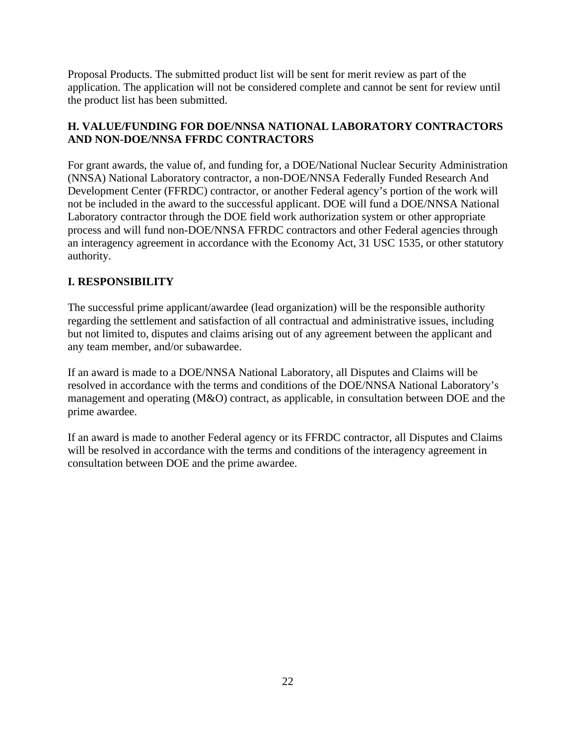Proposal Products. The submitted product list will be sent for merit review as part of the application. The application will not be considered complete and cannot be sent for review until the product list has been submitted.

# <span id="page-27-0"></span>**H. VALUE/FUNDING FOR DOE/NNSA NATIONAL LABORATORY CONTRACTORS AND NON-DOE/NNSA FFRDC CONTRACTORS**

For grant awards, the value of, and funding for, a DOE/National Nuclear Security Administration (NNSA) National Laboratory contractor, a non-DOE/NNSA Federally Funded Research And Development Center (FFRDC) contractor, or another Federal agency's portion of the work will not be included in the award to the successful applicant. DOE will fund a DOE/NNSA National Laboratory contractor through the DOE field work authorization system or other appropriate process and will fund non-DOE/NNSA FFRDC contractors and other Federal agencies through an interagency agreement in accordance with the Economy Act, 31 USC 1535, or other statutory authority.

# <span id="page-27-1"></span>**I. RESPONSIBILITY**

The successful prime applicant/awardee (lead organization) will be the responsible authority regarding the settlement and satisfaction of all contractual and administrative issues, including but not limited to, disputes and claims arising out of any agreement between the applicant and any team member, and/or subawardee.

If an award is made to a DOE/NNSA National Laboratory, all Disputes and Claims will be resolved in accordance with the terms and conditions of the DOE/NNSA National Laboratory's management and operating (M&O) contract, as applicable, in consultation between DOE and the prime awardee.

If an award is made to another Federal agency or its FFRDC contractor, all Disputes and Claims will be resolved in accordance with the terms and conditions of the interagency agreement in consultation between DOE and the prime awardee.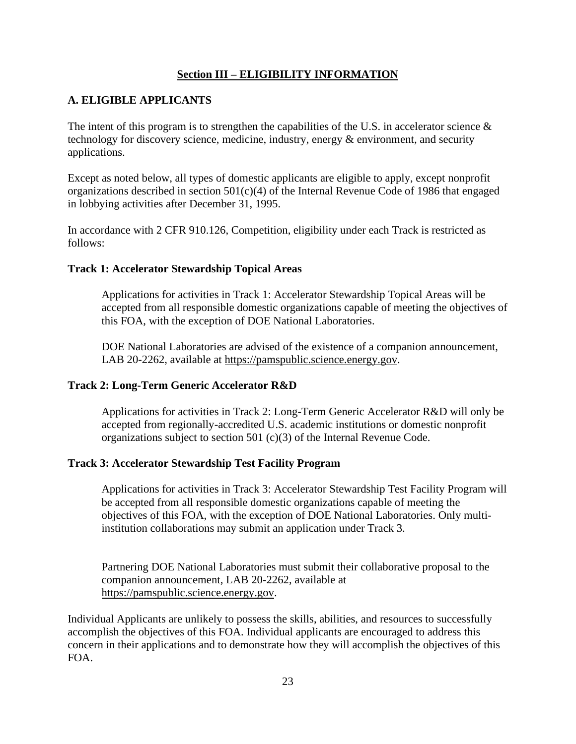### **Section III – ELIGIBILITY INFORMATION**

# <span id="page-28-1"></span><span id="page-28-0"></span>**A. ELIGIBLE APPLICANTS**

The intent of this program is to strengthen the capabilities of the U.S. in accelerator science  $\&$ technology for discovery science, medicine, industry, energy & environment, and security applications.

Except as noted below, all types of domestic applicants are eligible to apply, except nonprofit organizations described in section  $501(c)(4)$  of the Internal Revenue Code of 1986 that engaged in lobbying activities after December 31, 1995.

In accordance with 2 CFR 910.126, Competition, eligibility under each Track is restricted as follows:

#### **Track 1: Accelerator Stewardship Topical Areas**

Applications for activities in Track 1: Accelerator Stewardship Topical Areas will be accepted from all responsible domestic organizations capable of meeting the objectives of this FOA, with the exception of DOE National Laboratories.

DOE National Laboratories are advised of the existence of a companion announcement, LAB 20-2262, available at [https://pamspublic.science.energy.gov.](https://pamspublic.science.energy.gov/)

### **Track 2: Long-Term Generic Accelerator R&D**

Applications for activities in Track 2: Long-Term Generic Accelerator R&D will only be accepted from regionally-accredited U.S. academic institutions or domestic nonprofit organizations subject to section 501 (c)(3) of the Internal Revenue Code.

#### **Track 3: Accelerator Stewardship Test Facility Program**

Applications for activities in Track 3: Accelerator Stewardship Test Facility Program will be accepted from all responsible domestic organizations capable of meeting the objectives of this FOA, with the exception of DOE National Laboratories. Only multiinstitution collaborations may submit an application under Track 3.

Partnering DOE National Laboratories must submit their collaborative proposal to the companion announcement, LAB 20-2262, available at [https://pamspublic.science.energy.gov.](https://pamspublic.science.energy.gov/)

Individual Applicants are unlikely to possess the skills, abilities, and resources to successfully accomplish the objectives of this FOA. Individual applicants are encouraged to address this concern in their applications and to demonstrate how they will accomplish the objectives of this FOA.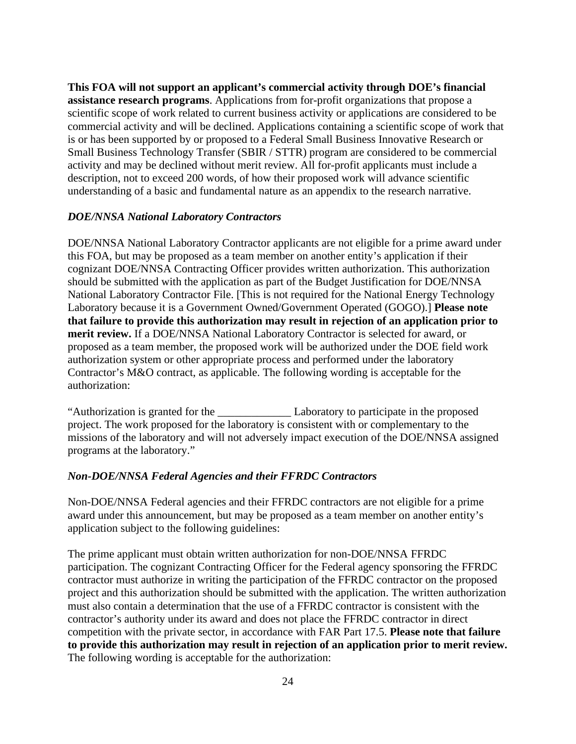**This FOA will not support an applicant's commercial activity through DOE's financial assistance research programs**. Applications from for-profit organizations that propose a scientific scope of work related to current business activity or applications are considered to be commercial activity and will be declined. Applications containing a scientific scope of work that is or has been supported by or proposed to a Federal Small Business Innovative Research or Small Business Technology Transfer (SBIR / STTR) program are considered to be commercial activity and may be declined without merit review. All for-profit applicants must include a description, not to exceed 200 words, of how their proposed work will advance scientific understanding of a basic and fundamental nature as an appendix to the research narrative.

#### *DOE/NNSA National Laboratory Contractors*

DOE/NNSA National Laboratory Contractor applicants are not eligible for a prime award under this FOA, but may be proposed as a team member on another entity's application if their cognizant DOE/NNSA Contracting Officer provides written authorization. This authorization should be submitted with the application as part of the Budget Justification for DOE/NNSA National Laboratory Contractor File. [This is not required for the National Energy Technology Laboratory because it is a Government Owned/Government Operated (GOGO).] **Please note that failure to provide this authorization may result in rejection of an application prior to merit review.** If a DOE/NNSA National Laboratory Contractor is selected for award, or proposed as a team member, the proposed work will be authorized under the DOE field work authorization system or other appropriate process and performed under the laboratory Contractor's M&O contract, as applicable. The following wording is acceptable for the authorization:

"Authorization is granted for the \_\_\_\_\_\_\_\_\_\_\_\_\_ Laboratory to participate in the proposed project. The work proposed for the laboratory is consistent with or complementary to the missions of the laboratory and will not adversely impact execution of the DOE/NNSA assigned programs at the laboratory."

#### *Non-DOE/NNSA Federal Agencies and their FFRDC Contractors*

Non-DOE/NNSA Federal agencies and their FFRDC contractors are not eligible for a prime award under this announcement, but may be proposed as a team member on another entity's application subject to the following guidelines:

The prime applicant must obtain written authorization for non-DOE/NNSA FFRDC participation. The cognizant Contracting Officer for the Federal agency sponsoring the FFRDC contractor must authorize in writing the participation of the FFRDC contractor on the proposed project and this authorization should be submitted with the application. The written authorization must also contain a determination that the use of a FFRDC contractor is consistent with the contractor's authority under its award and does not place the FFRDC contractor in direct competition with the private sector, in accordance with FAR Part 17.5. **Please note that failure to provide this authorization may result in rejection of an application prior to merit review.** The following wording is acceptable for the authorization: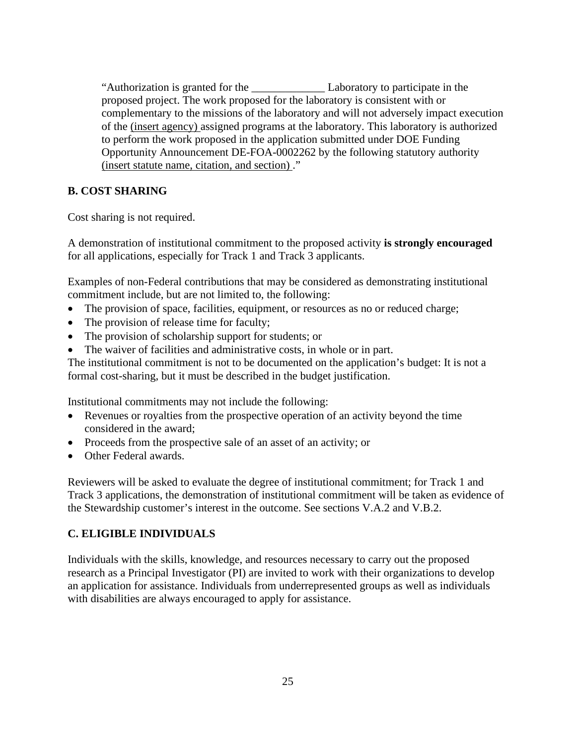"Authorization is granted for the \_\_\_\_\_\_\_\_\_\_\_\_\_ Laboratory to participate in the proposed project. The work proposed for the laboratory is consistent with or complementary to the missions of the laboratory and will not adversely impact execution of the (insert agency) assigned programs at the laboratory. This laboratory is authorized to perform the work proposed in the application submitted under DOE Funding Opportunity Announcement DE-FOA-0002262 by the following statutory authority (insert statute name, citation, and section) ."

# <span id="page-30-0"></span>**B. COST SHARING**

Cost sharing is not required.

A demonstration of institutional commitment to the proposed activity **is strongly encouraged** for all applications, especially for Track 1 and Track 3 applicants.

Examples of non-Federal contributions that may be considered as demonstrating institutional commitment include, but are not limited to, the following:

- The provision of space, facilities, equipment, or resources as no or reduced charge;
- The provision of release time for faculty;
- The provision of scholarship support for students; or
- The waiver of facilities and administrative costs, in whole or in part.

The institutional commitment is not to be documented on the application's budget: It is not a formal cost-sharing, but it must be described in the budget justification.

Institutional commitments may not include the following:

- Revenues or royalties from the prospective operation of an activity beyond the time considered in the award;
- Proceeds from the prospective sale of an asset of an activity; or
- Other Federal awards.

Reviewers will be asked to evaluate the degree of institutional commitment; for Track 1 and Track 3 applications, the demonstration of institutional commitment will be taken as evidence of the Stewardship customer's interest in the outcome. See sections V.A.2 and V.B.2.

# <span id="page-30-1"></span>**C. ELIGIBLE INDIVIDUALS**

Individuals with the skills, knowledge, and resources necessary to carry out the proposed research as a Principal Investigator (PI) are invited to work with their organizations to develop an application for assistance. Individuals from underrepresented groups as well as individuals with disabilities are always encouraged to apply for assistance.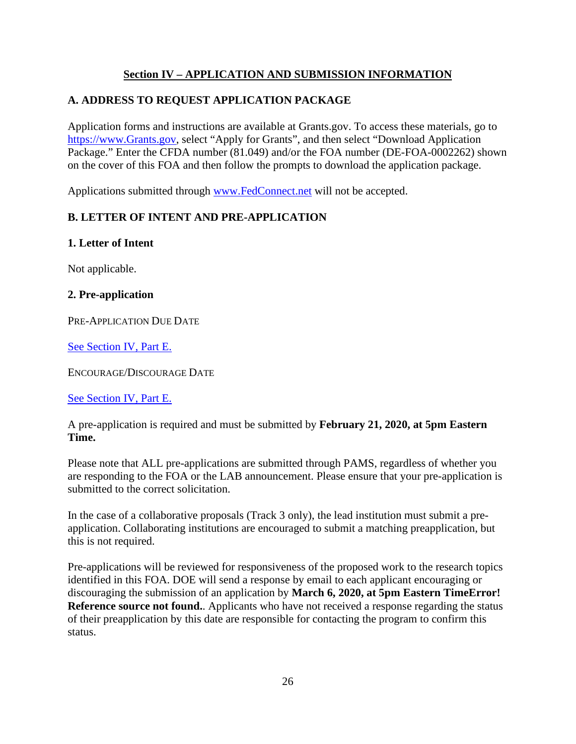# **Section IV – APPLICATION AND SUBMISSION INFORMATION**

# <span id="page-31-1"></span><span id="page-31-0"></span>**A. ADDRESS TO REQUEST APPLICATION PACKAGE**

Application forms and instructions are available at Grants.gov. To access these materials, go to [https://www.Grants.gov,](https://energy.gov/management/office-management/operational-management/financial-assistance/financial-assistance-forms) select "Apply for Grants", and then select "Download Application Package." Enter the CFDA number (81.049) and/or the FOA number (DE-FOA-0002262) shown on the cover of this FOA and then follow the prompts to download the application package.

Applications submitted through [www.FedConnect.net](https://www.export.gov/) will not be accepted.

# <span id="page-31-2"></span>**B. LETTER OF INTENT AND PRE-APPLICATION**

### **1. Letter of Intent**

Not applicable.

### **2. Pre-application**

PRE-APPLICATION DUE DATE

See [Section](#page-59-2) IV, Part E.

ENCOURAGE/DISCOURAGE DATE

See [Section](#page-59-2) IV, Part E.

A pre-application is required and must be submitted by **February 21, 2020, at 5pm Eastern Time.**

Please note that ALL pre-applications are submitted through PAMS, regardless of whether you are responding to the FOA or the LAB announcement. Please ensure that your pre-application is submitted to the correct solicitation.

In the case of a collaborative proposals (Track 3 only), the lead institution must submit a preapplication. Collaborating institutions are encouraged to submit a matching preapplication, but this is not required.

Pre-applications will be reviewed for responsiveness of the proposed work to the research topics identified in this FOA. DOE will send a response by email to each applicant encouraging or discouraging the submission of an application by **March 6, 2020, at 5pm Eastern TimeError! Reference source not found.**. Applicants who have not received a response regarding the status of their preapplication by this date are responsible for contacting the program to confirm this status.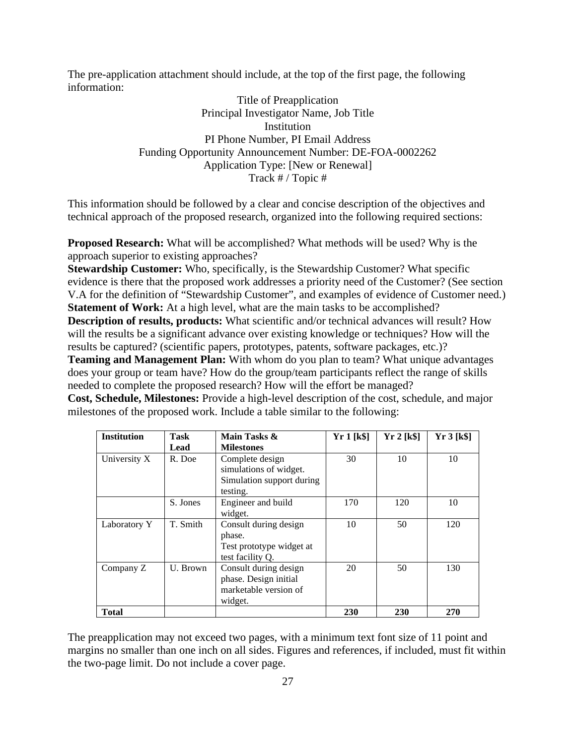The pre-application attachment should include, at the top of the first page, the following information:

> Title of Preapplication Principal Investigator Name, Job Title **Institution** PI Phone Number, PI Email Address Funding Opportunity Announcement Number: DE-FOA-0002262 Application Type: [New or Renewal] Track # / Topic #

This information should be followed by a clear and concise description of the objectives and technical approach of the proposed research, organized into the following required sections:

**Proposed Research:** What will be accomplished? What methods will be used? Why is the approach superior to existing approaches?

**Stewardship Customer:** Who, specifically, is the Stewardship Customer? What specific evidence is there that the proposed work addresses a priority need of the Customer? (See section V.A for the definition of "Stewardship Customer", and examples of evidence of Customer need.) **Statement of Work:** At a high level, what are the main tasks to be accomplished? **Description of results, products:** What scientific and/or technical advances will result? How will the results be a significant advance over existing knowledge or techniques? How will the

results be captured? (scientific papers, prototypes, patents, software packages, etc.)?

**Teaming and Management Plan:** With whom do you plan to team? What unique advantages does your group or team have? How do the group/team participants reflect the range of skills needed to complete the proposed research? How will the effort be managed?

**Cost, Schedule, Milestones:** Provide a high-level description of the cost, schedule, and major milestones of the proposed work. Include a table similar to the following:

| <b>Institution</b> | Task     | Main Tasks &              | Yr1[k\$] | Yr 2 [k\$] | Yr 3 [k\$] |
|--------------------|----------|---------------------------|----------|------------|------------|
|                    | Lead     | <b>Milestones</b>         |          |            |            |
| University X       | R. Doe   | Complete design           | 30       | 10         | 10         |
|                    |          | simulations of widget.    |          |            |            |
|                    |          | Simulation support during |          |            |            |
|                    |          | testing.                  |          |            |            |
|                    | S. Jones | Engineer and build        | 170      | 120        | 10         |
|                    |          | widget.                   |          |            |            |
| Laboratory Y       | T. Smith | Consult during design     | 10       | 50         | 120        |
|                    |          | phase.                    |          |            |            |
|                    |          | Test prototype widget at  |          |            |            |
|                    |          | test facility O.          |          |            |            |
| Company Z          | U. Brown | Consult during design     | 20       | 50         | 130        |
|                    |          | phase. Design initial     |          |            |            |
|                    |          | marketable version of     |          |            |            |
|                    |          | widget.                   |          |            |            |
| <b>Total</b>       |          |                           | 230      | 230        | 270        |

The preapplication may not exceed two pages, with a minimum text font size of 11 point and margins no smaller than one inch on all sides. Figures and references, if included, must fit within the two-page limit. Do not include a cover page.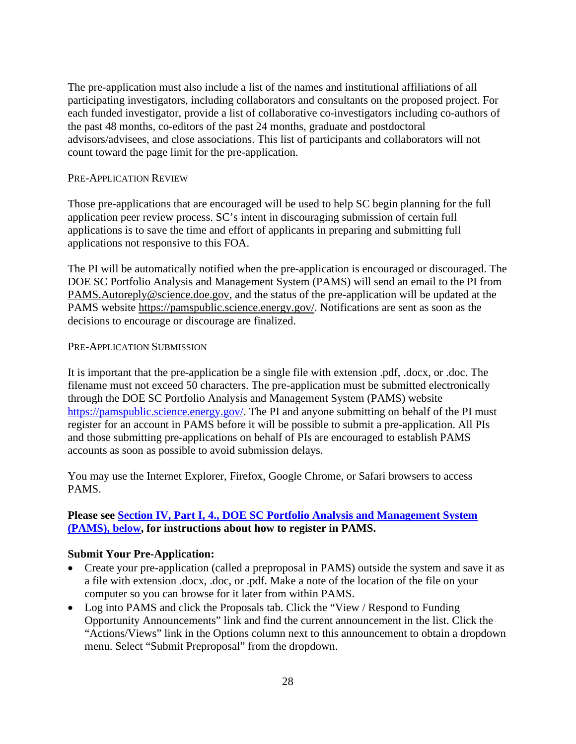The pre-application must also include a list of the names and institutional affiliations of all participating investigators, including collaborators and consultants on the proposed project. For each funded investigator, provide a list of collaborative co-investigators including co-authors of the past 48 months, co-editors of the past 24 months, graduate and postdoctoral advisors/advisees, and close associations. This list of participants and collaborators will not count toward the page limit for the pre-application.

#### PRE-APPLICATION REVIEW

Those pre-applications that are encouraged will be used to help SC begin planning for the full application peer review process. SC's intent in discouraging submission of certain full applications is to save the time and effort of applicants in preparing and submitting full applications not responsive to this FOA.

The PI will be automatically notified when the pre-application is encouraged or discouraged. The DOE SC Portfolio Analysis and Management System (PAMS) will send an email to the PI from [PAMS.Autoreply@science.doe.gov,](mailto:PAMS.Autoreply@science.doe.gov) and the status of the pre-application will be updated at the PAMS website [https://pamspublic.science.energy.gov/.](https://pamspublic.science.energy.gov/) Notifications are sent as soon as the decisions to encourage or discourage are finalized.

#### PRE-APPLICATION SUBMISSION

It is important that the pre-application be a single file with extension .pdf, .docx, or .doc. The filename must not exceed 50 characters. The pre-application must be submitted electronically through the DOE SC Portfolio Analysis and Management System (PAMS) website [https://pamspublic.science.energy.gov/.](https://pamspublic.science.energy.gov/) The PI and anyone submitting on behalf of the PI must register for an account in PAMS before it will be possible to submit a pre-application. All PIs and those submitting pre-applications on behalf of PIs are encouraged to establish PAMS accounts as soon as possible to avoid submission delays.

You may use the Internet Explorer, Firefox, Google Chrome, or Safari browsers to access PAMS.

### **Please see [Section IV, Part I, 4., DOE SC Portfolio Analysis and Management System](#page-61-0)  [\(PAMS\), below,](#page-61-0) for instructions about how to register in PAMS.**

#### **Submit Your Pre-Application:**

- Create your pre-application (called a preproposal in PAMS) outside the system and save it as a file with extension .docx, .doc, or .pdf. Make a note of the location of the file on your computer so you can browse for it later from within PAMS.
- Log into PAMS and click the Proposals tab. Click the "View / Respond to Funding" Opportunity Announcements" link and find the current announcement in the list. Click the "Actions/Views" link in the Options column next to this announcement to obtain a dropdown menu. Select "Submit Preproposal" from the dropdown.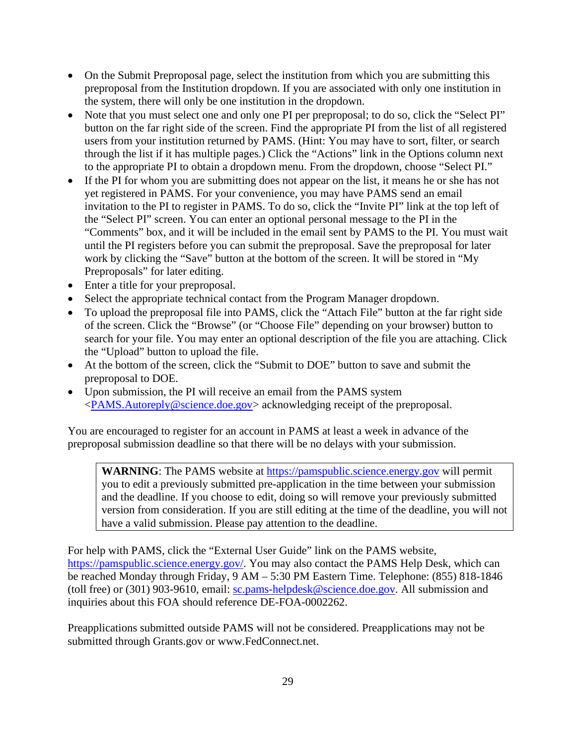- On the Submit Preproposal page, select the institution from which you are submitting this preproposal from the Institution dropdown. If you are associated with only one institution in the system, there will only be one institution in the dropdown.
- Note that you must select one and only one PI per preproposal; to do so, click the "Select PI" button on the far right side of the screen. Find the appropriate PI from the list of all registered users from your institution returned by PAMS. (Hint: You may have to sort, filter, or search through the list if it has multiple pages.) Click the "Actions" link in the Options column next to the appropriate PI to obtain a dropdown menu. From the dropdown, choose "Select PI."
- If the PI for whom you are submitting does not appear on the list, it means he or she has not yet registered in PAMS. For your convenience, you may have PAMS send an email invitation to the PI to register in PAMS. To do so, click the "Invite PI" link at the top left of the "Select PI" screen. You can enter an optional personal message to the PI in the "Comments" box, and it will be included in the email sent by PAMS to the PI. You must wait until the PI registers before you can submit the preproposal. Save the preproposal for later work by clicking the "Save" button at the bottom of the screen. It will be stored in "My Preproposals" for later editing.
- Enter a title for your preproposal.
- Select the appropriate technical contact from the Program Manager dropdown.
- To upload the preproposal file into PAMS, click the "Attach File" button at the far right side of the screen. Click the "Browse" (or "Choose File" depending on your browser) button to search for your file. You may enter an optional description of the file you are attaching. Click the "Upload" button to upload the file.
- At the bottom of the screen, click the "Submit to DOE" button to save and submit the preproposal to DOE.
- Upon submission, the PI will receive an email from the PAMS system [<PAMS.Autoreply@science.doe.gov>](mailto:PAMS.Autoreply@science.doe.gov) acknowledging receipt of the preproposal.

You are encouraged to register for an account in PAMS at least a week in advance of the preproposal submission deadline so that there will be no delays with your submission.

WARNING: The PAMS website at [https://pamspublic.science.energy.gov](https://pamspublic.science.energy.gov/) will permit you to edit a previously submitted pre-application in the time between your submission and the deadline. If you choose to edit, doing so will remove your previously submitted version from consideration. If you are still editing at the time of the deadline, you will not have a valid submission. Please pay attention to the deadline.

For help with PAMS, click the "External User Guide" link on the PAMS website, [https://pamspublic.science.energy.gov/.](https://pamspublic.science.energy.gov/) You may also contact the PAMS Help Desk, which can be reached Monday through Friday, 9 AM – 5:30 PM Eastern Time. Telephone: (855) 818-1846 (toll free) or (301) 903-9610, email: [sc.pams-helpdesk@science.doe.gov.](mailto:sc.pams-helpdesk@science.doe.gov) All submission and inquiries about this FOA should reference DE-FOA-0002262.

Preapplications submitted outside PAMS will not be considered. Preapplications may not be submitted through Grants.gov or www.FedConnect.net.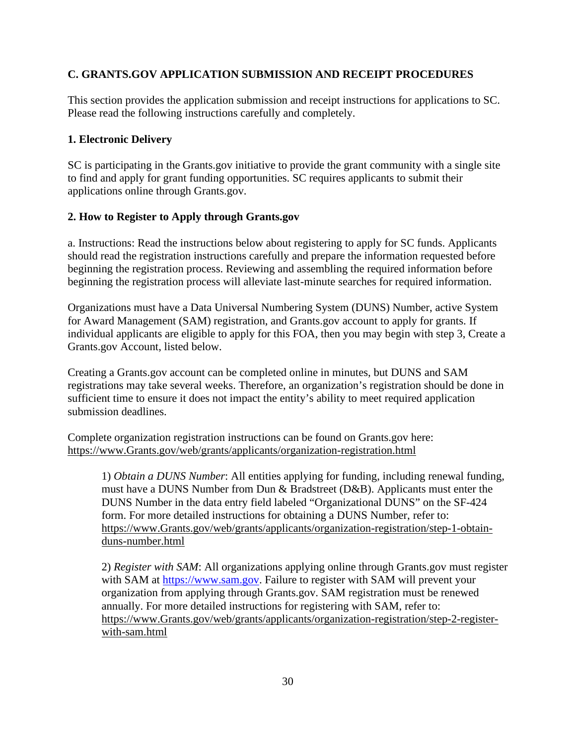# <span id="page-35-0"></span>**C. GRANTS.GOV APPLICATION SUBMISSION AND RECEIPT PROCEDURES**

This section provides the application submission and receipt instructions for applications to SC. Please read the following instructions carefully and completely.

# **1. Electronic Delivery**

SC is participating in the Grants.gov initiative to provide the grant community with a single site to find and apply for grant funding opportunities. SC requires applicants to submit their applications online through Grants.gov.

### **2. How to Register to Apply through Grants.gov**

a. Instructions: Read the instructions below about registering to apply for SC funds. Applicants should read the registration instructions carefully and prepare the information requested before beginning the registration process. Reviewing and assembling the required information before beginning the registration process will alleviate last-minute searches for required information.

Organizations must have a Data Universal Numbering System (DUNS) Number, active System for Award Management (SAM) registration, and Grants.gov account to apply for grants. If individual applicants are eligible to apply for this FOA, then you may begin with step 3, Create a Grants.gov Account, listed below.

Creating a Grants.gov account can be completed online in minutes, but DUNS and SAM registrations may take several weeks. Therefore, an organization's registration should be done in sufficient time to ensure it does not impact the entity's ability to meet required application submission deadlines.

Complete organization registration instructions can be found on Grants.gov here: [https://www.Grants.gov/web/grants/applicants/organization-registration.html](https://www.grants.gov/web/grants/applicants/organization-registration.html)

1) *Obtain a DUNS Number*: All entities applying for funding, including renewal funding, must have a DUNS Number from Dun & Bradstreet (D&B). Applicants must enter the DUNS Number in the data entry field labeled "Organizational DUNS" on the SF-424 form. For more detailed instructions for obtaining a DUNS Number, refer to: [https://www.Grants.gov/web/grants/applicants/organization-registration/step-1-obtain](https://www.grants.gov/web/grants/applicants/organization-registration/step-1-obtain-duns-number.html)[duns-number.html](https://www.grants.gov/web/grants/applicants/organization-registration/step-1-obtain-duns-number.html)

2) *Register with SAM*: All organizations applying online through Grants.gov must register with SAM at [https://www.sam.gov.](https://www.sam.gov/) Failure to register with SAM will prevent your organization from applying through Grants.gov. SAM registration must be renewed annually. For more detailed instructions for registering with SAM, refer to: [https://www.Grants.gov/web/grants/applicants/organization-registration/step-2-register](https://www.grants.gov/web/grants/applicants/organization-registration/step-2-register-with-sam.html)[with-sam.html](https://www.grants.gov/web/grants/applicants/organization-registration/step-2-register-with-sam.html)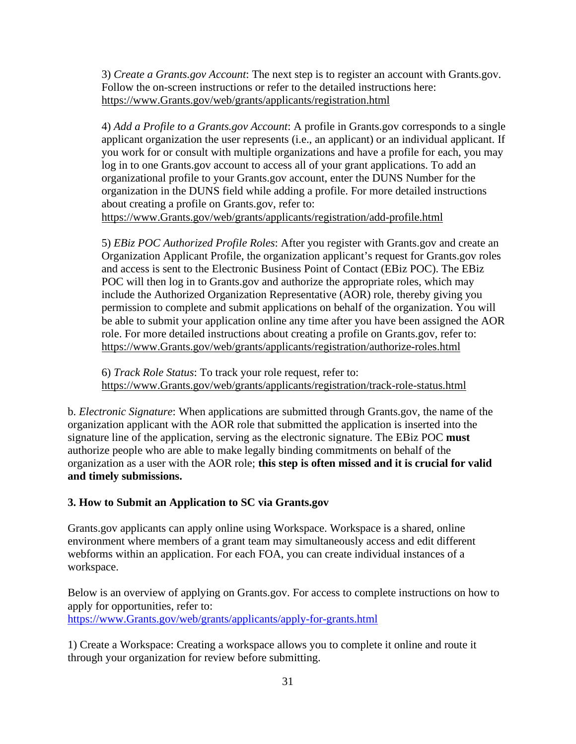3) *Create a Grants.gov Account*: The next step is to register an account with Grants.gov. Follow the on-screen instructions or refer to the detailed instructions here: [https://www.Grants.gov/web/grants/applicants/registration.html](https://www.grants.gov/web/grants/applicants/registration.html)

4) *Add a Profile to a Grants.gov Account*: A profile in Grants.gov corresponds to a single applicant organization the user represents (i.e., an applicant) or an individual applicant. If you work for or consult with multiple organizations and have a profile for each, you may log in to one Grants.gov account to access all of your grant applications. To add an organizational profile to your Grants.gov account, enter the DUNS Number for the organization in the DUNS field while adding a profile. For more detailed instructions about creating a profile on Grants.gov, refer to: [https://www.Grants.gov/web/grants/applicants/registration/add-profile.html](https://www.grants.gov/web/grants/applicants/registration/add-profile.html)

5) *EBiz POC Authorized Profile Roles*: After you register with Grants.gov and create an Organization Applicant Profile, the organization applicant's request for Grants.gov roles and access is sent to the Electronic Business Point of Contact (EBiz POC). The EBiz POC will then log in to Grants.gov and authorize the appropriate roles, which may include the Authorized Organization Representative (AOR) role, thereby giving you permission to complete and submit applications on behalf of the organization. You will be able to submit your application online any time after you have been assigned the AOR role. For more detailed instructions about creating a profile on Grants.gov, refer to: [https://www.Grants.gov/web/grants/applicants/registration/authorize-roles.html](https://www.grants.gov/web/grants/applicants/registration/authorize-roles.html)

6) *Track Role Status*: To track your role request, refer to: [https://www.Grants.gov/web/grants/applicants/registration/track-role-status.html](https://www.grants.gov/web/grants/applicants/registration/track-role-status.html)

b. *Electronic Signature*: When applications are submitted through Grants.gov, the name of the organization applicant with the AOR role that submitted the application is inserted into the signature line of the application, serving as the electronic signature. The EBiz POC **must** authorize people who are able to make legally binding commitments on behalf of the organization as a user with the AOR role; **this step is often missed and it is crucial for valid and timely submissions.**

### **3. How to Submit an Application to SC via Grants.gov**

Grants.gov applicants can apply online using Workspace. Workspace is a shared, online environment where members of a grant team may simultaneously access and edit different webforms within an application. For each FOA, you can create individual instances of a workspace.

Below is an overview of applying on Grants.gov. For access to complete instructions on how to apply for opportunities, refer to:

[https://www.Grants.gov/web/grants/applicants/apply-for-grants.html](https://www.grants.gov/web/grants/applicants/apply-for-grants.html)

1) Create a Workspace: Creating a workspace allows you to complete it online and route it through your organization for review before submitting.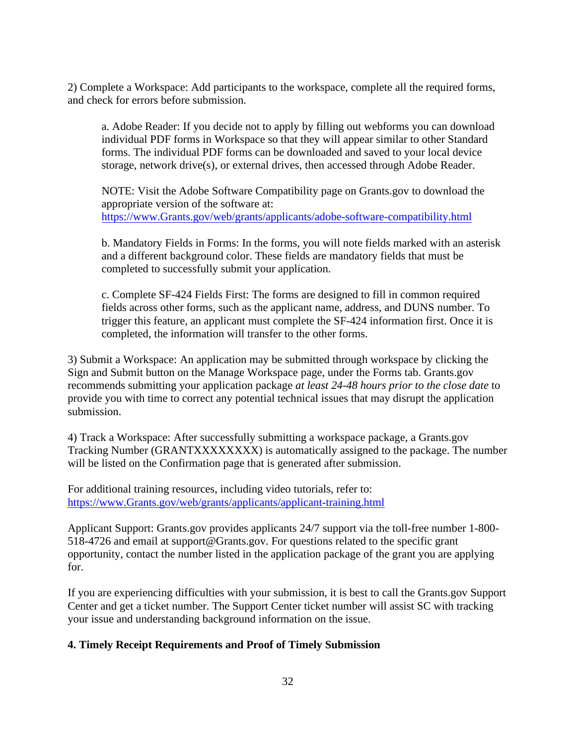2) Complete a Workspace: Add participants to the workspace, complete all the required forms, and check for errors before submission.

a. Adobe Reader: If you decide not to apply by filling out webforms you can download individual PDF forms in Workspace so that they will appear similar to other Standard forms. The individual PDF forms can be downloaded and saved to your local device storage, network drive(s), or external drives, then accessed through Adobe Reader.

NOTE: Visit the Adobe Software Compatibility page on Grants.gov to download the appropriate version of the software at: [https://www.Grants.gov/web/grants/applicants/adobe-software-compatibility.html](https://www.grants.gov/web/grants/applicants/adobe-software-compatibility.html)

b. Mandatory Fields in Forms: In the forms, you will note fields marked with an asterisk and a different background color. These fields are mandatory fields that must be completed to successfully submit your application.

c. Complete SF-424 Fields First: The forms are designed to fill in common required fields across other forms, such as the applicant name, address, and DUNS number. To trigger this feature, an applicant must complete the SF-424 information first. Once it is completed, the information will transfer to the other forms.

3) Submit a Workspace: An application may be submitted through workspace by clicking the Sign and Submit button on the Manage Workspace page, under the Forms tab. Grants.gov recommends submitting your application package *at least 24-48 hours prior to the close date* to provide you with time to correct any potential technical issues that may disrupt the application submission.

4) Track a Workspace: After successfully submitting a workspace package, a Grants.gov Tracking Number (GRANTXXXXXXXX) is automatically assigned to the package. The number will be listed on the Confirmation page that is generated after submission.

For additional training resources, including video tutorials, refer to: [https://www.Grants.gov/web/grants/applicants/applicant-training.html](https://www.grants.gov/web/grants/applicants/applicant-training.html)

Applicant Support: Grants.gov provides applicants 24/7 support via the toll-free number 1-800- 518-4726 and email at support@Grants.gov. For questions related to the specific grant opportunity, contact the number listed in the application package of the grant you are applying for.

If you are experiencing difficulties with your submission, it is best to call the Grants.gov Support Center and get a ticket number. The Support Center ticket number will assist SC with tracking your issue and understanding background information on the issue.

## **4. Timely Receipt Requirements and Proof of Timely Submission**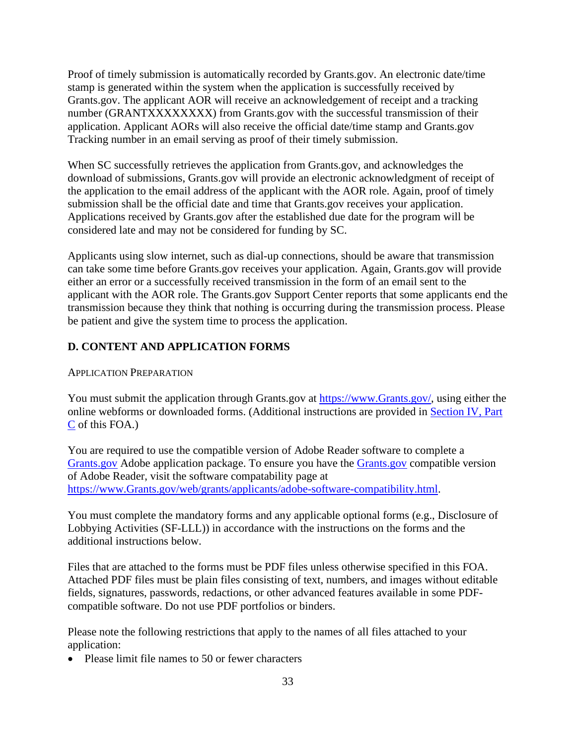Proof of timely submission is automatically recorded by Grants.gov. An electronic date/time stamp is generated within the system when the application is successfully received by Grants.gov. The applicant AOR will receive an acknowledgement of receipt and a tracking number (GRANTXXXXXXXX) from Grants.gov with the successful transmission of their application. Applicant AORs will also receive the official date/time stamp and Grants.gov Tracking number in an email serving as proof of their timely submission.

When SC successfully retrieves the application from Grants.gov, and acknowledges the download of submissions, Grants.gov will provide an electronic acknowledgment of receipt of the application to the email address of the applicant with the AOR role. Again, proof of timely submission shall be the official date and time that Grants.gov receives your application. Applications received by Grants.gov after the established due date for the program will be considered late and may not be considered for funding by SC.

Applicants using slow internet, such as dial-up connections, should be aware that transmission can take some time before Grants.gov receives your application. Again, Grants.gov will provide either an error or a successfully received transmission in the form of an email sent to the applicant with the AOR role. The Grants.gov Support Center reports that some applicants end the transmission because they think that nothing is occurring during the transmission process. Please be patient and give the system time to process the application.

### **D. CONTENT AND APPLICATION FORMS**

#### APPLICATION PREPARATION

You must submit the application through Grants.gov at [https://www.Grants.gov/,](https://www.grants.gov/) using either the online webforms or downloaded forms. (Additional instructions are provided in [Section](#page-35-0) IV, Part [C](#page-35-0) of this FOA.)

You are required to use the compatible version of Adobe Reader software to complete a [Grants.gov](https://www.grants.gov/) Adobe application package. To ensure you have the [Grants.gov](https://www.grants.gov/) compatible version of Adobe Reader, visit the software compatability page at [https://www.Grants.gov/web/grants/applicants/adobe-software-compatibility.html.](https://www.grants.gov/web/grants/applicants/adobe-software-compatibility.html)

You must complete the mandatory forms and any applicable optional forms (e.g., Disclosure of Lobbying Activities (SF-LLL)) in accordance with the instructions on the forms and the additional instructions below.

Files that are attached to the forms must be PDF files unless otherwise specified in this FOA. Attached PDF files must be plain files consisting of text, numbers, and images without editable fields, signatures, passwords, redactions, or other advanced features available in some PDFcompatible software. Do not use PDF portfolios or binders.

Please note the following restrictions that apply to the names of all files attached to your application:

• Please limit file names to 50 or fewer characters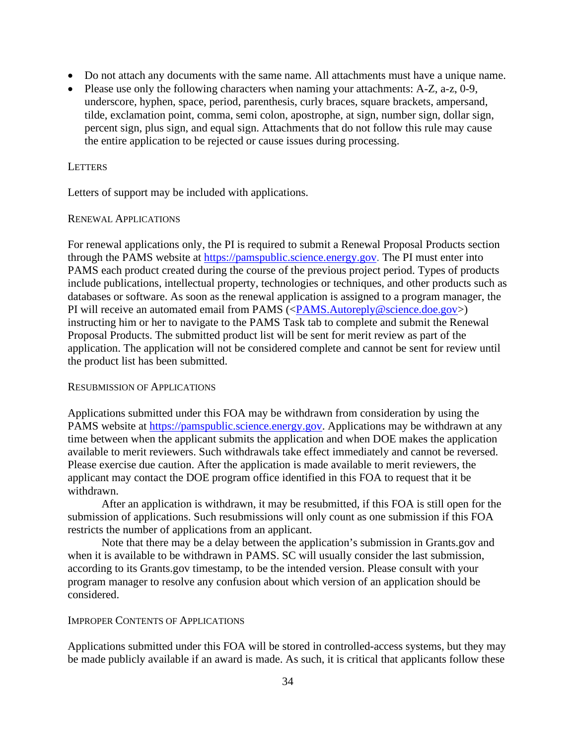- Do not attach any documents with the same name. All attachments must have a unique name.
- Please use only the following characters when naming your attachments: A-Z, a-z, 0-9, underscore, hyphen, space, period, parenthesis, curly braces, square brackets, ampersand, tilde, exclamation point, comma, semi colon, apostrophe, at sign, number sign, dollar sign, percent sign, plus sign, and equal sign. Attachments that do not follow this rule may cause the entire application to be rejected or cause issues during processing.

#### **LETTERS**

Letters of support may be included with applications.

#### RENEWAL APPLICATIONS

For renewal applications only, the PI is required to submit a Renewal Proposal Products section through the PAMS website at [https://pamspublic.science.energy.gov.](https://pamspublic.science.energy.gov/) The PI must enter into PAMS each product created during the course of the previous project period. Types of products include publications, intellectual property, technologies or techniques, and other products such as databases or software. As soon as the renewal application is assigned to a program manager, the PI will receive an automated email from PAMS ([<PAMS.Autoreply@science.doe.gov>](mailto:PAMS.Autoreply@science.doe.gov)) instructing him or her to navigate to the PAMS Task tab to complete and submit the Renewal Proposal Products. The submitted product list will be sent for merit review as part of the application. The application will not be considered complete and cannot be sent for review until the product list has been submitted.

#### RESUBMISSION OF APPLICATIONS

Applications submitted under this FOA may be withdrawn from consideration by using the PAMS website at [https://pamspublic.science.energy.gov.](https://pamspublic.science.energy.gov/) Applications may be withdrawn at any time between when the applicant submits the application and when DOE makes the application available to merit reviewers. Such withdrawals take effect immediately and cannot be reversed. Please exercise due caution. After the application is made available to merit reviewers, the applicant may contact the DOE program office identified in this FOA to request that it be withdrawn.

After an application is withdrawn, it may be resubmitted, if this FOA is still open for the submission of applications. Such resubmissions will only count as one submission if this FOA restricts the number of applications from an applicant.

Note that there may be a delay between the application's submission in Grants.gov and when it is available to be withdrawn in PAMS. SC will usually consider the last submission, according to its Grants.gov timestamp, to be the intended version. Please consult with your program manager to resolve any confusion about which version of an application should be considered.

#### IMPROPER CONTENTS OF APPLICATIONS

Applications submitted under this FOA will be stored in controlled-access systems, but they may be made publicly available if an award is made. As such, it is critical that applicants follow these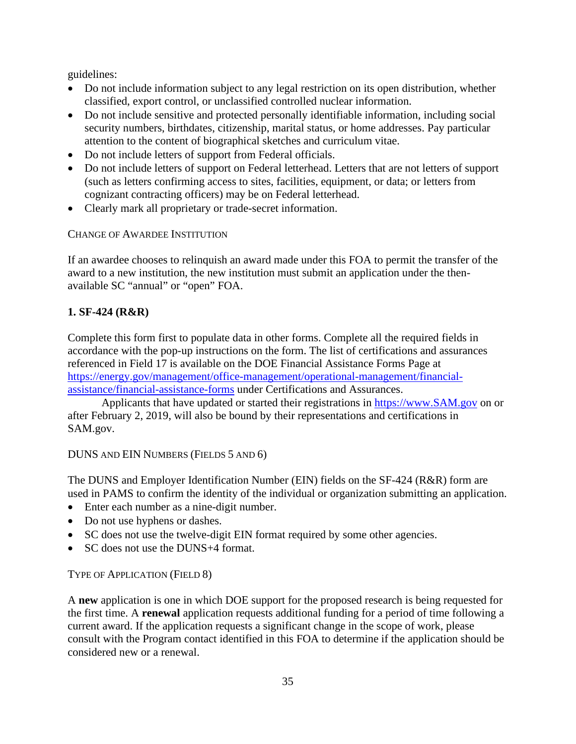guidelines:

- Do not include information subject to any legal restriction on its open distribution, whether classified, export control, or unclassified controlled nuclear information.
- Do not include sensitive and protected personally identifiable information, including social security numbers, birthdates, citizenship, marital status, or home addresses. Pay particular attention to the content of biographical sketches and curriculum vitae.
- Do not include letters of support from Federal officials.
- Do not include letters of support on Federal letterhead. Letters that are not letters of support (such as letters confirming access to sites, facilities, equipment, or data; or letters from cognizant contracting officers) may be on Federal letterhead.
- Clearly mark all proprietary or trade-secret information.

CHANGE OF AWARDEE INSTITUTION

If an awardee chooses to relinquish an award made under this FOA to permit the transfer of the award to a new institution, the new institution must submit an application under the thenavailable SC "annual" or "open" FOA.

## **1. SF-424 (R&R)**

Complete this form first to populate data in other forms. Complete all the required fields in accordance with the pop-up instructions on the form. The list of certifications and assurances referenced in Field 17 is available on the DOE Financial Assistance Forms Page at [https://energy.gov/management/office-management/operational-management/financial](https://energy.gov/management/office-management/operational-management/financial-assistance/financial-assistance-forms)[assistance/financial-assistance-forms](https://energy.gov/management/office-management/operational-management/financial-assistance/financial-assistance-forms) under Certifications and Assurances.

Applicants that have updated or started their registrations in [https://www.SAM.gov](https://www.sam.gov/) on or after February 2, 2019, will also be bound by their representations and certifications in SAM.gov.

DUNS AND EIN NUMBERS (FIELDS 5 AND 6)

The DUNS and Employer Identification Number (EIN) fields on the SF-424 (R&R) form are used in PAMS to confirm the identity of the individual or organization submitting an application.

- Enter each number as a nine-digit number.
- Do not use hyphens or dashes.
- SC does not use the twelve-digit EIN format required by some other agencies.
- SC does not use the DUNS+4 format.

## TYPE OF APPLICATION (FIELD 8)

A **new** application is one in which DOE support for the proposed research is being requested for the first time. A **renewal** application requests additional funding for a period of time following a current award. If the application requests a significant change in the scope of work, please consult with the Program contact identified in this FOA to determine if the application should be considered new or a renewal.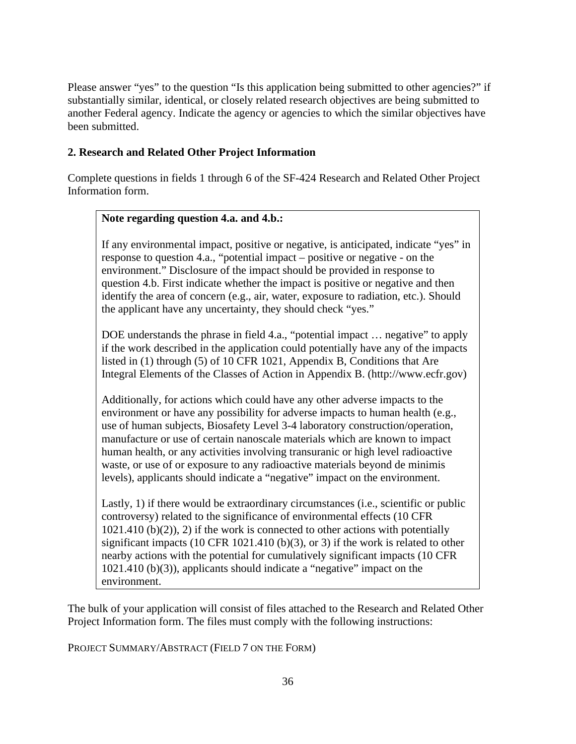Please answer "yes" to the question "Is this application being submitted to other agencies?" if substantially similar, identical, or closely related research objectives are being submitted to another Federal agency. Indicate the agency or agencies to which the similar objectives have been submitted.

### **2. Research and Related Other Project Information**

Complete questions in fields 1 through 6 of the SF-424 Research and Related Other Project Information form.

#### **Note regarding question 4.a. and 4.b.:**

If any environmental impact, positive or negative, is anticipated, indicate "yes" in response to question 4.a., "potential impact – positive or negative - on the environment." Disclosure of the impact should be provided in response to question 4.b. First indicate whether the impact is positive or negative and then identify the area of concern (e.g., air, water, exposure to radiation, etc.). Should the applicant have any uncertainty, they should check "yes."

DOE understands the phrase in field 4.a., "potential impact ... negative" to apply if the work described in the application could potentially have any of the impacts listed in (1) through (5) of 10 CFR 1021, Appendix B, Conditions that Are Integral Elements of the Classes of Action in Appendix B. (http://www.ecfr.gov)

Additionally, for actions which could have any other adverse impacts to the environment or have any possibility for adverse impacts to human health (e.g., use of human subjects, Biosafety Level 3-4 laboratory construction/operation, manufacture or use of certain nanoscale materials which are known to impact human health, or any activities involving transuranic or high level radioactive waste, or use of or exposure to any radioactive materials beyond de minimis levels), applicants should indicate a "negative" impact on the environment.

Lastly, 1) if there would be extraordinary circumstances (i.e., scientific or public controversy) related to the significance of environmental effects (10 CFR  $1021.410$  (b)(2)), 2) if the work is connected to other actions with potentially significant impacts (10 CFR 1021.410 (b)(3), or 3) if the work is related to other nearby actions with the potential for cumulatively significant impacts (10 CFR 1021.410 (b)(3)), applicants should indicate a "negative" impact on the environment.

The bulk of your application will consist of files attached to the Research and Related Other Project Information form. The files must comply with the following instructions:

PROJECT SUMMARY/ABSTRACT (FIELD 7 ON THE FORM)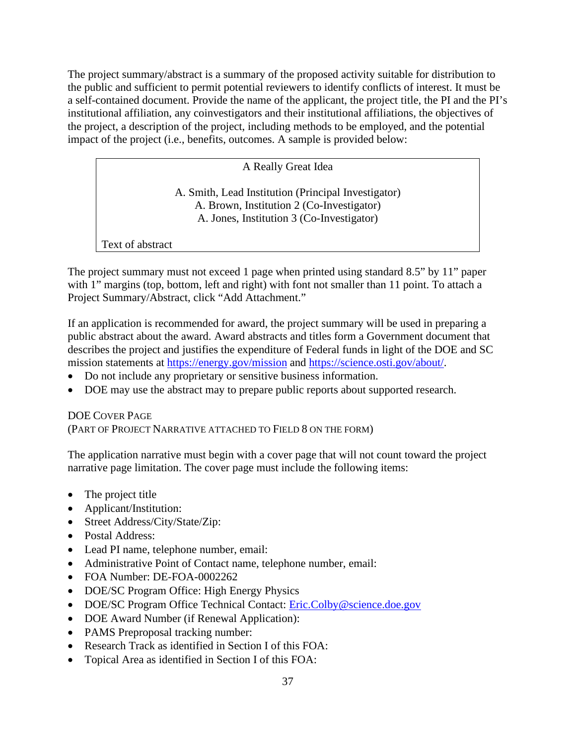The project summary/abstract is a summary of the proposed activity suitable for distribution to the public and sufficient to permit potential reviewers to identify conflicts of interest. It must be a self-contained document. Provide the name of the applicant, the project title, the PI and the PI's institutional affiliation, any coinvestigators and their institutional affiliations, the objectives of the project, a description of the project, including methods to be employed, and the potential impact of the project (i.e., benefits, outcomes. A sample is provided below:

A Really Great Idea

A. Smith, Lead Institution (Principal Investigator) A. Brown, Institution 2 (Co-Investigator) A. Jones, Institution 3 (Co-Investigator)

Text of abstract

The project summary must not exceed 1 page when printed using standard 8.5" by 11" paper with 1" margins (top, bottom, left and right) with font not smaller than 11 point. To attach a Project Summary/Abstract, click "Add Attachment."

If an application is recommended for award, the project summary will be used in preparing a public abstract about the award. Award abstracts and titles form a Government document that describes the project and justifies the expenditure of Federal funds in light of the DOE and SC mission statements at <https://energy.gov/mission> and [https://science.osti.gov/about/.](https://science.osti.gov/about/)

- Do not include any proprietary or sensitive business information.
- DOE may use the abstract may to prepare public reports about supported research.

## DOE COVER PAGE (PART OF PROJECT NARRATIVE ATTACHED TO FIELD 8 ON THE FORM)

The application narrative must begin with a cover page that will not count toward the project narrative page limitation. The cover page must include the following items:

- The project title
- Applicant/Institution:
- Street Address/City/State/Zip:
- Postal Address:
- Lead PI name, telephone number, email:
- Administrative Point of Contact name, telephone number, email:
- FOA Number: DE-FOA-0002262
- DOE/SC Program Office: High Energy Physics
- DOE/SC Program Office Technical Contact: [Eric.Colby@science.doe.gov](mailto:Eric.Colby@science.doe.gov)
- DOE Award Number (if Renewal Application):
- PAMS Preproposal tracking number:
- Research Track as identified in Section I of this FOA:
- Topical Area as identified in Section I of this FOA: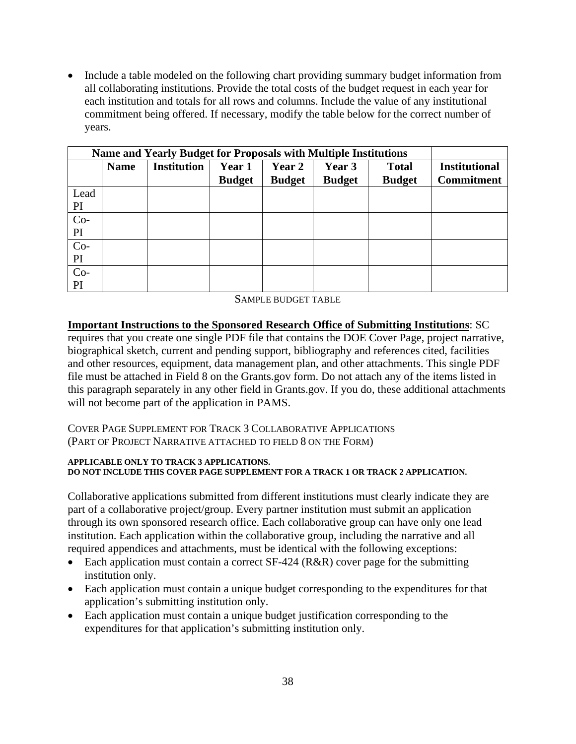• Include a table modeled on the following chart providing summary budget information from all collaborating institutions. Provide the total costs of the budget request in each year for each institution and totals for all rows and columns. Include the value of any institutional commitment being offered. If necessary, modify the table below for the correct number of years.

| <b>Name and Yearly Budget for Proposals with Multiple Institutions</b> |             |                    |               |               |               |               |                      |
|------------------------------------------------------------------------|-------------|--------------------|---------------|---------------|---------------|---------------|----------------------|
|                                                                        | <b>Name</b> | <b>Institution</b> | Year 1        | Year 2        | Year 3        | <b>Total</b>  | <b>Institutional</b> |
|                                                                        |             |                    | <b>Budget</b> | <b>Budget</b> | <b>Budget</b> | <b>Budget</b> | <b>Commitment</b>    |
| Lead                                                                   |             |                    |               |               |               |               |                      |
| PI                                                                     |             |                    |               |               |               |               |                      |
| $Co-$                                                                  |             |                    |               |               |               |               |                      |
| PI                                                                     |             |                    |               |               |               |               |                      |
| $Co-$                                                                  |             |                    |               |               |               |               |                      |
| PI                                                                     |             |                    |               |               |               |               |                      |
| $Co-$                                                                  |             |                    |               |               |               |               |                      |
| PI                                                                     |             |                    |               |               |               |               |                      |

SAMPLE BUDGET TABLE

**Important Instructions to the Sponsored Research Office of Submitting Institutions**: SC requires that you create one single PDF file that contains the DOE Cover Page, project narrative, biographical sketch, current and pending support, bibliography and references cited, facilities and other resources, equipment, data management plan, and other attachments. This single PDF file must be attached in Field 8 on the Grants.gov form. Do not attach any of the items listed in this paragraph separately in any other field in Grants.gov. If you do, these additional attachments will not become part of the application in PAMS.

COVER PAGE SUPPLEMENT FOR TRACK 3 COLLABORATIVE APPLICATIONS (PART OF PROJECT NARRATIVE ATTACHED TO FIELD 8 ON THE FORM)

#### **APPLICABLE ONLY TO TRACK 3 APPLICATIONS. DO NOT INCLUDE THIS COVER PAGE SUPPLEMENT FOR A TRACK 1 OR TRACK 2 APPLICATION.**

Collaborative applications submitted from different institutions must clearly indicate they are part of a collaborative project/group. Every partner institution must submit an application through its own sponsored research office. Each collaborative group can have only one lead institution. Each application within the collaborative group, including the narrative and all required appendices and attachments, must be identical with the following exceptions:

- Each application must contain a correct SF-424 (R&R) cover page for the submitting institution only.
- Each application must contain a unique budget corresponding to the expenditures for that application's submitting institution only.
- Each application must contain a unique budget justification corresponding to the expenditures for that application's submitting institution only.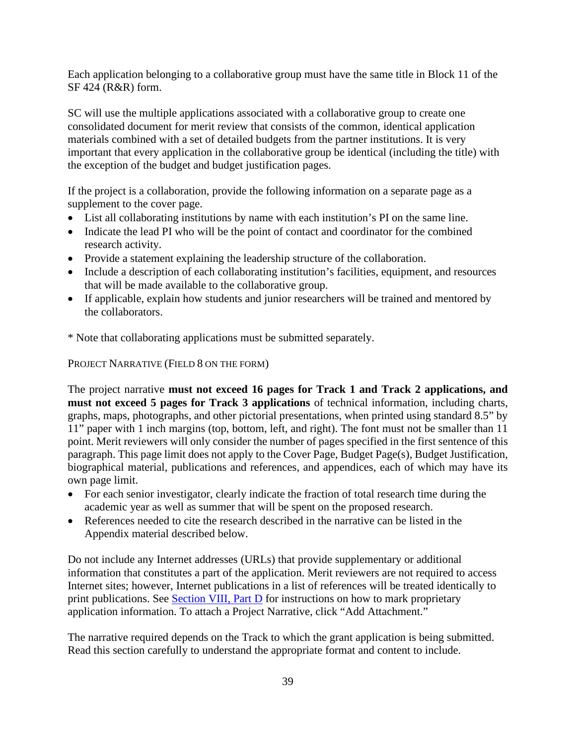Each application belonging to a collaborative group must have the same title in Block 11 of the SF 424 (R&R) form.

SC will use the multiple applications associated with a collaborative group to create one consolidated document for merit review that consists of the common, identical application materials combined with a set of detailed budgets from the partner institutions. It is very important that every application in the collaborative group be identical (including the title) with the exception of the budget and budget justification pages.

If the project is a collaboration, provide the following information on a separate page as a supplement to the cover page.

- List all collaborating institutions by name with each institution's PI on the same line.
- Indicate the lead PI who will be the point of contact and coordinator for the combined research activity.
- Provide a statement explaining the leadership structure of the collaboration.
- Include a description of each collaborating institution's facilities, equipment, and resources that will be made available to the collaborative group.
- If applicable, explain how students and junior researchers will be trained and mentored by the collaborators.
- \* Note that collaborating applications must be submitted separately.

PROJECT NARRATIVE (FIELD 8 ON THE FORM)

The project narrative **must not exceed 16 pages for Track 1 and Track 2 applications, and must not exceed 5 pages for Track 3 applications** of technical information, including charts, graphs, maps, photographs, and other pictorial presentations, when printed using standard 8.5" by 11" paper with 1 inch margins (top, bottom, left, and right). The font must not be smaller than 11 point. Merit reviewers will only consider the number of pages specified in the first sentence of this paragraph. This page limit does not apply to the Cover Page, Budget Page(s), Budget Justification, biographical material, publications and references, and appendices, each of which may have its own page limit.

- For each senior investigator, clearly indicate the fraction of total research time during the academic year as well as summer that will be spent on the proposed research.
- References needed to cite the research described in the narrative can be listed in the Appendix material described below.

Do not include any Internet addresses (URLs) that provide supplementary or additional information that constitutes a part of the application. Merit reviewers are not required to access Internet sites; however, Internet publications in a list of references will be treated identically to print publications. See Section VIII, Part  $D$  for instructions on how to mark proprietary application information. To attach a Project Narrative, click "Add Attachment."

The narrative required depends on the Track to which the grant application is being submitted. Read this section carefully to understand the appropriate format and content to include.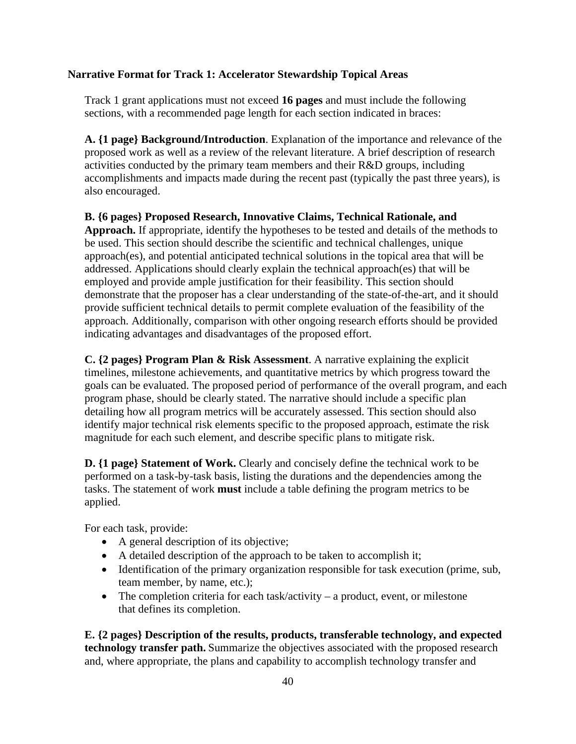### **Narrative Format for Track 1: Accelerator Stewardship Topical Areas**

Track 1 grant applications must not exceed **16 pages** and must include the following sections, with a recommended page length for each section indicated in braces:

**A. {1 page} Background/Introduction**. Explanation of the importance and relevance of the proposed work as well as a review of the relevant literature. A brief description of research activities conducted by the primary team members and their R&D groups, including accomplishments and impacts made during the recent past (typically the past three years), is also encouraged.

**B. {6 pages} Proposed Research, Innovative Claims, Technical Rationale, and Approach.** If appropriate, identify the hypotheses to be tested and details of the methods to be used. This section should describe the scientific and technical challenges, unique approach(es), and potential anticipated technical solutions in the topical area that will be addressed. Applications should clearly explain the technical approach(es) that will be employed and provide ample justification for their feasibility. This section should demonstrate that the proposer has a clear understanding of the state-of-the-art, and it should provide sufficient technical details to permit complete evaluation of the feasibility of the approach. Additionally, comparison with other ongoing research efforts should be provided indicating advantages and disadvantages of the proposed effort.

**C. {2 pages} Program Plan & Risk Assessment**. A narrative explaining the explicit timelines, milestone achievements, and quantitative metrics by which progress toward the goals can be evaluated. The proposed period of performance of the overall program, and each program phase, should be clearly stated. The narrative should include a specific plan detailing how all program metrics will be accurately assessed. This section should also identify major technical risk elements specific to the proposed approach, estimate the risk magnitude for each such element, and describe specific plans to mitigate risk.

**D. {1 page} Statement of Work.** Clearly and concisely define the technical work to be performed on a task-by-task basis, listing the durations and the dependencies among the tasks. The statement of work **must** include a table defining the program metrics to be applied.

For each task, provide:

- A general description of its objective;
- A detailed description of the approach to be taken to accomplish it;
- Identification of the primary organization responsible for task execution (prime, sub, team member, by name, etc.);
- The completion criteria for each task/activity a product, event, or milestone that defines its completion.

**E. {2 pages} Description of the results, products, transferable technology, and expected technology transfer path.** Summarize the objectives associated with the proposed research and, where appropriate, the plans and capability to accomplish technology transfer and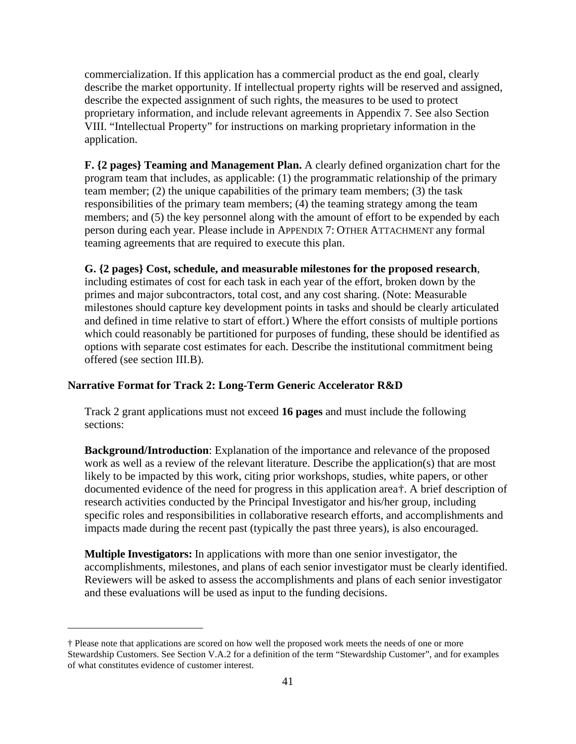commercialization. If this application has a commercial product as the end goal, clearly describe the market opportunity. If intellectual property rights will be reserved and assigned, describe the expected assignment of such rights, the measures to be used to protect proprietary information, and include relevant agreements in Appendix 7. See also Section VIII. "Intellectual Property" for instructions on marking proprietary information in the application.

**F. {2 pages} Teaming and Management Plan.** A clearly defined organization chart for the program team that includes, as applicable: (1) the programmatic relationship of the primary team member; (2) the unique capabilities of the primary team members; (3) the task responsibilities of the primary team members; (4) the teaming strategy among the team members; and (5) the key personnel along with the amount of effort to be expended by each person during each year. Please include in APPENDIX 7: OTHER ATTACHMENT any formal teaming agreements that are required to execute this plan.

#### **G. {2 pages} Cost, schedule, and measurable milestones for the proposed research**,

including estimates of cost for each task in each year of the effort, broken down by the primes and major subcontractors, total cost, and any cost sharing. (Note: Measurable milestones should capture key development points in tasks and should be clearly articulated and defined in time relative to start of effort.) Where the effort consists of multiple portions which could reasonably be partitioned for purposes of funding, these should be identified as options with separate cost estimates for each. Describe the institutional commitment being offered (see section III.B).

#### **Narrative Format for Track 2: Long-Term Generic Accelerator R&D**

Track 2 grant applications must not exceed **16 pages** and must include the following sections:

**Background/Introduction**: Explanation of the importance and relevance of the proposed work as well as a review of the relevant literature. Describe the application(s) that are most likely to be impacted by this work, citing prior workshops, studies, white papers, or other documented evidence of the need for progress in this application area[†.](#page-46-0) A brief description of research activities conducted by the Principal Investigator and his/her group, including specific roles and responsibilities in collaborative research efforts, and accomplishments and impacts made during the recent past (typically the past three years), is also encouraged.

**Multiple Investigators:** In applications with more than one senior investigator, the accomplishments, milestones, and plans of each senior investigator must be clearly identified. Reviewers will be asked to assess the accomplishments and plans of each senior investigator and these evaluations will be used as input to the funding decisions.

<span id="page-46-0"></span><sup>†</sup> Please note that applications are scored on how well the proposed work meets the needs of one or more Stewardship Customers. See Section V.A.2 for a definition of the term "Stewardship Customer", and for examples of what constitutes evidence of customer interest.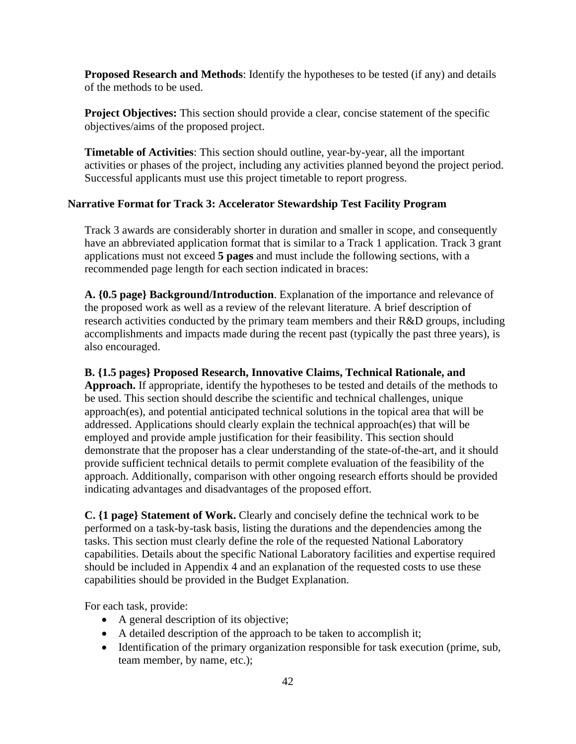**Proposed Research and Methods**: Identify the hypotheses to be tested (if any) and details of the methods to be used.

Project Objectives: This section should provide a clear, concise statement of the specific objectives/aims of the proposed project.

**Timetable of Activities**: This section should outline, year-by-year, all the important activities or phases of the project, including any activities planned beyond the project period. Successful applicants must use this project timetable to report progress.

#### **Narrative Format for Track 3: Accelerator Stewardship Test Facility Program**

Track 3 awards are considerably shorter in duration and smaller in scope, and consequently have an abbreviated application format that is similar to a Track 1 application. Track 3 grant applications must not exceed **5 pages** and must include the following sections, with a recommended page length for each section indicated in braces:

**A. {0.5 page} Background/Introduction**. Explanation of the importance and relevance of the proposed work as well as a review of the relevant literature. A brief description of research activities conducted by the primary team members and their R&D groups, including accomplishments and impacts made during the recent past (typically the past three years), is also encouraged.

#### **B. {1.5 pages} Proposed Research, Innovative Claims, Technical Rationale, and**

**Approach.** If appropriate, identify the hypotheses to be tested and details of the methods to be used. This section should describe the scientific and technical challenges, unique approach(es), and potential anticipated technical solutions in the topical area that will be addressed. Applications should clearly explain the technical approach(es) that will be employed and provide ample justification for their feasibility. This section should demonstrate that the proposer has a clear understanding of the state-of-the-art, and it should provide sufficient technical details to permit complete evaluation of the feasibility of the approach. Additionally, comparison with other ongoing research efforts should be provided indicating advantages and disadvantages of the proposed effort.

**C. {1 page} Statement of Work.** Clearly and concisely define the technical work to be performed on a task-by-task basis, listing the durations and the dependencies among the tasks. This section must clearly define the role of the requested National Laboratory capabilities. Details about the specific National Laboratory facilities and expertise required should be included in Appendix 4 and an explanation of the requested costs to use these capabilities should be provided in the Budget Explanation.

For each task, provide:

- A general description of its objective;
- A detailed description of the approach to be taken to accomplish it;
- Identification of the primary organization responsible for task execution (prime, sub, team member, by name, etc.);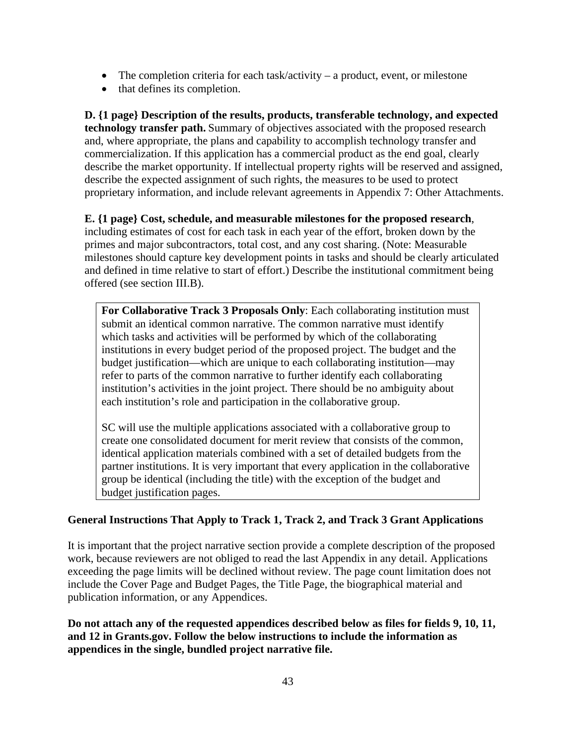- The completion criteria for each task/activity  $-$  a product, event, or milestone
- that defines its completion.

**D. {1 page} Description of the results, products, transferable technology, and expected technology transfer path.** Summary of objectives associated with the proposed research and, where appropriate, the plans and capability to accomplish technology transfer and commercialization. If this application has a commercial product as the end goal, clearly describe the market opportunity. If intellectual property rights will be reserved and assigned, describe the expected assignment of such rights, the measures to be used to protect proprietary information, and include relevant agreements in Appendix 7: Other Attachments.

**E. {1 page} Cost, schedule, and measurable milestones for the proposed research**, including estimates of cost for each task in each year of the effort, broken down by the primes and major subcontractors, total cost, and any cost sharing. (Note: Measurable milestones should capture key development points in tasks and should be clearly articulated and defined in time relative to start of effort.) Describe the institutional commitment being offered (see section III.B).

**For Collaborative Track 3 Proposals Only**: Each collaborating institution must submit an identical common narrative. The common narrative must identify which tasks and activities will be performed by which of the collaborating institutions in every budget period of the proposed project. The budget and the budget justification—which are unique to each collaborating institution—may refer to parts of the common narrative to further identify each collaborating institution's activities in the joint project. There should be no ambiguity about each institution's role and participation in the collaborative group.

SC will use the multiple applications associated with a collaborative group to create one consolidated document for merit review that consists of the common, identical application materials combined with a set of detailed budgets from the partner institutions. It is very important that every application in the collaborative group be identical (including the title) with the exception of the budget and budget justification pages.

## **General Instructions That Apply to Track 1, Track 2, and Track 3 Grant Applications**

It is important that the project narrative section provide a complete description of the proposed work, because reviewers are not obliged to read the last Appendix in any detail. Applications exceeding the page limits will be declined without review. The page count limitation does not include the Cover Page and Budget Pages, the Title Page, the biographical material and publication information, or any Appendices.

**Do not attach any of the requested appendices described below as files for fields 9, 10, 11, and 12 in Grants.gov. Follow the below instructions to include the information as appendices in the single, bundled project narrative file.**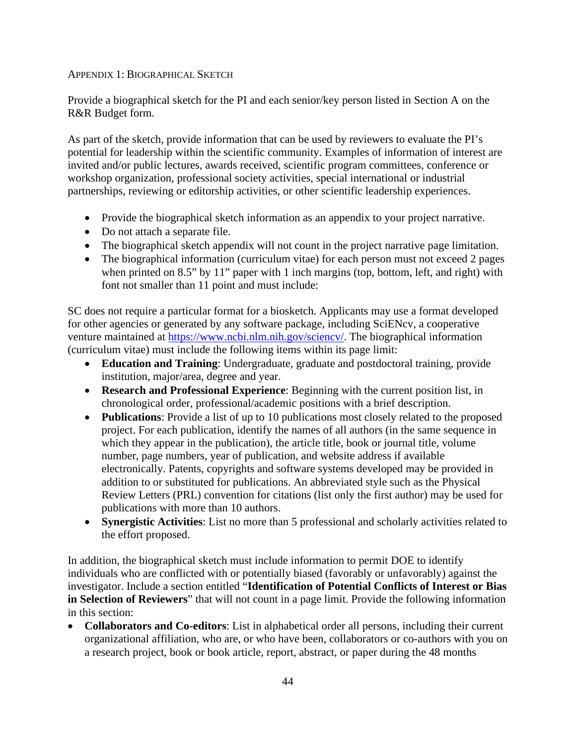### APPENDIX 1: BIOGRAPHICAL SKETCH

Provide a biographical sketch for the PI and each senior/key person listed in Section A on the R&R Budget form.

As part of the sketch, provide information that can be used by reviewers to evaluate the PI's potential for leadership within the scientific community. Examples of information of interest are invited and/or public lectures, awards received, scientific program committees, conference or workshop organization, professional society activities, special international or industrial partnerships, reviewing or editorship activities, or other scientific leadership experiences.

- Provide the biographical sketch information as an appendix to your project narrative.
- Do not attach a separate file.
- The biographical sketch appendix will not count in the project narrative page limitation.
- The biographical information (curriculum vitae) for each person must not exceed 2 pages when printed on 8.5" by 11" paper with 1 inch margins (top, bottom, left, and right) with font not smaller than 11 point and must include:

SC does not require a particular format for a biosketch. Applicants may use a format developed for other agencies or generated by any software package, including SciENcv, a cooperative venture maintained at [https://www.ncbi.nlm.nih.gov/sciencv/.](https://www.ncbi.nlm.nih.gov/sciencv/) The biographical information (curriculum vitae) must include the following items within its page limit:

- **Education and Training**: Undergraduate, graduate and postdoctoral training, provide institution, major/area, degree and year.
- **Research and Professional Experience**: Beginning with the current position list, in chronological order, professional/academic positions with a brief description.
- **Publications**: Provide a list of up to 10 publications most closely related to the proposed project. For each publication, identify the names of all authors (in the same sequence in which they appear in the publication), the article title, book or journal title, volume number, page numbers, year of publication, and website address if available electronically. Patents, copyrights and software systems developed may be provided in addition to or substituted for publications. An abbreviated style such as the Physical Review Letters (PRL) convention for citations (list only the first author) may be used for publications with more than 10 authors.
- **Synergistic Activities**: List no more than 5 professional and scholarly activities related to the effort proposed.

In addition, the biographical sketch must include information to permit DOE to identify individuals who are conflicted with or potentially biased (favorably or unfavorably) against the investigator. Include a section entitled "**Identification of Potential Conflicts of Interest or Bias in Selection of Reviewers**" that will not count in a page limit. Provide the following information in this section:

• **Collaborators and Co-editors**: List in alphabetical order all persons, including their current organizational affiliation, who are, or who have been, collaborators or co-authors with you on a research project, book or book article, report, abstract, or paper during the 48 months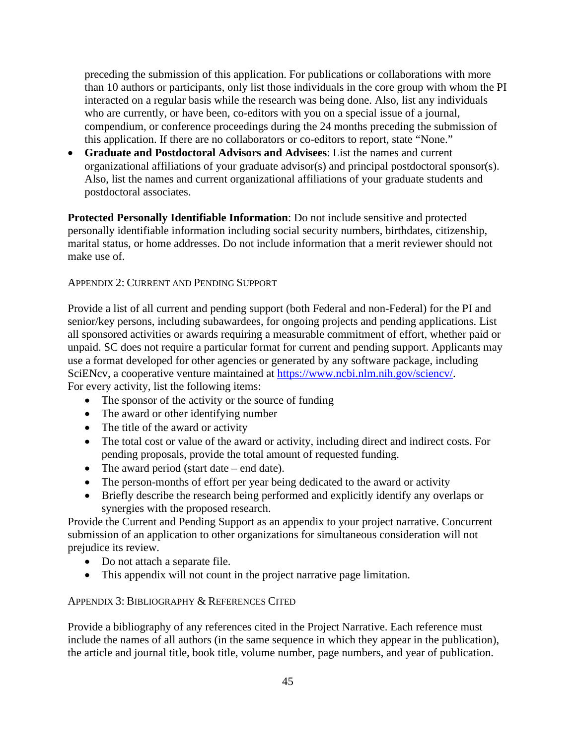preceding the submission of this application. For publications or collaborations with more than 10 authors or participants, only list those individuals in the core group with whom the PI interacted on a regular basis while the research was being done. Also, list any individuals who are currently, or have been, co-editors with you on a special issue of a journal, compendium, or conference proceedings during the 24 months preceding the submission of this application. If there are no collaborators or co-editors to report, state "None."

• **Graduate and Postdoctoral Advisors and Advisees**: List the names and current organizational affiliations of your graduate advisor(s) and principal postdoctoral sponsor(s). Also, list the names and current organizational affiliations of your graduate students and postdoctoral associates.

**Protected Personally Identifiable Information**: Do not include sensitive and protected personally identifiable information including social security numbers, birthdates, citizenship, marital status, or home addresses. Do not include information that a merit reviewer should not make use of.

#### APPENDIX 2: CURRENT AND PENDING SUPPORT

Provide a list of all current and pending support (both Federal and non-Federal) for the PI and senior/key persons, including subawardees, for ongoing projects and pending applications. List all sponsored activities or awards requiring a measurable commitment of effort, whether paid or unpaid. SC does not require a particular format for current and pending support. Applicants may use a format developed for other agencies or generated by any software package, including SciENcv, a cooperative venture maintained at [https://www.ncbi.nlm.nih.gov/sciencv/.](https://www.ncbi.nlm.nih.gov/sciencv/) For every activity, list the following items:

- The sponsor of the activity or the source of funding
- The award or other identifying number
- The title of the award or activity
- The total cost or value of the award or activity, including direct and indirect costs. For pending proposals, provide the total amount of requested funding.
- The award period (start date end date).
- The person-months of effort per year being dedicated to the award or activity
- Briefly describe the research being performed and explicitly identify any overlaps or synergies with the proposed research.

Provide the Current and Pending Support as an appendix to your project narrative. Concurrent submission of an application to other organizations for simultaneous consideration will not prejudice its review.

- Do not attach a separate file.
- This appendix will not count in the project narrative page limitation.

#### APPENDIX 3: BIBLIOGRAPHY & REFERENCES CITED

Provide a bibliography of any references cited in the Project Narrative. Each reference must include the names of all authors (in the same sequence in which they appear in the publication), the article and journal title, book title, volume number, page numbers, and year of publication.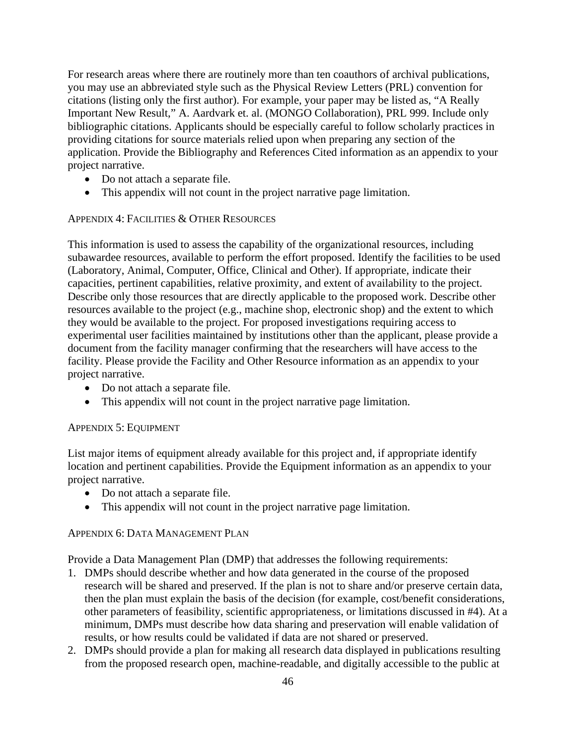For research areas where there are routinely more than ten coauthors of archival publications, you may use an abbreviated style such as the Physical Review Letters (PRL) convention for citations (listing only the first author). For example, your paper may be listed as, "A Really Important New Result," A. Aardvark et. al. (MONGO Collaboration), PRL 999. Include only bibliographic citations. Applicants should be especially careful to follow scholarly practices in providing citations for source materials relied upon when preparing any section of the application. Provide the Bibliography and References Cited information as an appendix to your project narrative.

- Do not attach a separate file.
- This appendix will not count in the project narrative page limitation.

#### APPENDIX 4: FACILITIES & OTHER RESOURCES

This information is used to assess the capability of the organizational resources, including subawardee resources, available to perform the effort proposed. Identify the facilities to be used (Laboratory, Animal, Computer, Office, Clinical and Other). If appropriate, indicate their capacities, pertinent capabilities, relative proximity, and extent of availability to the project. Describe only those resources that are directly applicable to the proposed work. Describe other resources available to the project (e.g., machine shop, electronic shop) and the extent to which they would be available to the project. For proposed investigations requiring access to experimental user facilities maintained by institutions other than the applicant, please provide a document from the facility manager confirming that the researchers will have access to the facility. Please provide the Facility and Other Resource information as an appendix to your project narrative.

- Do not attach a separate file.
- This appendix will not count in the project narrative page limitation.

#### APPENDIX 5: EQUIPMENT

List major items of equipment already available for this project and, if appropriate identify location and pertinent capabilities. Provide the Equipment information as an appendix to your project narrative.

- Do not attach a separate file.
- This appendix will not count in the project narrative page limitation.

### APPENDIX 6: DATA MANAGEMENT PLAN

Provide a Data Management Plan (DMP) that addresses the following requirements:

- 1. DMPs should describe whether and how data generated in the course of the proposed research will be [shared](https://www.grants.gov/web/grants/applicants/apply-for-grants.html#Sharing) and [preserved.](https://energy.gov/mission#Preservation) If the plan is not to share and/or preserve certain data, then the plan must explain the basis of the decision (for example, cost/benefit considerations, other parameters of feasibility, scientific appropriateness, or limitations discussed in #4). At a minimum, DMPs must describe how data sharing and preservation will enable [validation](https://www.grants.gov/web/grants/applicants/registration/add-profile.html#Validate) of results, or how results could be validated if data are not shared or preserved.
- 2. DMPs should provide a plan for making all research data displayed in publications resulting from the proposed research open, machine-readable, and digitally accessible to the public at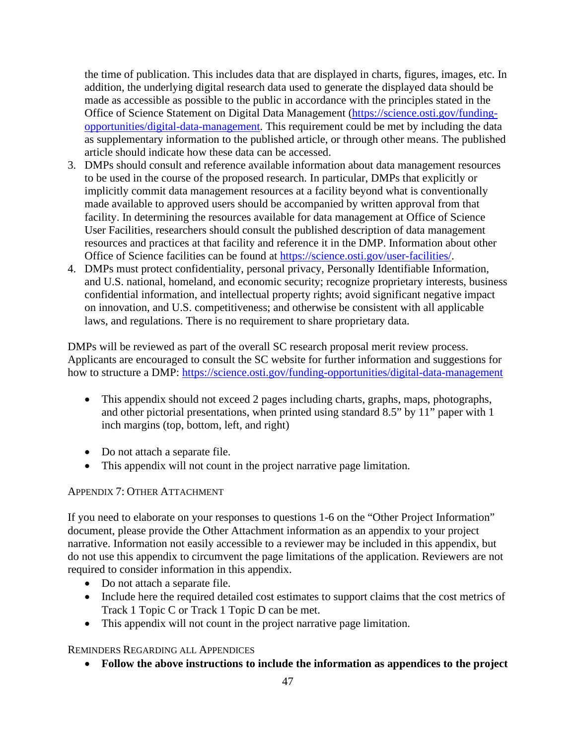the time of publication. This includes data that are displayed in charts, figures, images, etc. In addition, the underlying digital research data used to generate the displayed data should be made as accessible as possible to the public in accordance with the principles stated in the Office of Science Statement on Digital Data Management [\(https://science.osti.gov/funding](https://science.osti.gov/funding-opportunities/digital-data-management)[opportunities/digital-data-management.](https://science.osti.gov/funding-opportunities/digital-data-management) This requirement could be met by including the data as supplementary information to the published article, or through other means. The published article should indicate how these data can be accessed.

- 3. DMPs should consult and reference available information about data management resources to be used in the course of the proposed research. In particular, DMPs that explicitly or implicitly commit data management resources at a facility beyond what is conventionally made available to approved users should be accompanied by written approval from that facility. In determining the resources available for data management at Office of Science User Facilities, researchers should consult the published description of data management resources and practices at that facility and reference it in the DMP. Information about other Office of Science facilities can be found at [https://science.osti.gov/user-facilities/.](https://science.osti.gov/user-facilities/)
- 4. DMPs must protect confidentiality, personal privacy, Personally Identifiable [Information,](https://cms1.sc.osti.gov/funding-opportunities/digital-data-management/#HSRFAQ) and U.S. national, homeland, and economic security; recognize proprietary interests, business confidential information, and intellectual property rights; avoid significant negative impact on innovation, and U.S. competitiveness; and otherwise be consistent with all applicable laws, and regulations. There is no requirement to share proprietary data.

DMPs will be reviewed as part of the overall SC research proposal merit review process. Applicants are encouraged to consult the SC website for further information and suggestions for how to structure a DMP: <https://science.osti.gov/funding-opportunities/digital-data-management>

- This appendix should not exceed 2 pages including charts, graphs, maps, photographs, and other pictorial presentations, when printed using standard 8.5" by 11" paper with 1 inch margins (top, bottom, left, and right)
- Do not attach a separate file.
- This appendix will not count in the project narrative page limitation.

### APPENDIX 7: OTHER ATTACHMENT

If you need to elaborate on your responses to questions 1-6 on the "Other Project Information" document, please provide the Other Attachment information as an appendix to your project narrative. Information not easily accessible to a reviewer may be included in this appendix, but do not use this appendix to circumvent the page limitations of the application. Reviewers are not required to consider information in this appendix.

- Do not attach a separate file.
- Include here the required detailed cost estimates to support claims that the cost metrics of Track 1 Topic C or Track 1 Topic D can be met.
- This appendix will not count in the project narrative page limitation.

REMINDERS REGARDING ALL APPENDICES

• **Follow the above instructions to include the information as appendices to the project**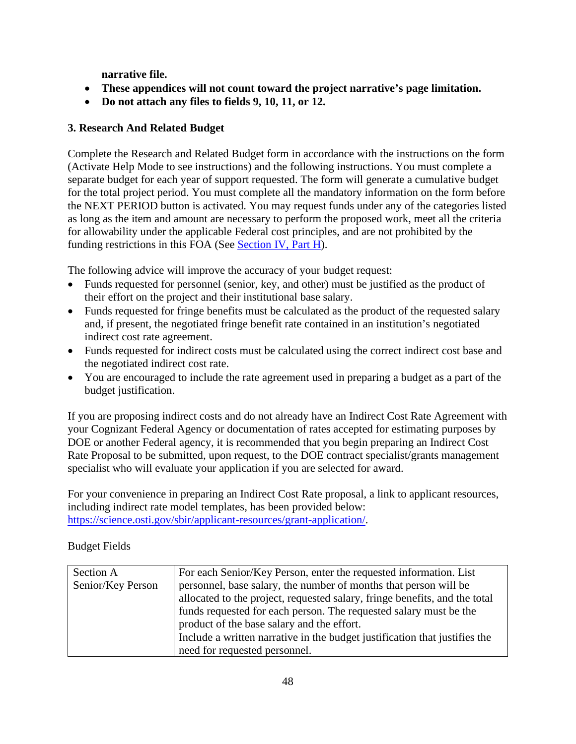**narrative file.**

- **These appendices will not count toward the project narrative's page limitation.**
- **Do not attach any files to fields 9, 10, 11, or 12.**

## **3. Research And Related Budget**

Complete the Research and Related Budget form in accordance with the instructions on the form (Activate Help Mode to see instructions) and the following instructions. You must complete a separate budget for each year of support requested. The form will generate a cumulative budget for the total project period. You must complete all the mandatory information on the form before the NEXT PERIOD button is activated. You may request funds under any of the categories listed as long as the item and amount are necessary to perform the proposed work, meet all the criteria for allowability under the applicable Federal cost principles, and are not prohibited by the funding restrictions in this FOA (See [Section IV, Part H\)](#page-59-0).

The following advice will improve the accuracy of your budget request:

- Funds requested for personnel (senior, key, and other) must be justified as the product of their effort on the project and their institutional base salary.
- Funds requested for fringe benefits must be calculated as the product of the requested salary and, if present, the negotiated fringe benefit rate contained in an institution's negotiated indirect cost rate agreement.
- Funds requested for indirect costs must be calculated using the correct indirect cost base and the negotiated indirect cost rate.
- You are encouraged to include the rate agreement used in preparing a budget as a part of the budget justification.

If you are proposing indirect costs and do not already have an Indirect Cost Rate Agreement with your Cognizant Federal Agency or documentation of rates accepted for estimating purposes by DOE or another Federal agency, it is recommended that you begin preparing an Indirect Cost Rate Proposal to be submitted, upon request, to the DOE contract specialist/grants management specialist who will evaluate your application if you are selected for award.

For your convenience in preparing an Indirect Cost Rate proposal, a link to applicant resources, including indirect rate model templates, has been provided below: [https://science.osti.gov/sbir/applicant-resources/grant-application/.](https://science.osti.gov/sbir/applicant-resources/grant-application/)

Budget Fields

| Section A         | For each Senior/Key Person, enter the requested information. List          |
|-------------------|----------------------------------------------------------------------------|
| Senior/Key Person | personnel, base salary, the number of months that person will be           |
|                   | allocated to the project, requested salary, fringe benefits, and the total |
|                   | funds requested for each person. The requested salary must be the          |
|                   | product of the base salary and the effort.                                 |
|                   | Include a written narrative in the budget justification that justifies the |
|                   | need for requested personnel.                                              |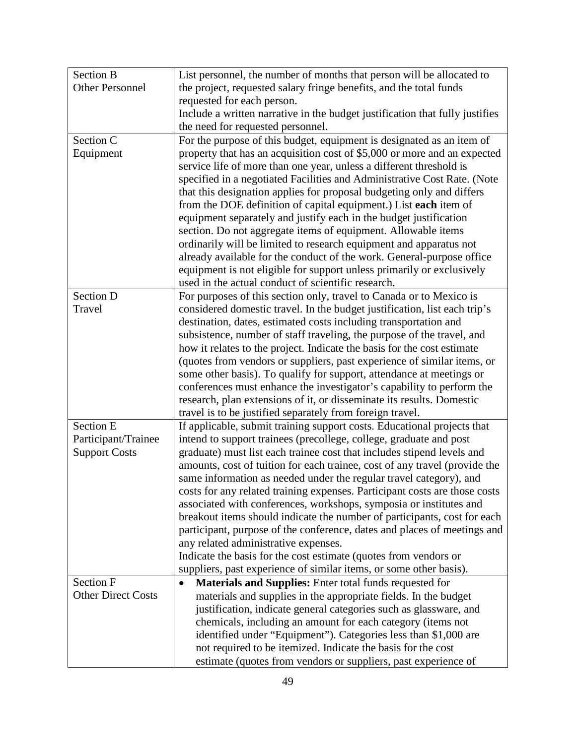| <b>Section B</b>          | List personnel, the number of months that person will be allocated to        |  |  |  |
|---------------------------|------------------------------------------------------------------------------|--|--|--|
| <b>Other Personnel</b>    | the project, requested salary fringe benefits, and the total funds           |  |  |  |
|                           | requested for each person.                                                   |  |  |  |
|                           | Include a written narrative in the budget justification that fully justifies |  |  |  |
|                           | the need for requested personnel.                                            |  |  |  |
| Section C                 | For the purpose of this budget, equipment is designated as an item of        |  |  |  |
| Equipment                 | property that has an acquisition cost of \$5,000 or more and an expected     |  |  |  |
|                           | service life of more than one year, unless a different threshold is          |  |  |  |
|                           | specified in a negotiated Facilities and Administrative Cost Rate. (Note     |  |  |  |
|                           | that this designation applies for proposal budgeting only and differs        |  |  |  |
|                           | from the DOE definition of capital equipment.) List each item of             |  |  |  |
|                           | equipment separately and justify each in the budget justification            |  |  |  |
|                           | section. Do not aggregate items of equipment. Allowable items                |  |  |  |
|                           | ordinarily will be limited to research equipment and apparatus not           |  |  |  |
|                           | already available for the conduct of the work. General-purpose office        |  |  |  |
|                           | equipment is not eligible for support unless primarily or exclusively        |  |  |  |
|                           | used in the actual conduct of scientific research.                           |  |  |  |
| Section D                 | For purposes of this section only, travel to Canada or to Mexico is          |  |  |  |
| Travel                    | considered domestic travel. In the budget justification, list each trip's    |  |  |  |
|                           | destination, dates, estimated costs including transportation and             |  |  |  |
|                           | subsistence, number of staff traveling, the purpose of the travel, and       |  |  |  |
|                           | how it relates to the project. Indicate the basis for the cost estimate      |  |  |  |
|                           | (quotes from vendors or suppliers, past experience of similar items, or      |  |  |  |
|                           | some other basis). To qualify for support, attendance at meetings or         |  |  |  |
|                           | conferences must enhance the investigator's capability to perform the        |  |  |  |
|                           | research, plan extensions of it, or disseminate its results. Domestic        |  |  |  |
|                           | travel is to be justified separately from foreign travel.                    |  |  |  |
| Section E                 | If applicable, submit training support costs. Educational projects that      |  |  |  |
| Participant/Trainee       | intend to support trainees (precollege, college, graduate and post           |  |  |  |
| <b>Support Costs</b>      | graduate) must list each trainee cost that includes stipend levels and       |  |  |  |
|                           | amounts, cost of tuition for each trainee, cost of any travel (provide the   |  |  |  |
|                           | same information as needed under the regular travel category), and           |  |  |  |
|                           | costs for any related training expenses. Participant costs are those costs   |  |  |  |
|                           | associated with conferences, workshops, symposia or institutes and           |  |  |  |
|                           | breakout items should indicate the number of participants, cost for each     |  |  |  |
|                           | participant, purpose of the conference, dates and places of meetings and     |  |  |  |
|                           | any related administrative expenses.                                         |  |  |  |
|                           | Indicate the basis for the cost estimate (quotes from vendors or             |  |  |  |
|                           | suppliers, past experience of similar items, or some other basis).           |  |  |  |
| Section F                 | Materials and Supplies: Enter total funds requested for<br>٠                 |  |  |  |
| <b>Other Direct Costs</b> | materials and supplies in the appropriate fields. In the budget              |  |  |  |
|                           | justification, indicate general categories such as glassware, and            |  |  |  |
|                           | chemicals, including an amount for each category (items not                  |  |  |  |
|                           | identified under "Equipment"). Categories less than \$1,000 are              |  |  |  |
|                           | not required to be itemized. Indicate the basis for the cost                 |  |  |  |
|                           | estimate (quotes from vendors or suppliers, past experience of               |  |  |  |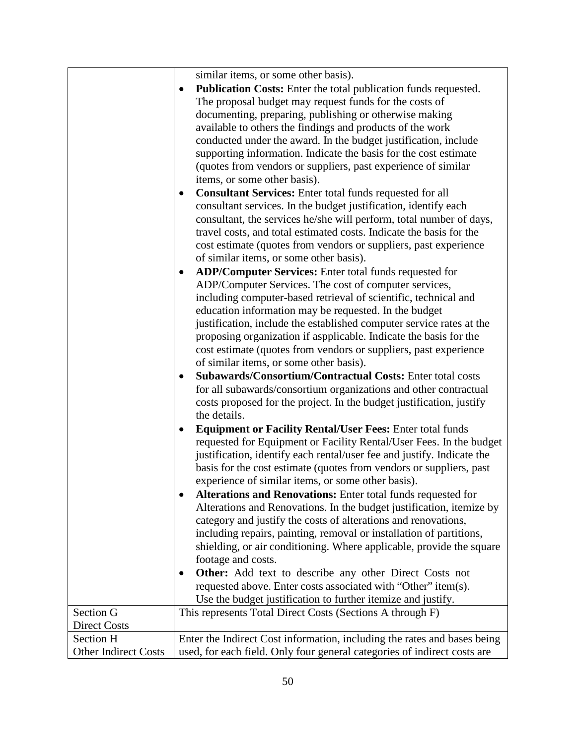|                             | similar items, or some other basis).<br><b>Publication Costs:</b> Enter the total publication funds requested.<br>٠<br>The proposal budget may request funds for the costs of<br>documenting, preparing, publishing or otherwise making<br>available to others the findings and products of the work<br>conducted under the award. In the budget justification, include<br>supporting information. Indicate the basis for the cost estimate<br>(quotes from vendors or suppliers, past experience of similar<br>items, or some other basis).<br><b>Consultant Services:</b> Enter total funds requested for all<br>consultant services. In the budget justification, identify each<br>consultant, the services he/she will perform, total number of days,<br>travel costs, and total estimated costs. Indicate the basis for the<br>cost estimate (quotes from vendors or suppliers, past experience<br>of similar items, or some other basis).<br><b>ADP/Computer Services:</b> Enter total funds requested for<br>ADP/Computer Services. The cost of computer services,<br>including computer-based retrieval of scientific, technical and<br>education information may be requested. In the budget<br>justification, include the established computer service rates at the<br>proposing organization if aspplicable. Indicate the basis for the<br>cost estimate (quotes from vendors or suppliers, past experience<br>of similar items, or some other basis).<br><b>Subawards/Consortium/Contractual Costs: Enter total costs</b><br>٠<br>for all subawards/consortium organizations and other contractual<br>costs proposed for the project. In the budget justification, justify<br>the details.<br><b>Equipment or Facility Rental/User Fees: Enter total funds</b><br>requested for Equipment or Facility Rental/User Fees. In the budget<br>justification, identify each rental/user fee and justify. Indicate the<br>basis for the cost estimate (quotes from vendors or suppliers, past<br>experience of similar items, or some other basis).<br>Alterations and Renovations: Enter total funds requested for<br>Alterations and Renovations. In the budget justification, itemize by<br>category and justify the costs of alterations and renovations,<br>including repairs, painting, removal or installation of partitions, |
|-----------------------------|-------------------------------------------------------------------------------------------------------------------------------------------------------------------------------------------------------------------------------------------------------------------------------------------------------------------------------------------------------------------------------------------------------------------------------------------------------------------------------------------------------------------------------------------------------------------------------------------------------------------------------------------------------------------------------------------------------------------------------------------------------------------------------------------------------------------------------------------------------------------------------------------------------------------------------------------------------------------------------------------------------------------------------------------------------------------------------------------------------------------------------------------------------------------------------------------------------------------------------------------------------------------------------------------------------------------------------------------------------------------------------------------------------------------------------------------------------------------------------------------------------------------------------------------------------------------------------------------------------------------------------------------------------------------------------------------------------------------------------------------------------------------------------------------------------------------------------------------------------------------------------------------------------------------------------------------------------------------------------------------------------------------------------------------------------------------------------------------------------------------------------------------------------------------------------------------------------------------------------------------------------------------------------------------------------------------------------------------|
|                             | shielding, or air conditioning. Where applicable, provide the square                                                                                                                                                                                                                                                                                                                                                                                                                                                                                                                                                                                                                                                                                                                                                                                                                                                                                                                                                                                                                                                                                                                                                                                                                                                                                                                                                                                                                                                                                                                                                                                                                                                                                                                                                                                                                                                                                                                                                                                                                                                                                                                                                                                                                                                                      |
|                             | footage and costs.                                                                                                                                                                                                                                                                                                                                                                                                                                                                                                                                                                                                                                                                                                                                                                                                                                                                                                                                                                                                                                                                                                                                                                                                                                                                                                                                                                                                                                                                                                                                                                                                                                                                                                                                                                                                                                                                                                                                                                                                                                                                                                                                                                                                                                                                                                                        |
|                             | <b>Other:</b> Add text to describe any other Direct Costs not<br>$\bullet$<br>requested above. Enter costs associated with "Other" item(s).                                                                                                                                                                                                                                                                                                                                                                                                                                                                                                                                                                                                                                                                                                                                                                                                                                                                                                                                                                                                                                                                                                                                                                                                                                                                                                                                                                                                                                                                                                                                                                                                                                                                                                                                                                                                                                                                                                                                                                                                                                                                                                                                                                                               |
|                             | Use the budget justification to further itemize and justify.                                                                                                                                                                                                                                                                                                                                                                                                                                                                                                                                                                                                                                                                                                                                                                                                                                                                                                                                                                                                                                                                                                                                                                                                                                                                                                                                                                                                                                                                                                                                                                                                                                                                                                                                                                                                                                                                                                                                                                                                                                                                                                                                                                                                                                                                              |
| Section G                   | This represents Total Direct Costs (Sections A through F)                                                                                                                                                                                                                                                                                                                                                                                                                                                                                                                                                                                                                                                                                                                                                                                                                                                                                                                                                                                                                                                                                                                                                                                                                                                                                                                                                                                                                                                                                                                                                                                                                                                                                                                                                                                                                                                                                                                                                                                                                                                                                                                                                                                                                                                                                 |
| <b>Direct Costs</b>         |                                                                                                                                                                                                                                                                                                                                                                                                                                                                                                                                                                                                                                                                                                                                                                                                                                                                                                                                                                                                                                                                                                                                                                                                                                                                                                                                                                                                                                                                                                                                                                                                                                                                                                                                                                                                                                                                                                                                                                                                                                                                                                                                                                                                                                                                                                                                           |
| <b>Section H</b>            | Enter the Indirect Cost information, including the rates and bases being                                                                                                                                                                                                                                                                                                                                                                                                                                                                                                                                                                                                                                                                                                                                                                                                                                                                                                                                                                                                                                                                                                                                                                                                                                                                                                                                                                                                                                                                                                                                                                                                                                                                                                                                                                                                                                                                                                                                                                                                                                                                                                                                                                                                                                                                  |
| <b>Other Indirect Costs</b> | used, for each field. Only four general categories of indirect costs are                                                                                                                                                                                                                                                                                                                                                                                                                                                                                                                                                                                                                                                                                                                                                                                                                                                                                                                                                                                                                                                                                                                                                                                                                                                                                                                                                                                                                                                                                                                                                                                                                                                                                                                                                                                                                                                                                                                                                                                                                                                                                                                                                                                                                                                                  |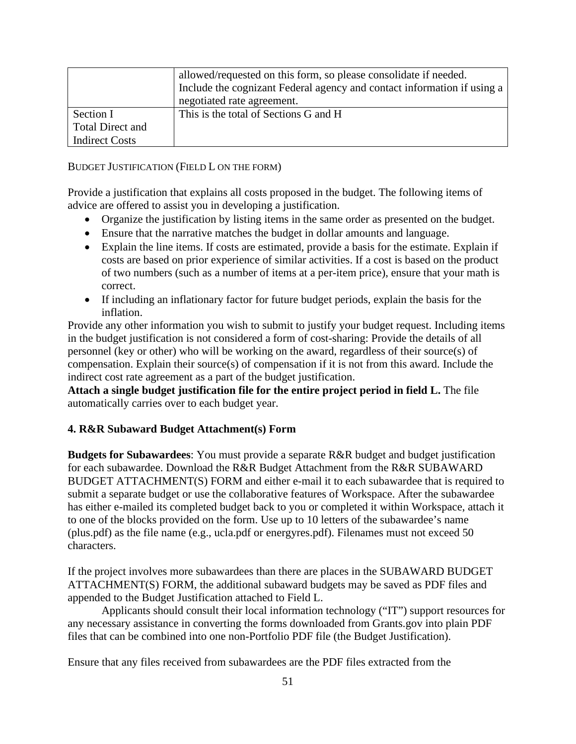|                       | allowed/requested on this form, so please consolidate if needed.        |
|-----------------------|-------------------------------------------------------------------------|
|                       | Include the cognizant Federal agency and contact information if using a |
|                       | negotiated rate agreement.                                              |
| Section I             | This is the total of Sections G and H                                   |
| Total Direct and      |                                                                         |
| <b>Indirect Costs</b> |                                                                         |

BUDGET JUSTIFICATION (FIELD L ON THE FORM)

Provide a justification that explains all costs proposed in the budget. The following items of advice are offered to assist you in developing a justification.

- Organize the justification by listing items in the same order as presented on the budget.
- Ensure that the narrative matches the budget in dollar amounts and language.
- Explain the line items. If costs are estimated, provide a basis for the estimate. Explain if costs are based on prior experience of similar activities. If a cost is based on the product of two numbers (such as a number of items at a per-item price), ensure that your math is correct.
- If including an inflationary factor for future budget periods, explain the basis for the inflation.

Provide any other information you wish to submit to justify your budget request. Including items in the budget justification is not considered a form of cost-sharing: Provide the details of all personnel (key or other) who will be working on the award, regardless of their source(s) of compensation. Explain their source(s) of compensation if it is not from this award. Include the indirect cost rate agreement as a part of the budget justification.

**Attach a single budget justification file for the entire project period in field L.** The file automatically carries over to each budget year.

## **4. R&R Subaward Budget Attachment(s) Form**

**Budgets for Subawardees**: You must provide a separate R&R budget and budget justification for each subawardee. Download the R&R Budget Attachment from the R&R SUBAWARD BUDGET ATTACHMENT(S) FORM and either e-mail it to each subawardee that is required to submit a separate budget or use the collaborative features of Workspace. After the subawardee has either e-mailed its completed budget back to you or completed it within Workspace, attach it to one of the blocks provided on the form. Use up to 10 letters of the subawardee's name (plus.pdf) as the file name (e.g., ucla.pdf or energyres.pdf). Filenames must not exceed 50 characters.

If the project involves more subawardees than there are places in the SUBAWARD BUDGET ATTACHMENT(S) FORM, the additional subaward budgets may be saved as PDF files and appended to the Budget Justification attached to Field L.

Applicants should consult their local information technology ("IT") support resources for any necessary assistance in converting the forms downloaded from Grants.gov into plain PDF files that can be combined into one non-Portfolio PDF file (the Budget Justification).

Ensure that any files received from subawardees are the PDF files extracted from the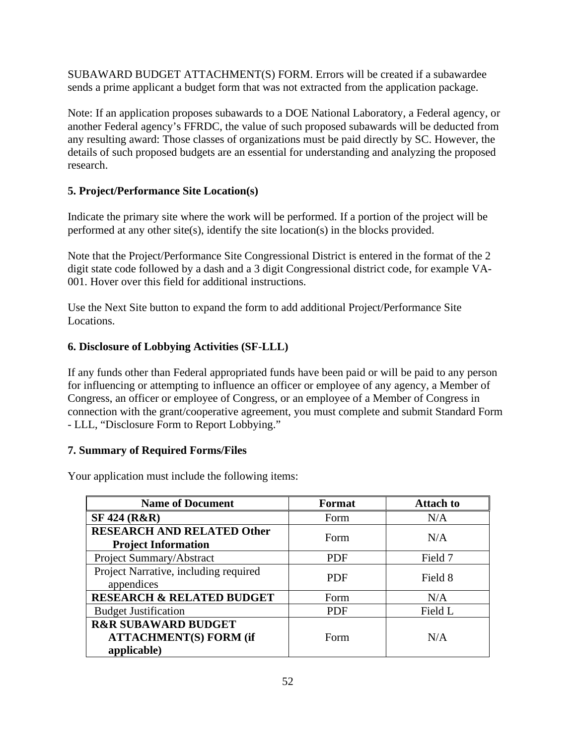SUBAWARD BUDGET ATTACHMENT(S) FORM. Errors will be created if a subawardee sends a prime applicant a budget form that was not extracted from the application package.

Note: If an application proposes subawards to a DOE National Laboratory, a Federal agency, or another Federal agency's FFRDC, the value of such proposed subawards will be deducted from any resulting award: Those classes of organizations must be paid directly by SC. However, the details of such proposed budgets are an essential for understanding and analyzing the proposed research.

## **5. Project/Performance Site Location(s)**

Indicate the primary site where the work will be performed. If a portion of the project will be performed at any other site(s), identify the site location(s) in the blocks provided.

Note that the Project/Performance Site Congressional District is entered in the format of the 2 digit state code followed by a dash and a 3 digit Congressional district code, for example VA-001. Hover over this field for additional instructions.

Use the Next Site button to expand the form to add additional Project/Performance Site Locations.

# **6. Disclosure of Lobbying Activities (SF-LLL)**

If any funds other than Federal appropriated funds have been paid or will be paid to any person for influencing or attempting to influence an officer or employee of any agency, a Member of Congress, an officer or employee of Congress, or an employee of a Member of Congress in connection with the grant/cooperative agreement, you must complete and submit Standard Form - LLL, "Disclosure Form to Report Lobbying."

## **7. Summary of Required Forms/Files**

Your application must include the following items:

| <b>Name of Document</b>                                                        | Format     | <b>Attach to</b> |
|--------------------------------------------------------------------------------|------------|------------------|
| <b>SF 424 (R&amp;R)</b>                                                        | Form       | N/A              |
| <b>RESEARCH AND RELATED Other</b><br><b>Project Information</b>                | Form       | N/A              |
| Project Summary/Abstract                                                       | <b>PDF</b> | Field 7          |
| Project Narrative, including required<br>appendices                            | <b>PDF</b> | Field 8          |
| <b>RESEARCH &amp; RELATED BUDGET</b>                                           | Form       | N/A              |
| <b>Budget Justification</b>                                                    | <b>PDF</b> | Field L          |
| <b>R&amp;R SUBAWARD BUDGET</b><br><b>ATTACHMENT(S) FORM (if</b><br>applicable) | Form       | N/A              |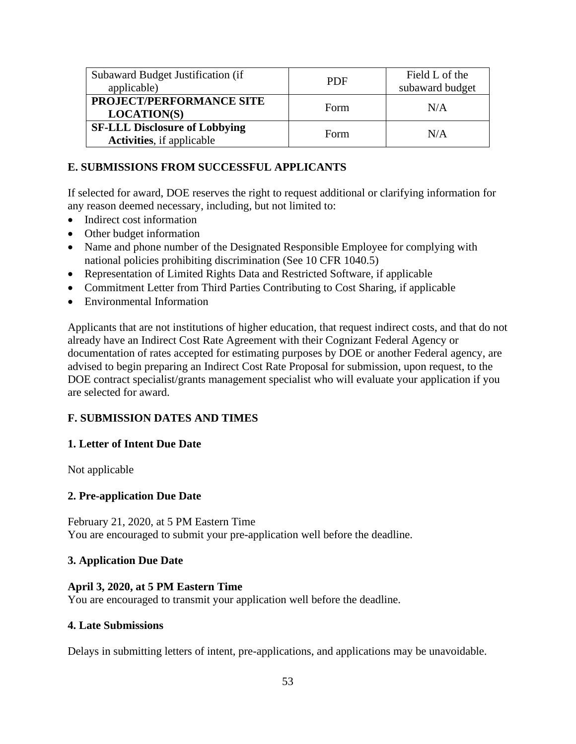| Subaward Budget Justification (if<br>applicable)                          | <b>PDF</b> | Field L of the<br>subaward budget |
|---------------------------------------------------------------------------|------------|-----------------------------------|
| PROJECT/PERFORMANCE SITE<br><b>LOCATION(S)</b>                            | Form       | N/A                               |
| <b>SF-LLL Disclosure of Lobbying</b><br><b>Activities</b> , if applicable | Form       | N/A                               |

### **E. SUBMISSIONS FROM SUCCESSFUL APPLICANTS**

If selected for award, DOE reserves the right to request additional or clarifying information for any reason deemed necessary, including, but not limited to:

- Indirect cost information
- Other budget information
- Name and phone number of the Designated Responsible Employee for complying with national policies prohibiting discrimination (See 10 CFR 1040.5)
- Representation of Limited Rights Data and Restricted Software, if applicable
- Commitment Letter from Third Parties Contributing to Cost Sharing, if applicable
- Environmental Information

Applicants that are not institutions of higher education, that request indirect costs, and that do not already have an Indirect Cost Rate Agreement with their Cognizant Federal Agency or documentation of rates accepted for estimating purposes by DOE or another Federal agency, are advised to begin preparing an Indirect Cost Rate Proposal for submission, upon request, to the DOE contract specialist/grants management specialist who will evaluate your application if you are selected for award.

## **F. SUBMISSION DATES AND TIMES**

### **1. Letter of Intent Due Date**

Not applicable

### **2. Pre-application Due Date**

February 21, 2020, at 5 PM Eastern Time You are encouraged to submit your pre-application well before the deadline.

### **3. Application Due Date**

### **April 3, 2020, at 5 PM Eastern Time**

You are encouraged to transmit your application well before the deadline.

### **4. Late Submissions**

Delays in submitting letters of intent, pre-applications, and applications may be unavoidable.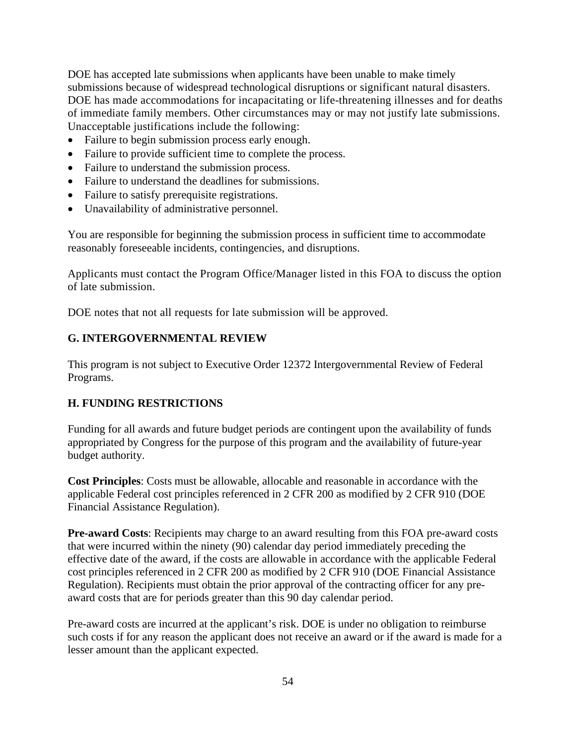DOE has accepted late submissions when applicants have been unable to make timely submissions because of widespread technological disruptions or significant natural disasters. DOE has made accommodations for incapacitating or life-threatening illnesses and for deaths of immediate family members. Other circumstances may or may not justify late submissions. Unacceptable justifications include the following:

- Failure to begin submission process early enough.
- Failure to provide sufficient time to complete the process.
- Failure to understand the submission process.
- Failure to understand the deadlines for submissions.
- Failure to satisfy prerequisite registrations.
- Unavailability of administrative personnel.

You are responsible for beginning the submission process in sufficient time to accommodate reasonably foreseeable incidents, contingencies, and disruptions.

Applicants must contact the Program Office/Manager listed in this FOA to discuss the option of late submission.

DOE notes that not all requests for late submission will be approved.

#### **G. INTERGOVERNMENTAL REVIEW**

This program is not subject to Executive Order 12372 Intergovernmental Review of Federal Programs.

### <span id="page-59-0"></span>**H. FUNDING RESTRICTIONS**

Funding for all awards and future budget periods are contingent upon the availability of funds appropriated by Congress for the purpose of this program and the availability of future-year budget authority.

**Cost Principles**: Costs must be allowable, allocable and reasonable in accordance with the applicable Federal cost principles referenced in 2 CFR 200 as modified by 2 CFR 910 (DOE Financial Assistance Regulation).

**Pre-award Costs**: Recipients may charge to an award resulting from this FOA pre-award costs that were incurred within the ninety (90) calendar day period immediately preceding the effective date of the award, if the costs are allowable in accordance with the applicable Federal cost principles referenced in 2 CFR 200 as modified by 2 CFR 910 (DOE Financial Assistance Regulation). Recipients must obtain the prior approval of the contracting officer for any preaward costs that are for periods greater than this 90 day calendar period.

Pre-award costs are incurred at the applicant's risk. DOE is under no obligation to reimburse such costs if for any reason the applicant does not receive an award or if the award is made for a lesser amount than the applicant expected.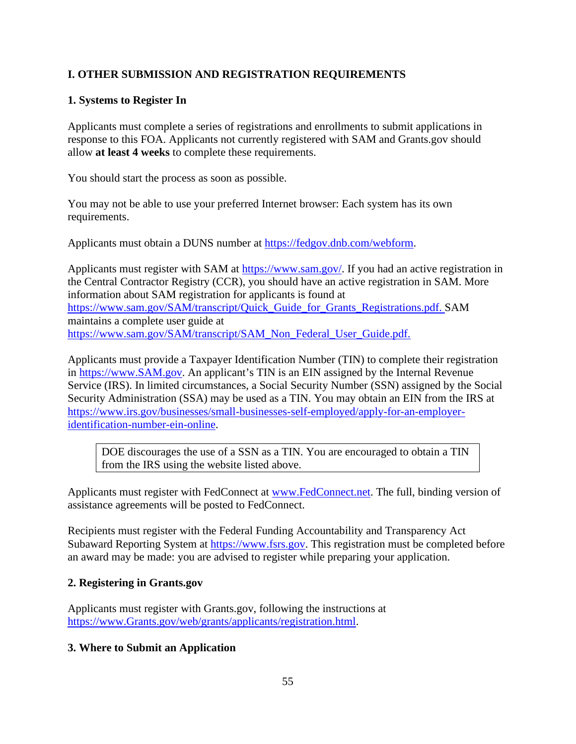# **I. OTHER SUBMISSION AND REGISTRATION REQUIREMENTS**

## **1. Systems to Register In**

Applicants must complete a series of registrations and enrollments to submit applications in response to this FOA. Applicants not currently registered with SAM and Grants.gov should allow **at least 4 weeks** to complete these requirements.

You should start the process as soon as possible.

You may not be able to use your preferred Internet browser: Each system has its own requirements.

Applicants must obtain a DUNS number at [https://fedgov.dnb.com/webform.](https://fedgov.dnb.com/webform)

Applicants must register with SAM at [https://www.sam.gov/.](https://www.sam.gov/) If you had an active registration in the Central Contractor Registry (CCR), you should have an active registration in SAM. More information about SAM registration for applicants is found at [https://www.sam.gov/SAM/transcript/Quick\\_Guide\\_for\\_Grants\\_Registrations.pdf.](https://www.sam.gov/SAM/transcript/Quick_Guide_for_Grants_Registrations.pdf) SAM maintains a complete user guide at [https://www.sam.gov/SAM/transcript/SAM\\_Non\\_Federal\\_User\\_Guide.pdf.](https://www.sam.gov/SAM/transcript/SAM_Non_Federal_User_Guide.pdf)

Applicants must provide a Taxpayer Identification Number (TIN) to complete their registration in [https://www.SAM.gov.](https://www.sam.gov/) An applicant's TIN is an EIN assigned by the Internal Revenue Service (IRS). In limited circumstances, a Social Security Number (SSN) assigned by the Social Security Administration (SSA) may be used as a TIN. You may obtain an EIN from the IRS at [https://www.irs.gov/businesses/small-businesses-self-employed/apply-for-an-employer](https://www.irs.gov/businesses/small-businesses-self-employed/apply-for-an-employer-identification-number-ein-online)[identification-number-ein-online.](https://www.irs.gov/businesses/small-businesses-self-employed/apply-for-an-employer-identification-number-ein-online)

DOE discourages the use of a SSN as a TIN. You are encouraged to obtain a TIN from the IRS using the website listed above.

Applicants must register with FedConnect at [www.FedConnect.net.](https://www.fedconnect.net/) The full, binding version of assistance agreements will be posted to FedConnect.

Recipients must register with the Federal Funding Accountability and Transparency Act Subaward Reporting System at [https://www.fsrs.gov.](https://www.fsrs.gov/) This registration must be completed before an award may be made: you are advised to register while preparing your application.

## **2. Registering in Grants.gov**

Applicants must register with Grants.gov, following the instructions at [https://www.Grants.gov/web/grants/applicants/registration.html.](https://www.grants.gov/web/grants/applicants/registration.html)

## **3. Where to Submit an Application**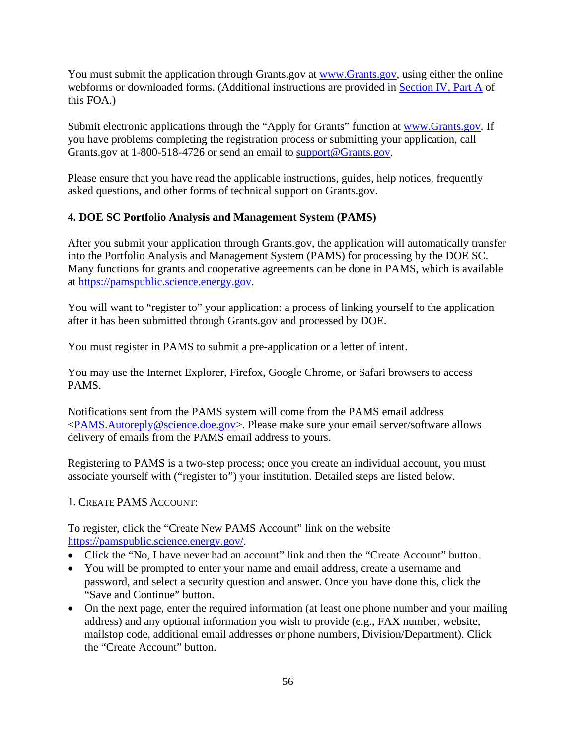You must submit the application through Grants.gov at [www.Grants.gov,](http://www.grants.gov/) using either the online webforms or downloaded forms. (Additional instructions are provided in [Section IV, Part A](#page-31-0) of this FOA.)

Submit electronic applications through the "Apply for Grants" function at [www.Grants.gov.](http://www.grants.gov/) If you have problems completing the registration process or submitting your application, call Grants.gov at 1-800-518-4726 or send an email to [support@Grants.gov.](mailto:support@Grants.gov)

Please ensure that you have read the applicable instructions, guides, help notices, frequently asked questions, and other forms of technical support on Grants.gov.

## **4. DOE SC Portfolio Analysis and Management System (PAMS)**

After you submit your application through Grants.gov, the application will automatically transfer into the Portfolio Analysis and Management System (PAMS) for processing by the DOE SC. Many functions for grants and cooperative agreements can be done in PAMS, which is available at [https://pamspublic.science.energy.gov.](https://pamspublic.science.energy.gov/)

You will want to "register to" your application: a process of linking yourself to the application after it has been submitted through Grants.gov and processed by DOE.

You must register in PAMS to submit a pre-application or a letter of intent.

You may use the Internet Explorer, Firefox, Google Chrome, or Safari browsers to access PAMS.

Notifications sent from the PAMS system will come from the PAMS email address [<PAMS.Autoreply@science.doe.gov>](mailto:PAMS.Autoreply@science.doe.gov). Please make sure your email server/software allows delivery of emails from the PAMS email address to yours.

Registering to PAMS is a two-step process; once you create an individual account, you must associate yourself with ("register to") your institution. Detailed steps are listed below.

### 1. CREATE PAMS ACCOUNT:

To register, click the "Create New PAMS Account" link on the website [https://pamspublic.science.energy.gov/.](https://pamspublic.science.energy.gov/)

- Click the "No, I have never had an account" link and then the "Create Account" button.
- You will be prompted to enter your name and email address, create a username and password, and select a security question and answer. Once you have done this, click the "Save and Continue" button.
- On the next page, enter the required information (at least one phone number and your mailing address) and any optional information you wish to provide (e.g., FAX number, website, mailstop code, additional email addresses or phone numbers, Division/Department). Click the "Create Account" button.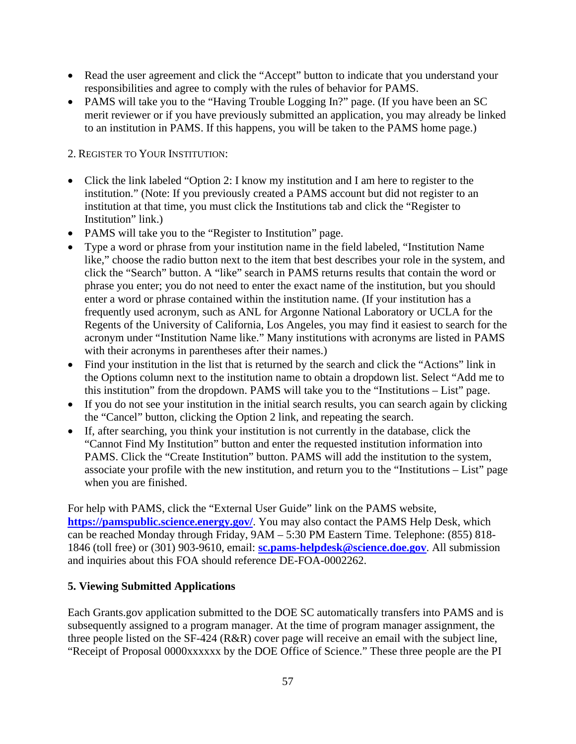- Read the user agreement and click the "Accept" button to indicate that you understand your responsibilities and agree to comply with the rules of behavior for PAMS.
- PAMS will take you to the "Having Trouble Logging In?" page. (If you have been an SC merit reviewer or if you have previously submitted an application, you may already be linked to an institution in PAMS. If this happens, you will be taken to the PAMS home page.)

2. REGISTER TO YOUR INSTITUTION:

- Click the link labeled "Option 2: I know my institution and I am here to register to the institution." (Note: If you previously created a PAMS account but did not register to an institution at that time, you must click the Institutions tab and click the "Register to Institution" link.)
- PAMS will take you to the "Register to Institution" page.
- Type a word or phrase from your institution name in the field labeled, "Institution Name like," choose the radio button next to the item that best describes your role in the system, and click the "Search" button. A "like" search in PAMS returns results that contain the word or phrase you enter; you do not need to enter the exact name of the institution, but you should enter a word or phrase contained within the institution name. (If your institution has a frequently used acronym, such as ANL for Argonne National Laboratory or UCLA for the Regents of the University of California, Los Angeles, you may find it easiest to search for the acronym under "Institution Name like." Many institutions with acronyms are listed in PAMS with their acronyms in parentheses after their names.)
- Find your institution in the list that is returned by the search and click the "Actions" link in the Options column next to the institution name to obtain a dropdown list. Select "Add me to this institution" from the dropdown. PAMS will take you to the "Institutions – List" page.
- If you do not see your institution in the initial search results, you can search again by clicking the "Cancel" button, clicking the Option 2 link, and repeating the search.
- If, after searching, you think your institution is not currently in the database, click the "Cannot Find My Institution" button and enter the requested institution information into PAMS. Click the "Create Institution" button. PAMS will add the institution to the system, associate your profile with the new institution, and return you to the "Institutions – List" page when you are finished.

For help with PAMS, click the "External User Guide" link on the PAMS website, **<https://pamspublic.science.energy.gov/>**. You may also contact the PAMS Help Desk, which can be reached Monday through Friday, 9AM – 5:30 PM Eastern Time. Telephone: (855) 818- 1846 (toll free) or (301) 903-9610, email: **[sc.pams-helpdesk@science.doe.gov](mailto:sc.pams-helpdesk@science.doe.gov)**. All submission and inquiries about this FOA should reference DE-FOA-0002262.

## **5. Viewing Submitted Applications**

Each Grants.gov application submitted to the DOE SC automatically transfers into PAMS and is subsequently assigned to a program manager. At the time of program manager assignment, the three people listed on the SF-424 (R&R) cover page will receive an email with the subject line, "Receipt of Proposal 0000xxxxxx by the DOE Office of Science." These three people are the PI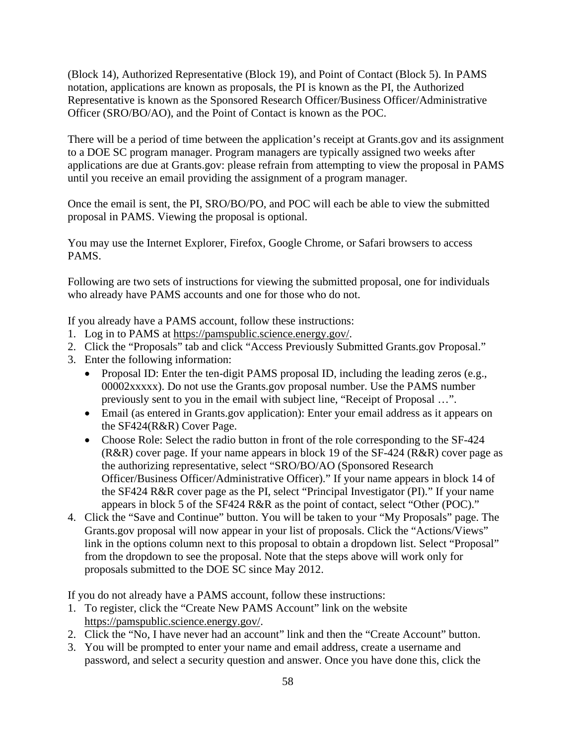(Block 14), Authorized Representative (Block 19), and Point of Contact (Block 5). In PAMS notation, applications are known as proposals, the PI is known as the PI, the Authorized Representative is known as the Sponsored Research Officer/Business Officer/Administrative Officer (SRO/BO/AO), and the Point of Contact is known as the POC.

There will be a period of time between the application's receipt at Grants.gov and its assignment to a DOE SC program manager. Program managers are typically assigned two weeks after applications are due at Grants.gov: please refrain from attempting to view the proposal in PAMS until you receive an email providing the assignment of a program manager.

Once the email is sent, the PI, SRO/BO/PO, and POC will each be able to view the submitted proposal in PAMS. Viewing the proposal is optional.

You may use the Internet Explorer, Firefox, Google Chrome, or Safari browsers to access PAMS.

Following are two sets of instructions for viewing the submitted proposal, one for individuals who already have PAMS accounts and one for those who do not.

If you already have a PAMS account, follow these instructions:

- 1. Log in to PAMS at [https://pamspublic.science.energy.gov/.](https://pamspublic.science.energy.gov/)
- 2. Click the "Proposals" tab and click "Access Previously Submitted Grants.gov Proposal."
- 3. Enter the following information:
	- Proposal ID: Enter the ten-digit PAMS proposal ID, including the leading zeros (e.g., 00002xxxxx). Do not use the Grants.gov proposal number. Use the PAMS number previously sent to you in the email with subject line, "Receipt of Proposal …".
	- Email (as entered in Grants.gov application): Enter your email address as it appears on the SF424(R&R) Cover Page.
	- Choose Role: Select the radio button in front of the role corresponding to the SF-424 (R&R) cover page. If your name appears in block 19 of the SF-424 (R&R) cover page as the authorizing representative, select "SRO/BO/AO (Sponsored Research Officer/Business Officer/Administrative Officer)." If your name appears in block 14 of the SF424 R&R cover page as the PI, select "Principal Investigator (PI)." If your name appears in block 5 of the SF424 R&R as the point of contact, select "Other (POC)."
- 4. Click the "Save and Continue" button. You will be taken to your "My Proposals" page. The Grants.gov proposal will now appear in your list of proposals. Click the "Actions/Views" link in the options column next to this proposal to obtain a dropdown list. Select "Proposal" from the dropdown to see the proposal. Note that the steps above will work only for proposals submitted to the DOE SC since May 2012.

If you do not already have a PAMS account, follow these instructions:

- 1. To register, click the "Create New PAMS Account" link on the website [https://pamspublic.science.energy.gov/.](https://pamspublic.science.energy.gov/)
- 2. Click the "No, I have never had an account" link and then the "Create Account" button.
- 3. You will be prompted to enter your name and email address, create a username and password, and select a security question and answer. Once you have done this, click the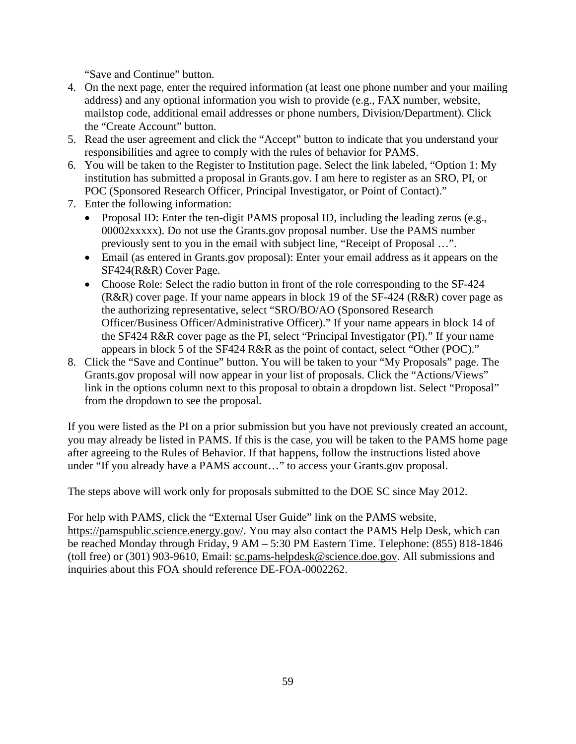"Save and Continue" button.

- 4. On the next page, enter the required information (at least one phone number and your mailing address) and any optional information you wish to provide (e.g., FAX number, website, mailstop code, additional email addresses or phone numbers, Division/Department). Click the "Create Account" button.
- 5. Read the user agreement and click the "Accept" button to indicate that you understand your responsibilities and agree to comply with the rules of behavior for PAMS.
- 6. You will be taken to the Register to Institution page. Select the link labeled, "Option 1: My institution has submitted a proposal in Grants.gov. I am here to register as an SRO, PI, or POC (Sponsored Research Officer, Principal Investigator, or Point of Contact)."
- 7. Enter the following information:
	- Proposal ID: Enter the ten-digit PAMS proposal ID, including the leading zeros (e.g., 00002xxxxx). Do not use the Grants.gov proposal number. Use the PAMS number previously sent to you in the email with subject line, "Receipt of Proposal …".
	- Email (as entered in Grants.gov proposal): Enter your email address as it appears on the SF424(R&R) Cover Page.
	- Choose Role: Select the radio button in front of the role corresponding to the SF-424 (R&R) cover page. If your name appears in block 19 of the SF-424 (R&R) cover page as the authorizing representative, select "SRO/BO/AO (Sponsored Research Officer/Business Officer/Administrative Officer)." If your name appears in block 14 of the SF424 R&R cover page as the PI, select "Principal Investigator (PI)." If your name appears in block 5 of the SF424 R&R as the point of contact, select "Other (POC)."
- 8. Click the "Save and Continue" button. You will be taken to your "My Proposals" page. The Grants.gov proposal will now appear in your list of proposals. Click the "Actions/Views" link in the options column next to this proposal to obtain a dropdown list. Select "Proposal" from the dropdown to see the proposal.

If you were listed as the PI on a prior submission but you have not previously created an account, you may already be listed in PAMS. If this is the case, you will be taken to the PAMS home page after agreeing to the Rules of Behavior. If that happens, follow the instructions listed above under "If you already have a PAMS account…" to access your Grants.gov proposal.

The steps above will work only for proposals submitted to the DOE SC since May 2012.

For help with PAMS, click the "External User Guide" link on the PAMS website, [https://pamspublic.science.energy.gov/.](https://pamspublic.science.energy.gov/) You may also contact the PAMS Help Desk, which can be reached Monday through Friday, 9 AM – 5:30 PM Eastern Time. Telephone: (855) 818-1846 (toll free) or (301) 903-9610, Email: [sc.pams-helpdesk@science.doe.gov.](mailto:sc.pams-helpdesk@science.doe.gov) All submissions and inquiries about this FOA should reference DE-FOA-0002262.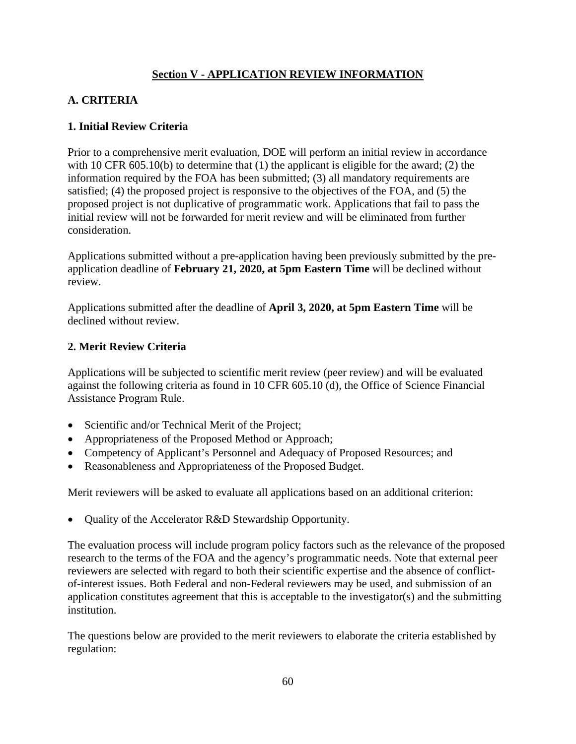# **Section V - APPLICATION REVIEW INFORMATION**

# **A. CRITERIA**

### **1. Initial Review Criteria**

Prior to a comprehensive merit evaluation, DOE will perform an initial review in accordance with 10 CFR 605.10(b) to determine that (1) the applicant is eligible for the award; (2) the information required by the FOA has been submitted; (3) all mandatory requirements are satisfied; (4) the proposed project is responsive to the objectives of the FOA, and (5) the proposed project is not duplicative of programmatic work. Applications that fail to pass the initial review will not be forwarded for merit review and will be eliminated from further consideration.

Applications submitted without a pre-application having been previously submitted by the preapplication deadline of **February 21, 2020, at 5pm Eastern Time** will be declined without review.

Applications submitted after the deadline of **April 3, 2020, at 5pm Eastern Time** will be declined without review.

### **2. Merit Review Criteria**

Applications will be subjected to scientific merit review (peer review) and will be evaluated against the following criteria as found in 10 CFR 605.10 (d), the Office of Science Financial Assistance Program Rule.

- Scientific and/or Technical Merit of the Project;
- Appropriateness of the Proposed Method or Approach;
- Competency of Applicant's Personnel and Adequacy of Proposed Resources; and
- Reasonableness and Appropriateness of the Proposed Budget.

Merit reviewers will be asked to evaluate all applications based on an additional criterion:

• Quality of the Accelerator R&D Stewardship Opportunity.

The evaluation process will include program policy factors such as the relevance of the proposed research to the terms of the FOA and the agency's programmatic needs. Note that external peer reviewers are selected with regard to both their scientific expertise and the absence of conflictof-interest issues. Both Federal and non-Federal reviewers may be used, and submission of an application constitutes agreement that this is acceptable to the investigator(s) and the submitting institution.

The questions below are provided to the merit reviewers to elaborate the criteria established by regulation: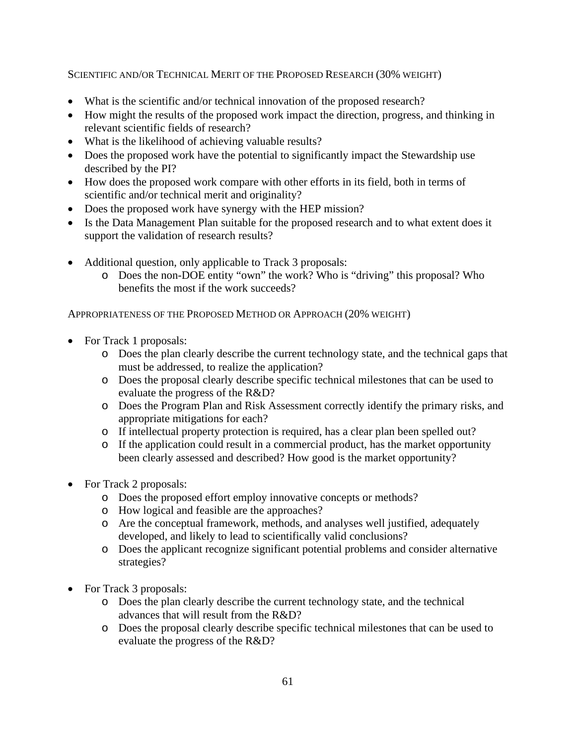SCIENTIFIC AND/OR TECHNICAL MERIT OF THE PROPOSED RESEARCH (30% WEIGHT)

- What is the scientific and/or technical innovation of the proposed research?
- How might the results of the proposed work impact the direction, progress, and thinking in relevant scientific fields of research?
- What is the likelihood of achieving valuable results?
- Does the proposed work have the potential to significantly impact the Stewardship use described by the PI?
- How does the proposed work compare with other efforts in its field, both in terms of scientific and/or technical merit and originality?
- Does the proposed work have synergy with the HEP mission?
- Is the Data Management Plan suitable for the proposed research and to what extent does it support the validation of research results?
- Additional question, only applicable to Track 3 proposals:
	- o Does the non-DOE entity "own" the work? Who is "driving" this proposal? Who benefits the most if the work succeeds?

APPROPRIATENESS OF THE PROPOSED METHOD OR APPROACH (20% WEIGHT)

- For Track 1 proposals:
	- o Does the plan clearly describe the current technology state, and the technical gaps that must be addressed, to realize the application?
	- o Does the proposal clearly describe specific technical milestones that can be used to evaluate the progress of the R&D?
	- o Does the Program Plan and Risk Assessment correctly identify the primary risks, and appropriate mitigations for each?
	- o If intellectual property protection is required, has a clear plan been spelled out?
	- o If the application could result in a commercial product, has the market opportunity been clearly assessed and described? How good is the market opportunity?
- For Track 2 proposals:
	- o Does the proposed effort employ innovative concepts or methods?
	- o How logical and feasible are the approaches?
	- o Are the conceptual framework, methods, and analyses well justified, adequately developed, and likely to lead to scientifically valid conclusions?
	- o Does the applicant recognize significant potential problems and consider alternative strategies?
- For Track 3 proposals:
	- o Does the plan clearly describe the current technology state, and the technical advances that will result from the R&D?
	- o Does the proposal clearly describe specific technical milestones that can be used to evaluate the progress of the R&D?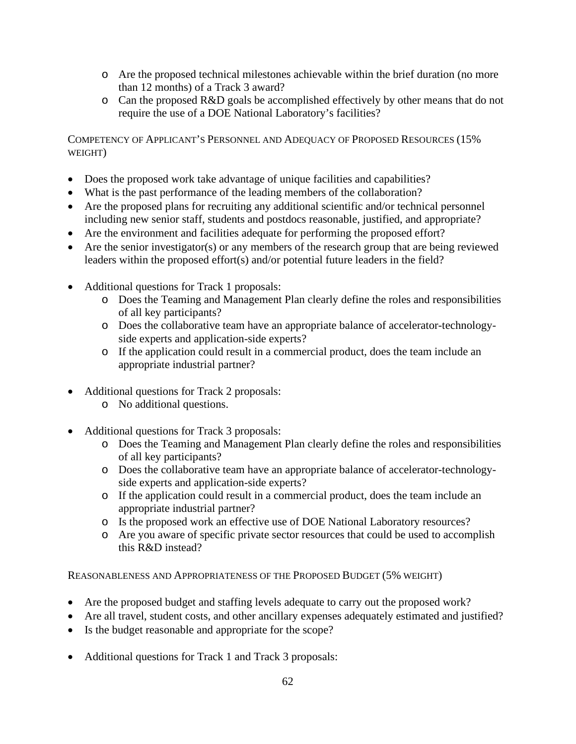- o Are the proposed technical milestones achievable within the brief duration (no more than 12 months) of a Track 3 award?
- o Can the proposed R&D goals be accomplished effectively by other means that do not require the use of a DOE National Laboratory's facilities?

COMPETENCY OF APPLICANT'S PERSONNEL AND ADEQUACY OF PROPOSED RESOURCES (15% WEIGHT)

- Does the proposed work take advantage of unique facilities and capabilities?
- What is the past performance of the leading members of the collaboration?
- Are the proposed plans for recruiting any additional scientific and/or technical personnel including new senior staff, students and postdocs reasonable, justified, and appropriate?
- Are the environment and facilities adequate for performing the proposed effort?
- Are the senior investigator(s) or any members of the research group that are being reviewed leaders within the proposed effort(s) and/or potential future leaders in the field?
- Additional questions for Track 1 proposals:
	- o Does the Teaming and Management Plan clearly define the roles and responsibilities of all key participants?
	- o Does the collaborative team have an appropriate balance of accelerator-technologyside experts and application-side experts?
	- o If the application could result in a commercial product, does the team include an appropriate industrial partner?
- Additional questions for Track 2 proposals:
	- o No additional questions.
- Additional questions for Track 3 proposals:
	- o Does the Teaming and Management Plan clearly define the roles and responsibilities of all key participants?
	- o Does the collaborative team have an appropriate balance of accelerator-technologyside experts and application-side experts?
	- o If the application could result in a commercial product, does the team include an appropriate industrial partner?
	- o Is the proposed work an effective use of DOE National Laboratory resources?
	- o Are you aware of specific private sector resources that could be used to accomplish this R&D instead?

REASONABLENESS AND APPROPRIATENESS OF THE PROPOSED BUDGET (5% WEIGHT)

- Are the proposed budget and staffing levels adequate to carry out the proposed work?
- Are all travel, student costs, and other ancillary expenses adequately estimated and justified?
- Is the budget reasonable and appropriate for the scope?
- Additional questions for Track 1 and Track 3 proposals: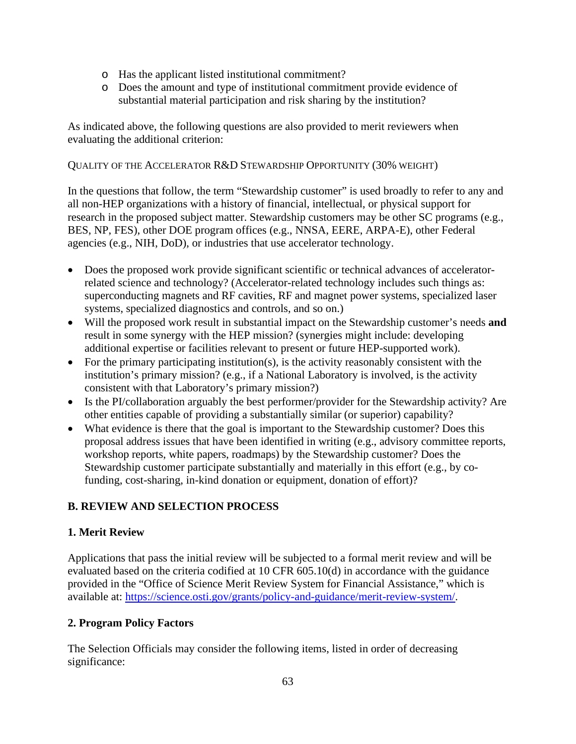- o Has the applicant listed institutional commitment?
- o Does the amount and type of institutional commitment provide evidence of substantial material participation and risk sharing by the institution?

As indicated above, the following questions are also provided to merit reviewers when evaluating the additional criterion:

### QUALITY OF THE ACCELERATOR R&D STEWARDSHIP OPPORTUNITY (30% WEIGHT)

In the questions that follow, the term "Stewardship customer" is used broadly to refer to any and all non-HEP organizations with a history of financial, intellectual, or physical support for research in the proposed subject matter. Stewardship customers may be other SC programs (e.g., BES, NP, FES), other DOE program offices (e.g., NNSA, EERE, ARPA-E), other Federal agencies (e.g., NIH, DoD), or industries that use accelerator technology.

- Does the proposed work provide significant scientific or technical advances of acceleratorrelated science and technology? (Accelerator-related technology includes such things as: superconducting magnets and RF cavities, RF and magnet power systems, specialized laser systems, specialized diagnostics and controls, and so on.)
- Will the proposed work result in substantial impact on the Stewardship customer's needs **and** result in some synergy with the HEP mission? (synergies might include: developing additional expertise or facilities relevant to present or future HEP-supported work).
- For the primary participating institution(s), is the activity reasonably consistent with the institution's primary mission? (e.g., if a National Laboratory is involved, is the activity consistent with that Laboratory's primary mission?)
- Is the PI/collaboration arguably the best performer/provider for the Stewardship activity? Are other entities capable of providing a substantially similar (or superior) capability?
- What evidence is there that the goal is important to the Stewardship customer? Does this proposal address issues that have been identified in writing (e.g., advisory committee reports, workshop reports, white papers, roadmaps) by the Stewardship customer? Does the Stewardship customer participate substantially and materially in this effort (e.g., by cofunding, cost-sharing, in-kind donation or equipment, donation of effort)?

# **B. REVIEW AND SELECTION PROCESS**

## **1. Merit Review**

Applications that pass the initial review will be subjected to a formal merit review and will be evaluated based on the criteria codified at 10 CFR 605.10(d) in accordance with the guidance provided in the "Office of Science Merit Review System for Financial Assistance," which is available at: [https://science.osti.gov/grants/policy-and-guidance/merit-review-system/.](https://science.osti.gov/grants/policy-and-guidance/merit-review-system/)

# **2. Program Policy Factors**

The Selection Officials may consider the following items, listed in order of decreasing significance: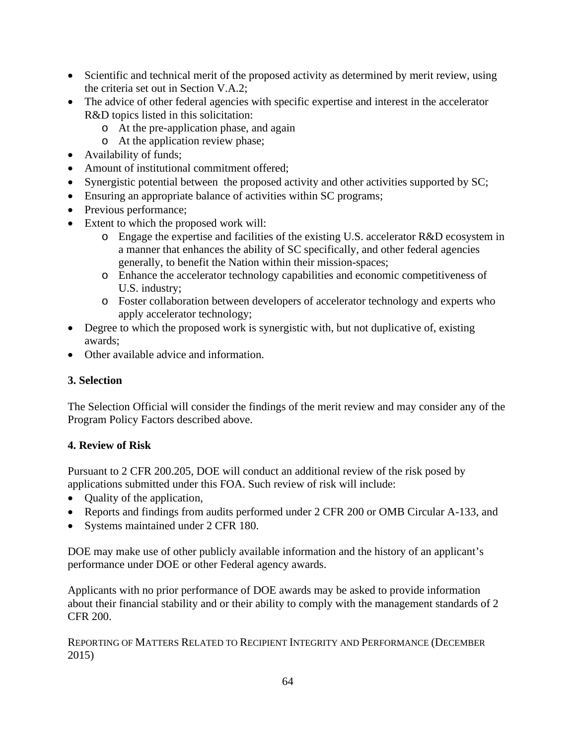- Scientific and technical merit of the proposed activity as determined by merit review, using the criteria set out in Section V.A.2;
- The advice of other federal agencies with specific expertise and interest in the accelerator R&D topics listed in this solicitation:
	- o At the pre-application phase, and again
	- o At the application review phase;
- Availability of funds;
- Amount of institutional commitment offered;
- Synergistic potential between the proposed activity and other activities supported by SC;
- Ensuring an appropriate balance of activities within SC programs;
- Previous performance;
- Extent to which the proposed work will:
	- o Engage the expertise and facilities of the existing U.S. accelerator R&D ecosystem in a manner that enhances the ability of SC specifically, and other federal agencies generally, to benefit the Nation within their mission-spaces;
	- o Enhance the accelerator technology capabilities and economic competitiveness of U.S. industry;
	- o Foster collaboration between developers of accelerator technology and experts who apply accelerator technology;
- Degree to which the proposed work is synergistic with, but not duplicative of, existing awards;
- Other available advice and information.

## **3. Selection**

The Selection Official will consider the findings of the merit review and may consider any of the Program Policy Factors described above.

## **4. Review of Risk**

Pursuant to 2 CFR 200.205, DOE will conduct an additional review of the risk posed by applications submitted under this FOA. Such review of risk will include:

- Quality of the application,
- Reports and findings from audits performed under 2 CFR 200 or OMB Circular A-133, and
- Systems maintained under 2 CFR 180.

DOE may make use of other publicly available information and the history of an applicant's performance under DOE or other Federal agency awards.

Applicants with no prior performance of DOE awards may be asked to provide information about their financial stability and or their ability to comply with the management standards of 2 CFR 200.

REPORTING OF MATTERS RELATED TO RECIPIENT INTEGRITY AND PERFORMANCE (DECEMBER 2015)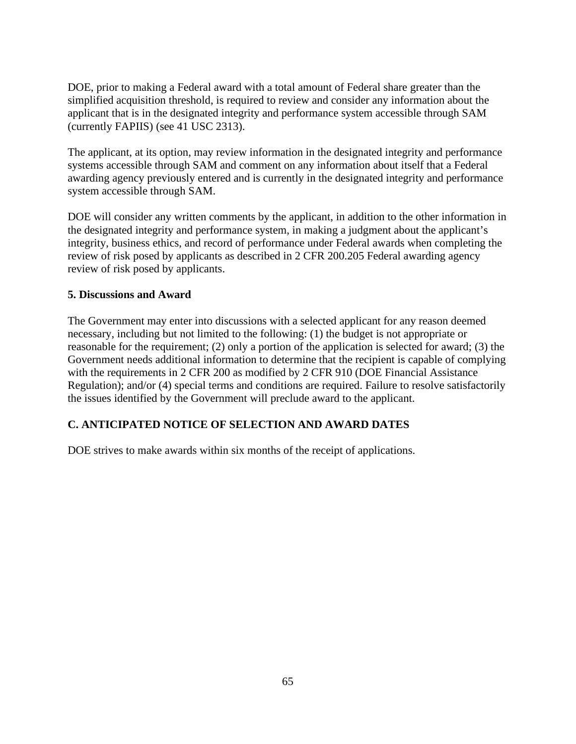DOE, prior to making a Federal award with a total amount of Federal share greater than the simplified acquisition threshold, is required to review and consider any information about the applicant that is in the designated integrity and performance system accessible through SAM (currently FAPIIS) (see 41 USC 2313).

The applicant, at its option, may review information in the designated integrity and performance systems accessible through SAM and comment on any information about itself that a Federal awarding agency previously entered and is currently in the designated integrity and performance system accessible through SAM.

DOE will consider any written comments by the applicant, in addition to the other information in the designated integrity and performance system, in making a judgment about the applicant's integrity, business ethics, and record of performance under Federal awards when completing the review of risk posed by applicants as described in 2 CFR 200.205 Federal awarding agency review of risk posed by applicants.

### **5. Discussions and Award**

The Government may enter into discussions with a selected applicant for any reason deemed necessary, including but not limited to the following: (1) the budget is not appropriate or reasonable for the requirement; (2) only a portion of the application is selected for award; (3) the Government needs additional information to determine that the recipient is capable of complying with the requirements in 2 CFR 200 as modified by 2 CFR 910 (DOE Financial Assistance Regulation); and/or (4) special terms and conditions are required. Failure to resolve satisfactorily the issues identified by the Government will preclude award to the applicant.

# **C. ANTICIPATED NOTICE OF SELECTION AND AWARD DATES**

DOE strives to make awards within six months of the receipt of applications.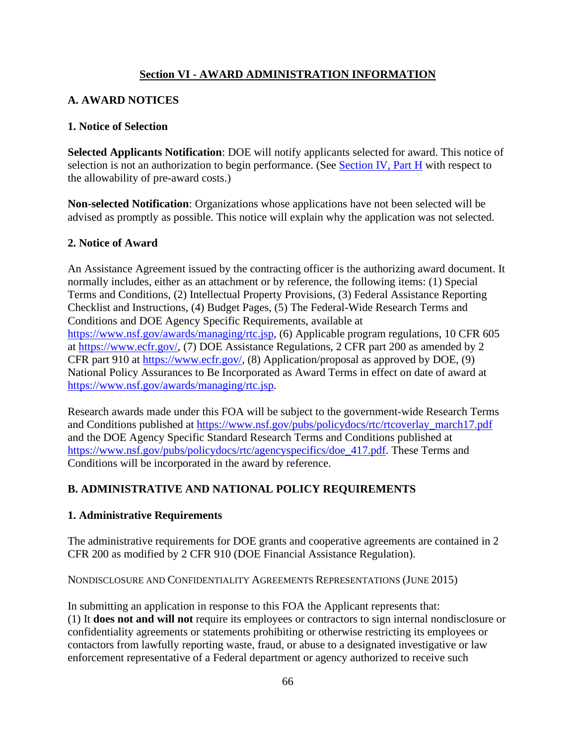# **Section VI - AWARD ADMINISTRATION INFORMATION**

# **A. AWARD NOTICES**

### **1. Notice of Selection**

**Selected Applicants Notification**: DOE will notify applicants selected for award. This notice of selection is not an authorization to begin performance. (See [Section IV, Part H](#page-59-0) with respect to the allowability of pre-award costs.)

**Non-selected Notification**: Organizations whose applications have not been selected will be advised as promptly as possible. This notice will explain why the application was not selected.

### **2. Notice of Award**

An Assistance Agreement issued by the contracting officer is the authorizing award document. It normally includes, either as an attachment or by reference, the following items: (1) Special Terms and Conditions, (2) Intellectual Property Provisions, (3) Federal Assistance Reporting Checklist and Instructions, (4) Budget Pages, (5) The Federal-Wide Research Terms and Conditions and DOE Agency Specific Requirements, available at [https://www.nsf.gov/awards/managing/rtc.jsp,](https://www.nsf.gov/awards/managing/rtc.jsp) (6) Applicable program regulations, 10 CFR 605 at [https://www.ecfr.gov/,](https://www.ecfr.gov/) (7) DOE Assistance Regulations, 2 CFR part 200 as amended by 2 CFR part 910 at [https://www.ecfr.gov/,](https://www.ecfr.gov/) (8) Application/proposal as approved by DOE, (9) National Policy Assurances to Be Incorporated as Award Terms in effect on date of award at [https://www.nsf.gov/awards/managing/rtc.jsp.](https://www.nsf.gov/awards/managing/rtc.jsp)

Research awards made under this FOA will be subject to the government-wide Research Terms and Conditions published at [https://www.nsf.gov/pubs/policydocs/rtc/rtcoverlay\\_march17.pdf](https://www.nsf.gov/pubs/policydocs/rtc/rtcoverlay_march17.pdf) and the DOE Agency Specific Standard Research Terms and Conditions published at [https://www.nsf.gov/pubs/policydocs/rtc/agencyspecifics/doe\\_417.pdf.](https://www.nsf.gov/pubs/policydocs/rtc/agencyspecifics/doe_417.pdf) These Terms and Conditions will be incorporated in the award by reference.

## **B. ADMINISTRATIVE AND NATIONAL POLICY REQUIREMENTS**

## **1. Administrative Requirements**

The administrative requirements for DOE grants and cooperative agreements are contained in 2 CFR 200 as modified by 2 CFR 910 (DOE Financial Assistance Regulation).

NONDISCLOSURE AND CONFIDENTIALITY AGREEMENTS REPRESENTATIONS (JUNE 2015)

In submitting an application in response to this FOA the Applicant represents that: (1) It **does not and will not** require its employees or contractors to sign internal nondisclosure or confidentiality agreements or statements prohibiting or otherwise restricting its employees or contactors from lawfully reporting waste, fraud, or abuse to a designated investigative or law enforcement representative of a Federal department or agency authorized to receive such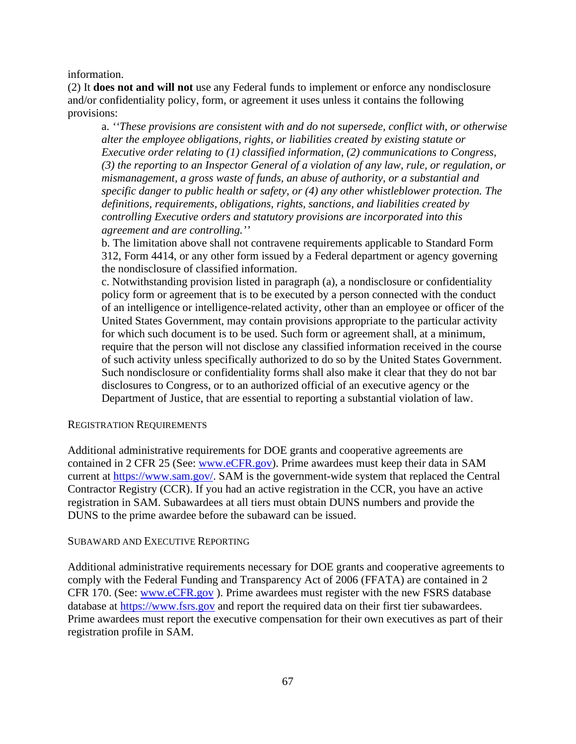information.

(2) It **does not and will not** use any Federal funds to implement or enforce any nondisclosure and/or confidentiality policy, form, or agreement it uses unless it contains the following provisions:

a. *''These provisions are consistent with and do not supersede, conflict with, or otherwise alter the employee obligations, rights, or liabilities created by existing statute or Executive order relating to (1) classified information, (2) communications to Congress, (3) the reporting to an Inspector General of a violation of any law, rule, or regulation, or mismanagement, a gross waste of funds, an abuse of authority, or a substantial and specific danger to public health or safety, or (4) any other whistleblower protection. The definitions, requirements, obligations, rights, sanctions, and liabilities created by controlling Executive orders and statutory provisions are incorporated into this agreement and are controlling.''*

b. The limitation above shall not contravene requirements applicable to Standard Form 312, Form 4414, or any other form issued by a Federal department or agency governing the nondisclosure of classified information.

c. Notwithstanding provision listed in paragraph (a), a nondisclosure or confidentiality policy form or agreement that is to be executed by a person connected with the conduct of an intelligence or intelligence-related activity, other than an employee or officer of the United States Government, may contain provisions appropriate to the particular activity for which such document is to be used. Such form or agreement shall, at a minimum, require that the person will not disclose any classified information received in the course of such activity unless specifically authorized to do so by the United States Government. Such nondisclosure or confidentiality forms shall also make it clear that they do not bar disclosures to Congress, or to an authorized official of an executive agency or the Department of Justice, that are essential to reporting a substantial violation of law.

#### REGISTRATION REQUIREMENTS

Additional administrative requirements for DOE grants and cooperative agreements are contained in 2 CFR 25 (See: [www.eCFR.gov\)](https://www.ecfr.gov/). Prime awardees must keep their data in SAM current at [https://www.sam.gov/.](https://www.sam.gov/) SAM is the government-wide system that replaced the Central Contractor Registry (CCR). If you had an active registration in the CCR, you have an active registration in SAM. Subawardees at all tiers must obtain DUNS numbers and provide the DUNS to the prime awardee before the subaward can be issued.

#### SUBAWARD AND EXECUTIVE REPORTING

Additional administrative requirements necessary for DOE grants and cooperative agreements to comply with the Federal Funding and Transparency Act of 2006 (FFATA) are contained in 2 CFR 170. (See: [www.eCFR.gov](https://www.ecfr.gov/)). Prime awardees must register with the new FSRS database database at [https://www.fsrs.gov](https://www.fsrs.gov/) and report the required data on their first tier subawardees. Prime awardees must report the executive compensation for their own executives as part of their registration profile in SAM.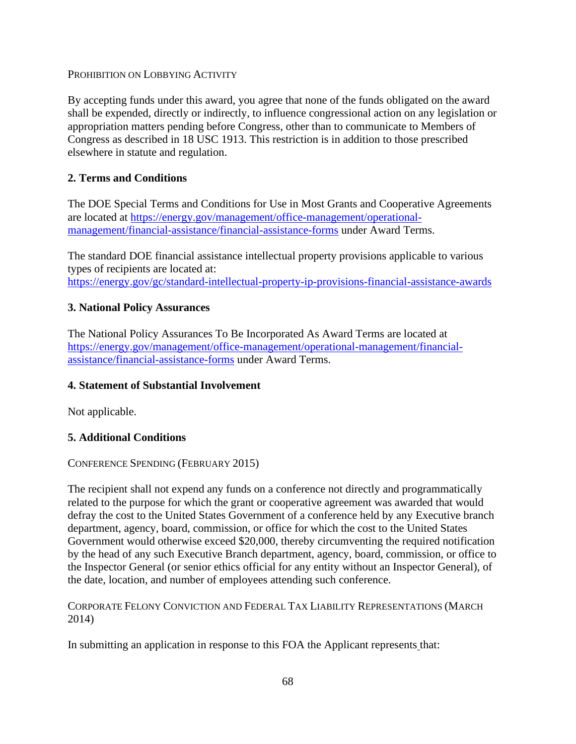PROHIBITION ON LOBBYING ACTIVITY

By accepting funds under this award, you agree that none of the funds obligated on the award shall be expended, directly or indirectly, to influence congressional action on any legislation or appropriation matters pending before Congress, other than to communicate to Members of Congress as described in 18 USC 1913. This restriction is in addition to those prescribed elsewhere in statute and regulation.

#### **2. Terms and Conditions**

The DOE Special Terms and Conditions for Use in Most Grants and Cooperative Agreements are located at [https://energy.gov/management/office-management/operational](https://energy.gov/management/office-management/operational-management/financial-assistance/financial-assistance-forms)[management/financial-assistance/financial-assistance-forms](https://energy.gov/management/office-management/operational-management/financial-assistance/financial-assistance-forms) under Award Terms.

The standard DOE financial assistance intellectual property provisions applicable to various types of recipients are located at: <https://energy.gov/gc/standard-intellectual-property-ip-provisions-financial-assistance-awards>

#### **3. National Policy Assurances**

The National Policy Assurances To Be Incorporated As Award Terms are located at [https://energy.gov/management/office-management/operational-management/financial](https://energy.gov/management/office-management/operational-management/financial-assistance/financial-assistance-forms)[assistance/financial-assistance-forms](https://energy.gov/management/office-management/operational-management/financial-assistance/financial-assistance-forms) under Award Terms.

#### **4. Statement of Substantial Involvement**

Not applicable.

#### **5. Additional Conditions**

#### CONFERENCE SPENDING (FEBRUARY 2015)

The recipient shall not expend any funds on a conference not directly and programmatically related to the purpose for which the grant or cooperative agreement was awarded that would defray the cost to the United States Government of a conference held by any Executive branch department, agency, board, commission, or office for which the cost to the United States Government would otherwise exceed \$20,000, thereby circumventing the required notification by the head of any such Executive Branch department, agency, board, commission, or office to the Inspector General (or senior ethics official for any entity without an Inspector General), of the date, location, and number of employees attending such conference.

CORPORATE FELONY CONVICTION AND FEDERAL TAX LIABILITY REPRESENTATIONS (MARCH 2014)

In submitting an application in response to this FOA the Applicant represents that: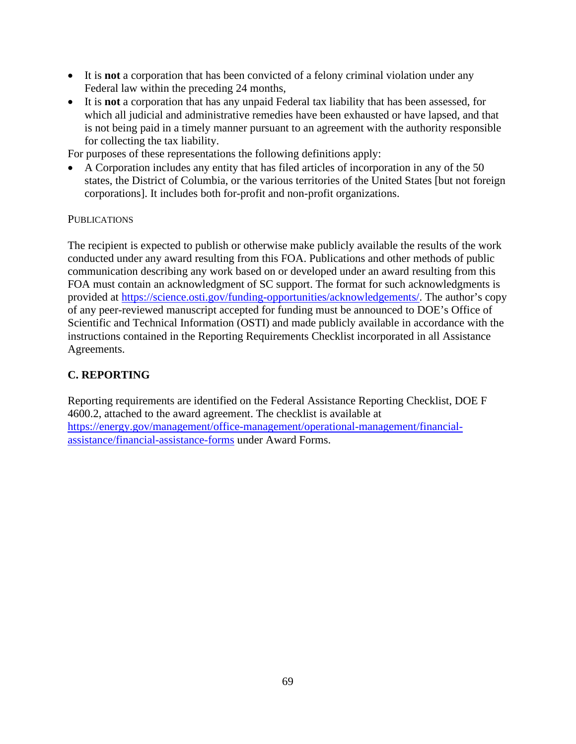- It is **not** a corporation that has been convicted of a felony criminal violation under any Federal law within the preceding 24 months,
- It is **not** a corporation that has any unpaid Federal tax liability that has been assessed, for which all judicial and administrative remedies have been exhausted or have lapsed, and that is not being paid in a timely manner pursuant to an agreement with the authority responsible for collecting the tax liability.

For purposes of these representations the following definitions apply:

• A Corporation includes any entity that has filed articles of incorporation in any of the 50 states, the District of Columbia, or the various territories of the United States [but not foreign corporations]. It includes both for-profit and non-profit organizations.

#### **PUBLICATIONS**

The recipient is expected to publish or otherwise make publicly available the results of the work conducted under any award resulting from this FOA. Publications and other methods of public communication describing any work based on or developed under an award resulting from this FOA must contain an acknowledgment of SC support. The format for such acknowledgments is provided at [https://science.osti.gov/funding-opportunities/acknowledgements/.](https://science.osti.gov/funding-opportunities/acknowledgements/) The author's copy of any peer-reviewed manuscript accepted for funding must be announced to DOE's Office of Scientific and Technical Information (OSTI) and made publicly available in accordance with the instructions contained in the Reporting Requirements Checklist incorporated in all Assistance Agreements.

#### **C. REPORTING**

Reporting requirements are identified on the Federal Assistance Reporting Checklist, DOE F 4600.2, attached to the award agreement. The checklist is available at [https://energy.gov/management/office-management/operational-management/financial](https://energy.gov/management/office-management/operational-management/financial-assistance/financial-assistance-forms)[assistance/financial-assistance-forms](https://energy.gov/management/office-management/operational-management/financial-assistance/financial-assistance-forms) under Award Forms.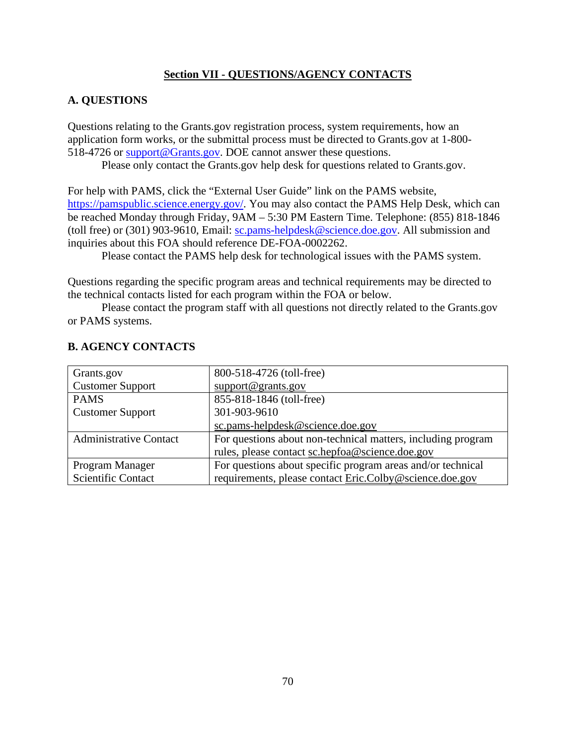#### **Section VII - QUESTIONS/AGENCY CONTACTS**

#### **A. QUESTIONS**

Questions relating to the Grants.gov registration process, system requirements, how an application form works, or the submittal process must be directed to Grants.gov at 1-800- 518-4726 or [support@Grants.gov.](mailto:sc.pams-helpdesk@science.doe.gov) DOE cannot answer these questions.

Please only contact the Grants.gov help desk for questions related to Grants.gov.

For help with PAMS, click the "External User Guide" link on the PAMS website, [https://pamspublic.science.energy.gov/.](https://energy.gov/gc/standard-intellectual-property-ip-provisions-financial-assistance-awards) You may also contact the PAMS Help Desk, which can be reached Monday through Friday, 9AM – 5:30 PM Eastern Time. Telephone: (855) 818-1846 (toll free) or (301) 903-9610, Email: [sc.pams-helpdesk@science.doe.gov.](https://pamspublic.science.energy.gov/) All submission and inquiries about this FOA should reference DE-FOA-0002262.

Please contact the PAMS help desk for technological issues with the PAMS system.

Questions regarding the specific program areas and technical requirements may be directed to the technical contacts listed for each program within the FOA or below.

Please contact the program staff with all questions not directly related to the Grants.gov or PAMS systems.

| Grants.gov                    | 800-518-4726 (toll-free)                                     |
|-------------------------------|--------------------------------------------------------------|
| <b>Customer Support</b>       | support@grants.gov                                           |
| <b>PAMS</b>                   | 855-818-1846 (toll-free)                                     |
| <b>Customer Support</b>       | 301-903-9610                                                 |
|                               | sc.pams-helpdesk@science.doe.gov                             |
| <b>Administrative Contact</b> | For questions about non-technical matters, including program |
|                               | rules, please contact sc.hepfoa@science.doe.gov              |
| Program Manager               | For questions about specific program areas and/or technical  |
| <b>Scientific Contact</b>     | requirements, please contact Eric.Colby@science.doe.gov      |

## **B. AGENCY CONTACTS**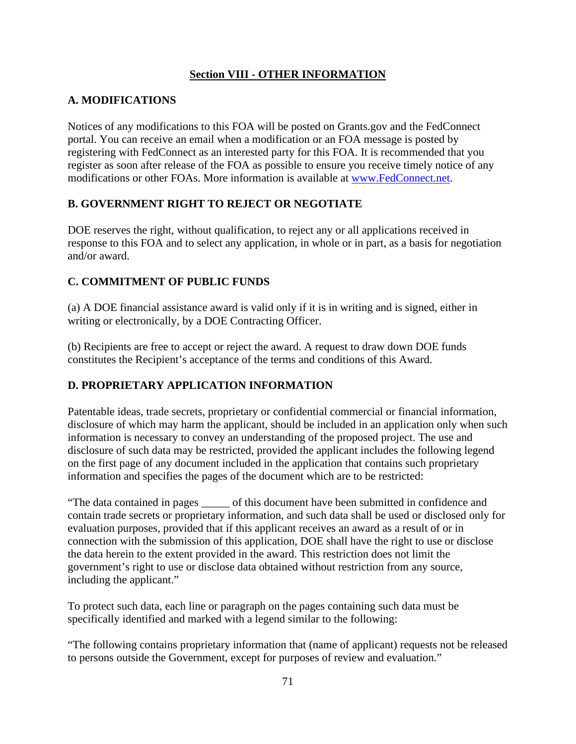#### **Section VIII - OTHER INFORMATION**

#### **A. MODIFICATIONS**

Notices of any modifications to this FOA will be posted on Grants.gov and the FedConnect portal. You can receive an email when a modification or an FOA message is posted by registering with FedConnect as an interested party for this FOA. It is recommended that you register as soon after release of the FOA as possible to ensure you receive timely notice of any modifications or other FOAs. More information is available at [www.FedConnect.net.](mailto:support@grants.gov)

#### **B. GOVERNMENT RIGHT TO REJECT OR NEGOTIATE**

DOE reserves the right, without qualification, to reject any or all applications received in response to this FOA and to select any application, in whole or in part, as a basis for negotiation and/or award.

#### **C. COMMITMENT OF PUBLIC FUNDS**

(a) A DOE financial assistance award is valid only if it is in writing and is signed, either in writing or electronically, by a DOE Contracting Officer.

(b) Recipients are free to accept or reject the award. A request to draw down DOE funds constitutes the Recipient's acceptance of the terms and conditions of this Award.

## **D. PROPRIETARY APPLICATION INFORMATION**

Patentable ideas, trade secrets, proprietary or confidential commercial or financial information, disclosure of which may harm the applicant, should be included in an application only when such information is necessary to convey an understanding of the proposed project. The use and disclosure of such data may be restricted, provided the applicant includes the following legend on the first page of any document included in the application that contains such proprietary information and specifies the pages of the document which are to be restricted:

"The data contained in pages \_\_\_\_\_ of this document have been submitted in confidence and contain trade secrets or proprietary information, and such data shall be used or disclosed only for evaluation purposes, provided that if this applicant receives an award as a result of or in connection with the submission of this application, DOE shall have the right to use or disclose the data herein to the extent provided in the award. This restriction does not limit the government's right to use or disclose data obtained without restriction from any source, including the applicant."

To protect such data, each line or paragraph on the pages containing such data must be specifically identified and marked with a legend similar to the following:

"The following contains proprietary information that (name of applicant) requests not be released to persons outside the Government, except for purposes of review and evaluation."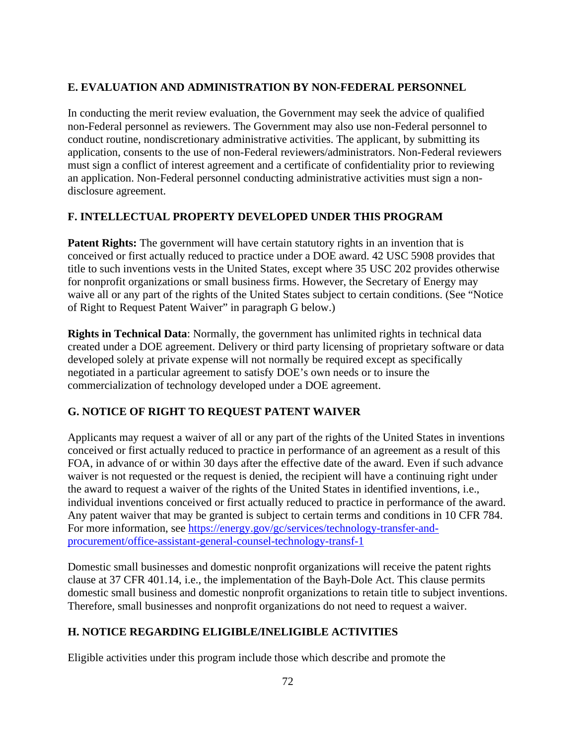#### **E. EVALUATION AND ADMINISTRATION BY NON-FEDERAL PERSONNEL**

In conducting the merit review evaluation, the Government may seek the advice of qualified non-Federal personnel as reviewers. The Government may also use non-Federal personnel to conduct routine, nondiscretionary administrative activities. The applicant, by submitting its application, consents to the use of non-Federal reviewers/administrators. Non-Federal reviewers must sign a conflict of interest agreement and a certificate of confidentiality prior to reviewing an application. Non-Federal personnel conducting administrative activities must sign a nondisclosure agreement.

#### **F. INTELLECTUAL PROPERTY DEVELOPED UNDER THIS PROGRAM**

**Patent Rights:** The government will have certain statutory rights in an invention that is conceived or first actually reduced to practice under a DOE award. 42 USC 5908 provides that title to such inventions vests in the United States, except where 35 USC 202 provides otherwise for nonprofit organizations or small business firms. However, the Secretary of Energy may waive all or any part of the rights of the United States subject to certain conditions. (See "Notice of Right to Request Patent Waiver" in paragraph G below.)

**Rights in Technical Data**: Normally, the government has unlimited rights in technical data created under a DOE agreement. Delivery or third party licensing of proprietary software or data developed solely at private expense will not normally be required except as specifically negotiated in a particular agreement to satisfy DOE's own needs or to insure the commercialization of technology developed under a DOE agreement.

## **G. NOTICE OF RIGHT TO REQUEST PATENT WAIVER**

Applicants may request a waiver of all or any part of the rights of the United States in inventions conceived or first actually reduced to practice in performance of an agreement as a result of this FOA, in advance of or within 30 days after the effective date of the award. Even if such advance waiver is not requested or the request is denied, the recipient will have a continuing right under the award to request a waiver of the rights of the United States in identified inventions, i.e., individual inventions conceived or first actually reduced to practice in performance of the award. Any patent waiver that may be granted is subject to certain terms and conditions in 10 CFR 784. For more information, see [https://energy.gov/gc/services/technology-transfer-and](https://energy.gov/gc/services/technology-transfer-and-procurement/office-assistant-general-counsel-technology-transf-1)[procurement/office-assistant-general-counsel-technology-transf-1](https://energy.gov/gc/services/technology-transfer-and-procurement/office-assistant-general-counsel-technology-transf-1)

Domestic small businesses and domestic nonprofit organizations will receive the patent rights clause at 37 CFR 401.14, i.e., the implementation of the Bayh-Dole Act. This clause permits domestic small business and domestic nonprofit organizations to retain title to subject inventions. Therefore, small businesses and nonprofit organizations do not need to request a waiver.

#### **H. NOTICE REGARDING ELIGIBLE/INELIGIBLE ACTIVITIES**

Eligible activities under this program include those which describe and promote the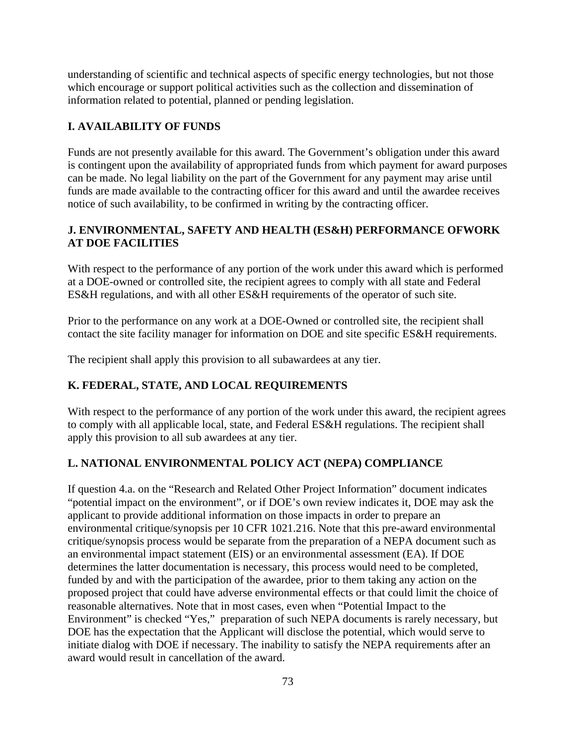understanding of scientific and technical aspects of specific energy technologies, but not those which encourage or support political activities such as the collection and dissemination of information related to potential, planned or pending legislation.

#### **I. AVAILABILITY OF FUNDS**

Funds are not presently available for this award. The Government's obligation under this award is contingent upon the availability of appropriated funds from which payment for award purposes can be made. No legal liability on the part of the Government for any payment may arise until funds are made available to the contracting officer for this award and until the awardee receives notice of such availability, to be confirmed in writing by the contracting officer.

#### **J. ENVIRONMENTAL, SAFETY AND HEALTH (ES&H) PERFORMANCE OFWORK AT DOE FACILITIES**

With respect to the performance of any portion of the work under this award which is performed at a DOE-owned or controlled site, the recipient agrees to comply with all state and Federal ES&H regulations, and with all other ES&H requirements of the operator of such site.

Prior to the performance on any work at a DOE-Owned or controlled site, the recipient shall contact the site facility manager for information on DOE and site specific ES&H requirements.

The recipient shall apply this provision to all subawardees at any tier.

## **K. FEDERAL, STATE, AND LOCAL REQUIREMENTS**

With respect to the performance of any portion of the work under this award, the recipient agrees to comply with all applicable local, state, and Federal ES&H regulations. The recipient shall apply this provision to all sub awardees at any tier.

#### **L. NATIONAL ENVIRONMENTAL POLICY ACT (NEPA) COMPLIANCE**

If question 4.a. on the "Research and Related Other Project Information" document indicates "potential impact on the environment", or if DOE's own review indicates it, DOE may ask the applicant to provide additional information on those impacts in order to prepare an environmental critique/synopsis per 10 CFR 1021.216. Note that this pre-award environmental critique/synopsis process would be separate from the preparation of a NEPA document such as an environmental impact statement (EIS) or an environmental assessment (EA). If DOE determines the latter documentation is necessary, this process would need to be completed, funded by and with the participation of the awardee, prior to them taking any action on the proposed project that could have adverse environmental effects or that could limit the choice of reasonable alternatives. Note that in most cases, even when "Potential Impact to the Environment" is checked "Yes," preparation of such NEPA documents is rarely necessary, but DOE has the expectation that the Applicant will disclose the potential, which would serve to initiate dialog with DOE if necessary. The inability to satisfy the NEPA requirements after an award would result in cancellation of the award.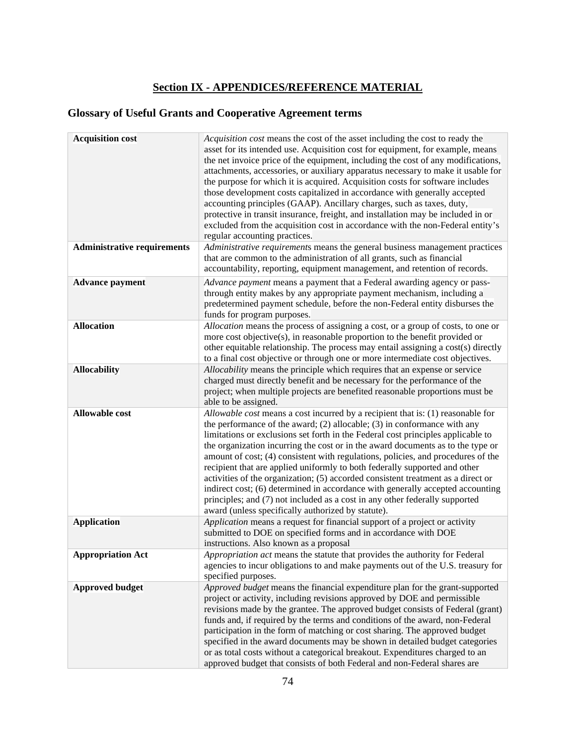# **Section IX - APPENDICES/REFERENCE MATERIAL**

# **Glossary of Useful Grants and Cooperative Agreement terms**

| <b>Acquisition cost</b>            | Acquisition cost means the cost of the asset including the cost to ready the<br>asset for its intended use. Acquisition cost for equipment, for example, means<br>the net invoice price of the equipment, including the cost of any modifications,<br>attachments, accessories, or auxiliary apparatus necessary to make it usable for<br>the purpose for which it is acquired. Acquisition costs for software includes<br>those development costs capitalized in accordance with generally accepted<br>accounting principles (GAAP). Ancillary charges, such as taxes, duty,<br>protective in transit insurance, freight, and installation may be included in or<br>excluded from the acquisition cost in accordance with the non-Federal entity's<br>regular accounting practices.                                |
|------------------------------------|---------------------------------------------------------------------------------------------------------------------------------------------------------------------------------------------------------------------------------------------------------------------------------------------------------------------------------------------------------------------------------------------------------------------------------------------------------------------------------------------------------------------------------------------------------------------------------------------------------------------------------------------------------------------------------------------------------------------------------------------------------------------------------------------------------------------|
| <b>Administrative requirements</b> | Administrative requirements means the general business management practices<br>that are common to the administration of all grants, such as financial<br>accountability, reporting, equipment management, and retention of records.                                                                                                                                                                                                                                                                                                                                                                                                                                                                                                                                                                                 |
| <b>Advance payment</b>             | Advance payment means a payment that a Federal awarding agency or pass-<br>through entity makes by any appropriate payment mechanism, including a<br>predetermined payment schedule, before the non-Federal entity disburses the<br>funds for program purposes.                                                                                                                                                                                                                                                                                                                                                                                                                                                                                                                                                     |
| <b>Allocation</b>                  | Allocation means the process of assigning a cost, or a group of costs, to one or<br>more cost objective(s), in reasonable proportion to the benefit provided or<br>other equitable relationship. The process may entail assigning a cost(s) directly<br>to a final cost objective or through one or more intermediate cost objectives.                                                                                                                                                                                                                                                                                                                                                                                                                                                                              |
| <b>Allocability</b>                | Allocability means the principle which requires that an expense or service<br>charged must directly benefit and be necessary for the performance of the<br>project; when multiple projects are benefited reasonable proportions must be<br>able to be assigned.                                                                                                                                                                                                                                                                                                                                                                                                                                                                                                                                                     |
| <b>Allowable cost</b>              | Allowable cost means a cost incurred by a recipient that is: (1) reasonable for<br>the performance of the award; $(2)$ allocable; $(3)$ in conformance with any<br>limitations or exclusions set forth in the Federal cost principles applicable to<br>the organization incurring the cost or in the award documents as to the type or<br>amount of cost; (4) consistent with regulations, policies, and procedures of the<br>recipient that are applied uniformly to both federally supported and other<br>activities of the organization; (5) accorded consistent treatment as a direct or<br>indirect cost; (6) determined in accordance with generally accepted accounting<br>principles; and (7) not included as a cost in any other federally supported<br>award (unless specifically authorized by statute). |
| <b>Application</b>                 | Application means a request for financial support of a project or activity<br>submitted to DOE on specified forms and in accordance with DOE<br>instructions. Also known as a proposal                                                                                                                                                                                                                                                                                                                                                                                                                                                                                                                                                                                                                              |
| <b>Appropriation Act</b>           | <i>Appropriation act</i> means the statute that provides the authority for Federal<br>agencies to incur obligations to and make payments out of the U.S. treasury for<br>specified purposes.                                                                                                                                                                                                                                                                                                                                                                                                                                                                                                                                                                                                                        |
| <b>Approved budget</b>             | Approved budget means the financial expenditure plan for the grant-supported<br>project or activity, including revisions approved by DOE and permissible<br>revisions made by the grantee. The approved budget consists of Federal (grant)<br>funds and, if required by the terms and conditions of the award, non-Federal<br>participation in the form of matching or cost sharing. The approved budget<br>specified in the award documents may be shown in detailed budget categories<br>or as total costs without a categorical breakout. Expenditures charged to an<br>approved budget that consists of both Federal and non-Federal shares are                                                                                                                                                                 |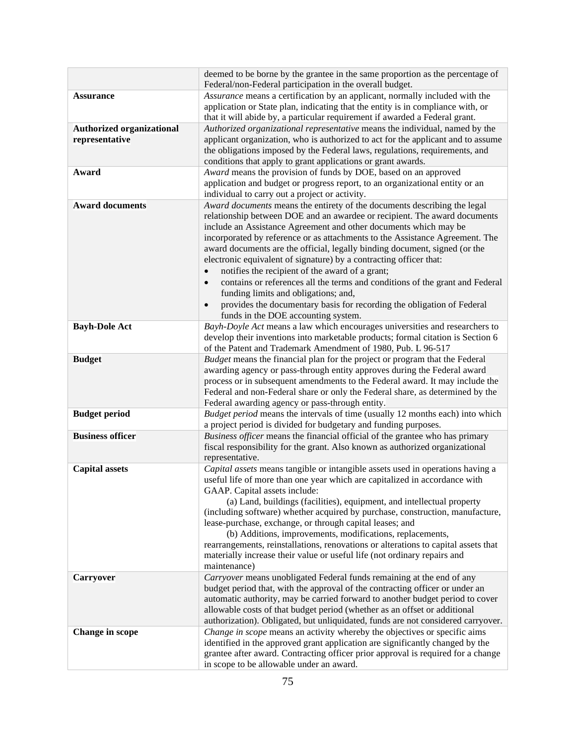|                                  | deemed to be borne by the grantee in the same proportion as the percentage of                                                                                  |
|----------------------------------|----------------------------------------------------------------------------------------------------------------------------------------------------------------|
|                                  | Federal/non-Federal participation in the overall budget.                                                                                                       |
| <b>Assurance</b>                 | Assurance means a certification by an applicant, normally included with the                                                                                    |
|                                  | application or State plan, indicating that the entity is in compliance with, or<br>that it will abide by, a particular requirement if awarded a Federal grant. |
| <b>Authorized organizational</b> | Authorized organizational representative means the individual, named by the                                                                                    |
| representative                   | applicant organization, who is authorized to act for the applicant and to assume                                                                               |
|                                  | the obligations imposed by the Federal laws, regulations, requirements, and                                                                                    |
|                                  | conditions that apply to grant applications or grant awards.                                                                                                   |
| Award                            | Award means the provision of funds by DOE, based on an approved                                                                                                |
|                                  | application and budget or progress report, to an organizational entity or an                                                                                   |
|                                  | individual to carry out a project or activity.                                                                                                                 |
| <b>Award documents</b>           | Award documents means the entirety of the documents describing the legal                                                                                       |
|                                  | relationship between DOE and an awardee or recipient. The award documents                                                                                      |
|                                  | include an Assistance Agreement and other documents which may be                                                                                               |
|                                  | incorporated by reference or as attachments to the Assistance Agreement. The                                                                                   |
|                                  | award documents are the official, legally binding document, signed (or the                                                                                     |
|                                  | electronic equivalent of signature) by a contracting officer that:                                                                                             |
|                                  | notifies the recipient of the award of a grant;<br>$\bullet$                                                                                                   |
|                                  | contains or references all the terms and conditions of the grant and Federal<br>$\bullet$                                                                      |
|                                  | funding limits and obligations; and,                                                                                                                           |
|                                  | provides the documentary basis for recording the obligation of Federal                                                                                         |
|                                  | funds in the DOE accounting system.                                                                                                                            |
| <b>Bayh-Dole Act</b>             | Bayh-Doyle Act means a law which encourages universities and researchers to                                                                                    |
|                                  | develop their inventions into marketable products; formal citation is Section 6                                                                                |
|                                  | of the Patent and Trademark Amendment of 1980, Pub. L 96-517                                                                                                   |
| <b>Budget</b>                    | Budget means the financial plan for the project or program that the Federal                                                                                    |
|                                  | awarding agency or pass-through entity approves during the Federal award                                                                                       |
|                                  | process or in subsequent amendments to the Federal award. It may include the<br>Federal and non-Federal share or only the Federal share, as determined by the  |
|                                  | Federal awarding agency or pass-through entity.                                                                                                                |
| <b>Budget period</b>             | Budget period means the intervals of time (usually 12 months each) into which                                                                                  |
|                                  | a project period is divided for budgetary and funding purposes.                                                                                                |
| <b>Business officer</b>          | Business officer means the financial official of the grantee who has primary                                                                                   |
|                                  | fiscal responsibility for the grant. Also known as authorized organizational                                                                                   |
|                                  | representative.                                                                                                                                                |
| <b>Capital assets</b>            | Capital assets means tangible or intangible assets used in operations having a                                                                                 |
|                                  | useful life of more than one year which are capitalized in accordance with                                                                                     |
|                                  | GAAP. Capital assets include:                                                                                                                                  |
|                                  | (a) Land, buildings (facilities), equipment, and intellectual property                                                                                         |
|                                  | (including software) whether acquired by purchase, construction, manufacture,                                                                                  |
|                                  | lease-purchase, exchange, or through capital leases; and                                                                                                       |
|                                  | (b) Additions, improvements, modifications, replacements,                                                                                                      |
|                                  | rearrangements, reinstallations, renovations or alterations to capital assets that                                                                             |
|                                  | materially increase their value or useful life (not ordinary repairs and<br>maintenance)                                                                       |
| <b>Carryover</b>                 | Carryover means unobligated Federal funds remaining at the end of any                                                                                          |
|                                  | budget period that, with the approval of the contracting officer or under an                                                                                   |
|                                  | automatic authority, may be carried forward to another budget period to cover                                                                                  |
|                                  | allowable costs of that budget period (whether as an offset or additional                                                                                      |
|                                  | authorization). Obligated, but unliquidated, funds are not considered carryover.                                                                               |
| <b>Change in scope</b>           | Change in scope means an activity whereby the objectives or specific aims                                                                                      |
|                                  | identified in the approved grant application are significantly changed by the                                                                                  |
|                                  | grantee after award. Contracting officer prior approval is required for a change                                                                               |
|                                  | in scope to be allowable under an award.                                                                                                                       |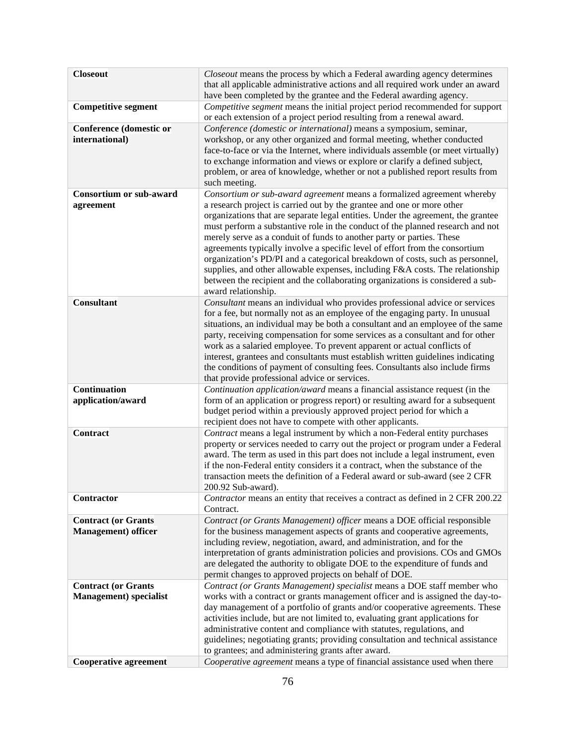| <b>Closeout</b>                | Closeout means the process by which a Federal awarding agency determines                                                                                        |
|--------------------------------|-----------------------------------------------------------------------------------------------------------------------------------------------------------------|
|                                | that all applicable administrative actions and all required work under an award<br>have been completed by the grantee and the Federal awarding agency.          |
| <b>Competitive segment</b>     | Competitive segment means the initial project period recommended for support                                                                                    |
|                                | or each extension of a project period resulting from a renewal award.                                                                                           |
| <b>Conference (domestic or</b> | Conference (domestic or international) means a symposium, seminar,                                                                                              |
| international)                 | workshop, or any other organized and formal meeting, whether conducted                                                                                          |
|                                | face-to-face or via the Internet, where individuals assemble (or meet virtually)                                                                                |
|                                | to exchange information and views or explore or clarify a defined subject,<br>problem, or area of knowledge, whether or not a published report results from     |
|                                | such meeting.                                                                                                                                                   |
| <b>Consortium or sub-award</b> | Consortium or sub-award agreement means a formalized agreement whereby                                                                                          |
| agreement                      | a research project is carried out by the grantee and one or more other                                                                                          |
|                                | organizations that are separate legal entities. Under the agreement, the grantee                                                                                |
|                                | must perform a substantive role in the conduct of the planned research and not<br>merely serve as a conduit of funds to another party or parties. These         |
|                                | agreements typically involve a specific level of effort from the consortium                                                                                     |
|                                | organization's PD/PI and a categorical breakdown of costs, such as personnel,                                                                                   |
|                                | supplies, and other allowable expenses, including F&A costs. The relationship                                                                                   |
|                                | between the recipient and the collaborating organizations is considered a sub-                                                                                  |
| <b>Consultant</b>              | award relationship.<br>Consultant means an individual who provides professional advice or services                                                              |
|                                | for a fee, but normally not as an employee of the engaging party. In unusual                                                                                    |
|                                | situations, an individual may be both a consultant and an employee of the same                                                                                  |
|                                | party, receiving compensation for some services as a consultant and for other                                                                                   |
|                                | work as a salaried employee. To prevent apparent or actual conflicts of                                                                                         |
|                                | interest, grantees and consultants must establish written guidelines indicating<br>the conditions of payment of consulting fees. Consultants also include firms |
|                                | that provide professional advice or services.                                                                                                                   |
| <b>Continuation</b>            | Continuation application/award means a financial assistance request (in the                                                                                     |
| application/award              | form of an application or progress report) or resulting award for a subsequent                                                                                  |
|                                | budget period within a previously approved project period for which a                                                                                           |
| <b>Contract</b>                | recipient does not have to compete with other applicants.<br>Contract means a legal instrument by which a non-Federal entity purchases                          |
|                                | property or services needed to carry out the project or program under a Federal                                                                                 |
|                                | award. The term as used in this part does not include a legal instrument, even                                                                                  |
|                                | if the non-Federal entity considers it a contract, when the substance of the                                                                                    |
|                                | transaction meets the definition of a Federal award or sub-award (see 2 CFR                                                                                     |
| <b>Contractor</b>              | 200.92 Sub-award).<br>Contractor means an entity that receives a contract as defined in 2 CFR 200.22                                                            |
|                                | Contract.                                                                                                                                                       |
| <b>Contract (or Grants</b>     | Contract (or Grants Management) officer means a DOE official responsible                                                                                        |
| <b>Management</b> ) officer    | for the business management aspects of grants and cooperative agreements,                                                                                       |
|                                | including review, negotiation, award, and administration, and for the                                                                                           |
|                                | interpretation of grants administration policies and provisions. COs and GMOs<br>are delegated the authority to obligate DOE to the expenditure of funds and    |
|                                | permit changes to approved projects on behalf of DOE.                                                                                                           |
| <b>Contract (or Grants</b>     | Contract (or Grants Management) specialist means a DOE staff member who                                                                                         |
| <b>Management</b> ) specialist | works with a contract or grants management officer and is assigned the day-to-                                                                                  |
|                                | day management of a portfolio of grants and/or cooperative agreements. These                                                                                    |
|                                | activities include, but are not limited to, evaluating grant applications for                                                                                   |
|                                | administrative content and compliance with statutes, regulations, and<br>guidelines; negotiating grants; providing consultation and technical assistance        |
|                                | to grantees; and administering grants after award.                                                                                                              |
| <b>Cooperative agreement</b>   | Cooperative agreement means a type of financial assistance used when there                                                                                      |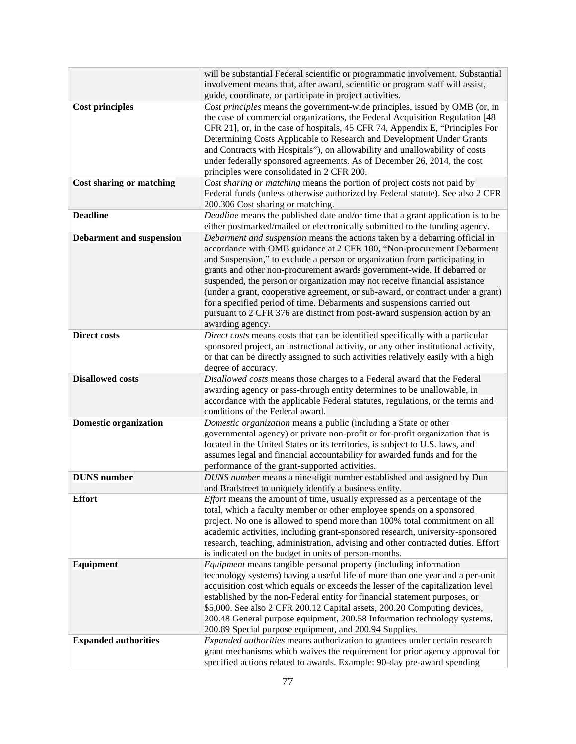|                                 | will be substantial Federal scientific or programmatic involvement. Substantial                                         |
|---------------------------------|-------------------------------------------------------------------------------------------------------------------------|
|                                 | involvement means that, after award, scientific or program staff will assist,                                           |
|                                 | guide, coordinate, or participate in project activities.                                                                |
| <b>Cost principles</b>          | Cost principles means the government-wide principles, issued by OMB (or, in                                             |
|                                 | the case of commercial organizations, the Federal Acquisition Regulation [48]                                           |
|                                 | CFR 21], or, in the case of hospitals, 45 CFR 74, Appendix E, "Principles For                                           |
|                                 | Determining Costs Applicable to Research and Development Under Grants                                                   |
|                                 | and Contracts with Hospitals"), on allowability and unallowability of costs                                             |
|                                 | under federally sponsored agreements. As of December 26, 2014, the cost                                                 |
|                                 | principles were consolidated in 2 CFR 200.                                                                              |
| <b>Cost sharing or matching</b> | Cost sharing or matching means the portion of project costs not paid by                                                 |
|                                 | Federal funds (unless otherwise authorized by Federal statute). See also 2 CFR<br>200.306 Cost sharing or matching.     |
| <b>Deadline</b>                 | Deadline means the published date and/or time that a grant application is to be                                         |
|                                 | either postmarked/mailed or electronically submitted to the funding agency.                                             |
| <b>Debarment and suspension</b> | Debarment and suspension means the actions taken by a debarring official in                                             |
|                                 | accordance with OMB guidance at 2 CFR 180, "Non-procurement Debarment                                                   |
|                                 | and Suspension," to exclude a person or organization from participating in                                              |
|                                 | grants and other non-procurement awards government-wide. If debarred or                                                 |
|                                 | suspended, the person or organization may not receive financial assistance                                              |
|                                 | (under a grant, cooperative agreement, or sub-award, or contract under a grant)                                         |
|                                 | for a specified period of time. Debarments and suspensions carried out                                                  |
|                                 | pursuant to 2 CFR 376 are distinct from post-award suspension action by an                                              |
|                                 | awarding agency.                                                                                                        |
| <b>Direct costs</b>             | Direct costs means costs that can be identified specifically with a particular                                          |
|                                 | sponsored project, an instructional activity, or any other institutional activity,                                      |
|                                 | or that can be directly assigned to such activities relatively easily with a high                                       |
|                                 | degree of accuracy.                                                                                                     |
| <b>Disallowed costs</b>         | Disallowed costs means those charges to a Federal award that the Federal                                                |
|                                 | awarding agency or pass-through entity determines to be unallowable, in                                                 |
|                                 | accordance with the applicable Federal statutes, regulations, or the terms and                                          |
|                                 | conditions of the Federal award.                                                                                        |
| <b>Domestic organization</b>    | Domestic organization means a public (including a State or other                                                        |
|                                 | governmental agency) or private non-profit or for-profit organization that is                                           |
|                                 | located in the United States or its territories, is subject to U.S. laws, and                                           |
|                                 | assumes legal and financial accountability for awarded funds and for the                                                |
| <b>DUNS</b> number              | performance of the grant-supported activities.<br>DUNS number means a nine-digit number established and assigned by Dun |
|                                 | and Bradstreet to uniquely identify a business entity.                                                                  |
| <b>Effort</b>                   | <i>Effort</i> means the amount of time, usually expressed as a percentage of the                                        |
|                                 | total, which a faculty member or other employee spends on a sponsored                                                   |
|                                 | project. No one is allowed to spend more than 100% total commitment on all                                              |
|                                 | academic activities, including grant-sponsored research, university-sponsored                                           |
|                                 | research, teaching, administration, advising and other contracted duties. Effort                                        |
|                                 | is indicated on the budget in units of person-months.                                                                   |
| Equipment                       | <i>Equipment</i> means tangible personal property (including information                                                |
|                                 | technology systems) having a useful life of more than one year and a per-unit                                           |
|                                 | acquisition cost which equals or exceeds the lesser of the capitalization level                                         |
|                                 | established by the non-Federal entity for financial statement purposes, or                                              |
|                                 | \$5,000. See also 2 CFR 200.12 Capital assets, 200.20 Computing devices,                                                |
|                                 | 200.48 General purpose equipment, 200.58 Information technology systems,                                                |
|                                 | 200.89 Special purpose equipment, and 200.94 Supplies.                                                                  |
| <b>Expanded authorities</b>     | Expanded authorities means authorization to grantees under certain research                                             |
|                                 | grant mechanisms which waives the requirement for prior agency approval for                                             |
|                                 | specified actions related to awards. Example: 90-day pre-award spending                                                 |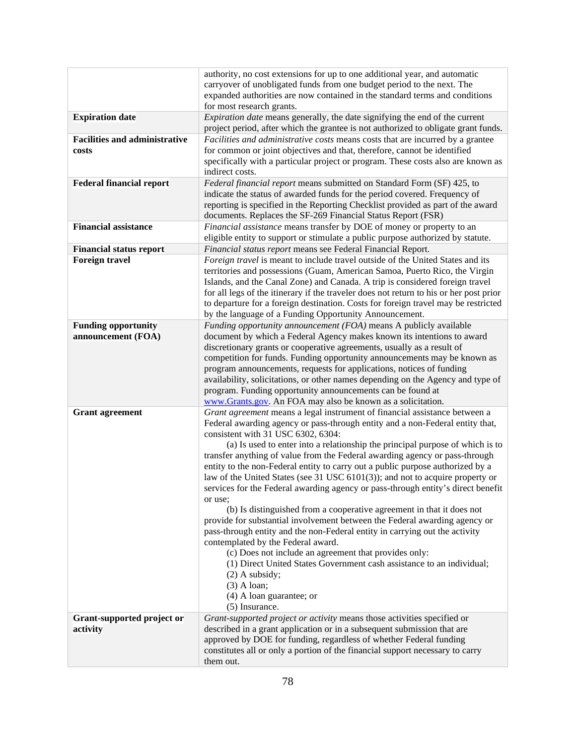|                                      | authority, no cost extensions for up to one additional year, and automatic                                                                                   |
|--------------------------------------|--------------------------------------------------------------------------------------------------------------------------------------------------------------|
|                                      | carryover of unobligated funds from one budget period to the next. The                                                                                       |
|                                      | expanded authorities are now contained in the standard terms and conditions                                                                                  |
|                                      | for most research grants.                                                                                                                                    |
| <b>Expiration date</b>               | <i>Expiration date</i> means generally, the date signifying the end of the current                                                                           |
| <b>Facilities and administrative</b> | project period, after which the grantee is not authorized to obligate grant funds.                                                                           |
| costs                                | Facilities and administrative costs means costs that are incurred by a grantee<br>for common or joint objectives and that, therefore, cannot be identified   |
|                                      | specifically with a particular project or program. These costs also are known as                                                                             |
|                                      | indirect costs.                                                                                                                                              |
| <b>Federal financial report</b>      | Federal financial report means submitted on Standard Form (SF) 425, to                                                                                       |
|                                      | indicate the status of awarded funds for the period covered. Frequency of                                                                                    |
|                                      | reporting is specified in the Reporting Checklist provided as part of the award                                                                              |
|                                      | documents. Replaces the SF-269 Financial Status Report (FSR)                                                                                                 |
| <b>Financial assistance</b>          | Financial assistance means transfer by DOE of money or property to an                                                                                        |
|                                      | eligible entity to support or stimulate a public purpose authorized by statute.                                                                              |
| <b>Financial status report</b>       | Financial status report means see Federal Financial Report.                                                                                                  |
| <b>Foreign travel</b>                | Foreign travel is meant to include travel outside of the United States and its                                                                               |
|                                      | territories and possessions (Guam, American Samoa, Puerto Rico, the Virgin                                                                                   |
|                                      | Islands, and the Canal Zone) and Canada. A trip is considered foreign travel                                                                                 |
|                                      | for all legs of the itinerary if the traveler does not return to his or her post prior                                                                       |
|                                      | to departure for a foreign destination. Costs for foreign travel may be restricted<br>by the language of a Funding Opportunity Announcement.                 |
| <b>Funding opportunity</b>           | Funding opportunity announcement (FOA) means A publicly available                                                                                            |
| announcement (FOA)                   | document by which a Federal Agency makes known its intentions to award                                                                                       |
|                                      | discretionary grants or cooperative agreements, usually as a result of                                                                                       |
|                                      | competition for funds. Funding opportunity announcements may be known as                                                                                     |
|                                      | program announcements, requests for applications, notices of funding                                                                                         |
|                                      | availability, solicitations, or other names depending on the Agency and type of                                                                              |
|                                      | program. Funding opportunity announcements can be found at                                                                                                   |
|                                      | www.Grants.gov. An FOA may also be known as a solicitation.                                                                                                  |
| <b>Grant</b> agreement               | Grant agreement means a legal instrument of financial assistance between a                                                                                   |
|                                      | Federal awarding agency or pass-through entity and a non-Federal entity that,                                                                                |
|                                      | consistent with 31 USC 6302, 6304:                                                                                                                           |
|                                      | (a) Is used to enter into a relationship the principal purpose of which is to<br>transfer anything of value from the Federal awarding agency or pass-through |
|                                      | entity to the non-Federal entity to carry out a public purpose authorized by a                                                                               |
|                                      | law of the United States (see 31 USC 6101(3)); and not to acquire property or                                                                                |
|                                      | services for the Federal awarding agency or pass-through entity's direct benefit                                                                             |
|                                      | or use;                                                                                                                                                      |
|                                      | (b) Is distinguished from a cooperative agreement in that it does not                                                                                        |
|                                      | provide for substantial involvement between the Federal awarding agency or                                                                                   |
|                                      | pass-through entity and the non-Federal entity in carrying out the activity                                                                                  |
|                                      | contemplated by the Federal award.                                                                                                                           |
|                                      | (c) Does not include an agreement that provides only:                                                                                                        |
|                                      | (1) Direct United States Government cash assistance to an individual;<br>$(2)$ A subsidy;                                                                    |
|                                      | $(3)$ A loan;                                                                                                                                                |
|                                      | $(4)$ A loan guarantee; or                                                                                                                                   |
|                                      | (5) Insurance.                                                                                                                                               |
| Grant-supported project or           | Grant-supported project or activity means those activities specified or                                                                                      |
| activity                             | described in a grant application or in a subsequent submission that are                                                                                      |
|                                      | approved by DOE for funding, regardless of whether Federal funding                                                                                           |
|                                      | constitutes all or only a portion of the financial support necessary to carry                                                                                |
|                                      | them out.                                                                                                                                                    |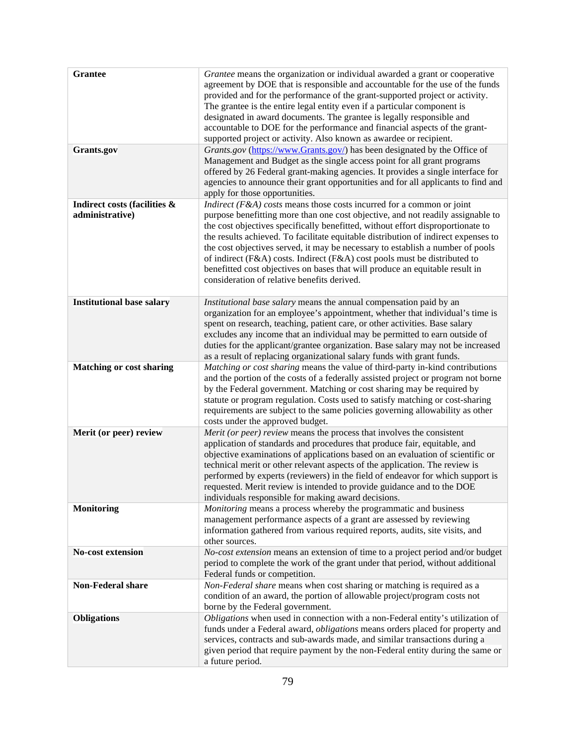| <b>Grantee</b><br>Grants.gov                    | Grantee means the organization or individual awarded a grant or cooperative<br>agreement by DOE that is responsible and accountable for the use of the funds<br>provided and for the performance of the grant-supported project or activity.<br>The grantee is the entire legal entity even if a particular component is<br>designated in award documents. The grantee is legally responsible and<br>accountable to DOE for the performance and financial aspects of the grant-<br>supported project or activity. Also known as awardee or recipient.<br>Grants.gov (https://www.Grants.gov/) has been designated by the Office of<br>Management and Budget as the single access point for all grant programs<br>offered by 26 Federal grant-making agencies. It provides a single interface for<br>agencies to announce their grant opportunities and for all applicants to find and<br>apply for those opportunities. |
|-------------------------------------------------|-------------------------------------------------------------------------------------------------------------------------------------------------------------------------------------------------------------------------------------------------------------------------------------------------------------------------------------------------------------------------------------------------------------------------------------------------------------------------------------------------------------------------------------------------------------------------------------------------------------------------------------------------------------------------------------------------------------------------------------------------------------------------------------------------------------------------------------------------------------------------------------------------------------------------|
| Indirect costs (facilities &<br>administrative) | <i>Indirect</i> ( $F\&A$ ) costs means those costs incurred for a common or joint<br>purpose benefitting more than one cost objective, and not readily assignable to                                                                                                                                                                                                                                                                                                                                                                                                                                                                                                                                                                                                                                                                                                                                                    |
|                                                 | the cost objectives specifically benefitted, without effort disproportionate to<br>the results achieved. To facilitate equitable distribution of indirect expenses to<br>the cost objectives served, it may be necessary to establish a number of pools<br>of indirect (F&A) costs. Indirect (F&A) cost pools must be distributed to<br>benefitted cost objectives on bases that will produce an equitable result in<br>consideration of relative benefits derived.                                                                                                                                                                                                                                                                                                                                                                                                                                                     |
| <b>Institutional base salary</b>                | Institutional base salary means the annual compensation paid by an<br>organization for an employee's appointment, whether that individual's time is<br>spent on research, teaching, patient care, or other activities. Base salary<br>excludes any income that an individual may be permitted to earn outside of<br>duties for the applicant/grantee organization. Base salary may not be increased<br>as a result of replacing organizational salary funds with grant funds.                                                                                                                                                                                                                                                                                                                                                                                                                                           |
| <b>Matching or cost sharing</b>                 | Matching or cost sharing means the value of third-party in-kind contributions<br>and the portion of the costs of a federally assisted project or program not borne<br>by the Federal government. Matching or cost sharing may be required by<br>statute or program regulation. Costs used to satisfy matching or cost-sharing<br>requirements are subject to the same policies governing allowability as other<br>costs under the approved budget.                                                                                                                                                                                                                                                                                                                                                                                                                                                                      |
| Merit (or peer) review                          | Merit (or peer) review means the process that involves the consistent<br>application of standards and procedures that produce fair, equitable, and<br>objective examinations of applications based on an evaluation of scientific or<br>technical merit or other relevant aspects of the application. The review is<br>performed by experts (reviewers) in the field of endeavor for which support is<br>requested. Merit review is intended to provide guidance and to the DOE<br>individuals responsible for making award decisions.                                                                                                                                                                                                                                                                                                                                                                                  |
| <b>Monitoring</b>                               | <i>Monitoring</i> means a process whereby the programmatic and business<br>management performance aspects of a grant are assessed by reviewing<br>information gathered from various required reports, audits, site visits, and<br>other sources.                                                                                                                                                                                                                                                                                                                                                                                                                                                                                                                                                                                                                                                                        |
| <b>No-cost extension</b>                        | No-cost extension means an extension of time to a project period and/or budget<br>period to complete the work of the grant under that period, without additional<br>Federal funds or competition.                                                                                                                                                                                                                                                                                                                                                                                                                                                                                                                                                                                                                                                                                                                       |
| Non-Federal share                               | Non-Federal share means when cost sharing or matching is required as a<br>condition of an award, the portion of allowable project/program costs not<br>borne by the Federal government.                                                                                                                                                                                                                                                                                                                                                                                                                                                                                                                                                                                                                                                                                                                                 |
| <b>Obligations</b>                              | Obligations when used in connection with a non-Federal entity's utilization of<br>funds under a Federal award, <i>obligations</i> means orders placed for property and<br>services, contracts and sub-awards made, and similar transactions during a<br>given period that require payment by the non-Federal entity during the same or<br>a future period.                                                                                                                                                                                                                                                                                                                                                                                                                                                                                                                                                              |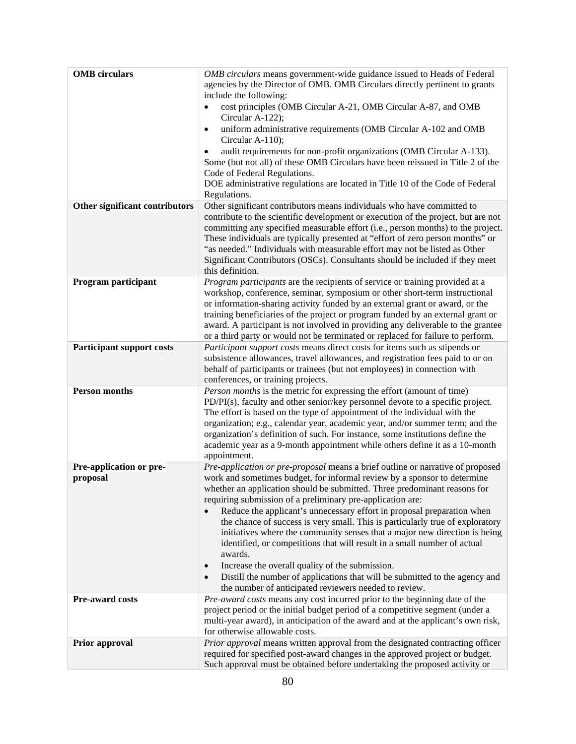| <b>OMB</b> circulars             | OMB circulars means government-wide guidance issued to Heads of Federal                                                                                       |
|----------------------------------|---------------------------------------------------------------------------------------------------------------------------------------------------------------|
|                                  | agencies by the Director of OMB. OMB Circulars directly pertinent to grants                                                                                   |
|                                  | include the following:                                                                                                                                        |
|                                  | cost principles (OMB Circular A-21, OMB Circular A-87, and OMB<br>Circular A-122);                                                                            |
|                                  | uniform administrative requirements (OMB Circular A-102 and OMB<br>$\bullet$                                                                                  |
|                                  | Circular A-110);                                                                                                                                              |
|                                  | audit requirements for non-profit organizations (OMB Circular A-133).                                                                                         |
|                                  | Some (but not all) of these OMB Circulars have been reissued in Title 2 of the                                                                                |
|                                  | Code of Federal Regulations.                                                                                                                                  |
|                                  | DOE administrative regulations are located in Title 10 of the Code of Federal                                                                                 |
| Other significant contributors   | Regulations.<br>Other significant contributors means individuals who have committed to                                                                        |
|                                  | contribute to the scientific development or execution of the project, but are not                                                                             |
|                                  | committing any specified measurable effort (i.e., person months) to the project.                                                                              |
|                                  | These individuals are typically presented at "effort of zero person months" or                                                                                |
|                                  | "as needed." Individuals with measurable effort may not be listed as Other                                                                                    |
|                                  | Significant Contributors (OSCs). Consultants should be included if they meet<br>this definition.                                                              |
| Program participant              | Program participants are the recipients of service or training provided at a                                                                                  |
|                                  | workshop, conference, seminar, symposium or other short-term instructional                                                                                    |
|                                  | or information-sharing activity funded by an external grant or award, or the                                                                                  |
|                                  | training beneficiaries of the project or program funded by an external grant or                                                                               |
|                                  | award. A participant is not involved in providing any deliverable to the grantee                                                                              |
| <b>Participant support costs</b> | or a third party or would not be terminated or replaced for failure to perform.<br>Participant support costs means direct costs for items such as stipends or |
|                                  | subsistence allowances, travel allowances, and registration fees paid to or on                                                                                |
|                                  | behalf of participants or trainees (but not employees) in connection with                                                                                     |
|                                  | conferences, or training projects.                                                                                                                            |
| <b>Person months</b>             | Person months is the metric for expressing the effort (amount of time)                                                                                        |
|                                  | PD/PI(s), faculty and other senior/key personnel devote to a specific project.                                                                                |
|                                  | The effort is based on the type of appointment of the individual with the<br>organization; e.g., calendar year, academic year, and/or summer term; and the    |
|                                  | organization's definition of such. For instance, some institutions define the                                                                                 |
|                                  | academic year as a 9-month appointment while others define it as a 10-month                                                                                   |
|                                  | appointment.                                                                                                                                                  |
| Pre-application or pre-          | Pre-application or pre-proposal means a brief outline or narrative of proposed                                                                                |
| proposal                         | work and sometimes budget, for informal review by a sponsor to determine<br>whether an application should be submitted. Three predominant reasons for         |
|                                  | requiring submission of a preliminary pre-application are:                                                                                                    |
|                                  | Reduce the applicant's unnecessary effort in proposal preparation when                                                                                        |
|                                  | the chance of success is very small. This is particularly true of exploratory                                                                                 |
|                                  | initiatives where the community senses that a major new direction is being                                                                                    |
|                                  | identified, or competitions that will result in a small number of actual                                                                                      |
|                                  | awards.                                                                                                                                                       |
|                                  | Increase the overall quality of the submission.<br>$\bullet$<br>Distill the number of applications that will be submitted to the agency and<br>$\bullet$      |
|                                  | the number of anticipated reviewers needed to review.                                                                                                         |
| Pre-award costs                  | Pre-award costs means any cost incurred prior to the beginning date of the                                                                                    |
|                                  | project period or the initial budget period of a competitive segment (under a                                                                                 |
|                                  | multi-year award), in anticipation of the award and at the applicant's own risk,                                                                              |
|                                  | for otherwise allowable costs.                                                                                                                                |
| <b>Prior approval</b>            | Prior approval means written approval from the designated contracting officer<br>required for specified post-award changes in the approved project or budget. |
|                                  | Such approval must be obtained before undertaking the proposed activity or                                                                                    |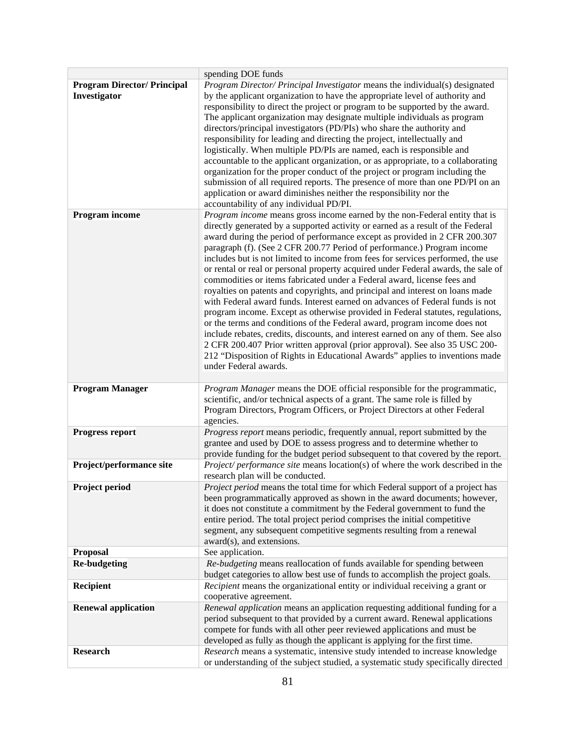|                                                    | spending DOE funds                                                                                                                                                                                                                                                                                                                                                                                                                                                                                                                                                                                                                                                                                                                                                                                                                                                                                                                                                                                                                                                                                        |
|----------------------------------------------------|-----------------------------------------------------------------------------------------------------------------------------------------------------------------------------------------------------------------------------------------------------------------------------------------------------------------------------------------------------------------------------------------------------------------------------------------------------------------------------------------------------------------------------------------------------------------------------------------------------------------------------------------------------------------------------------------------------------------------------------------------------------------------------------------------------------------------------------------------------------------------------------------------------------------------------------------------------------------------------------------------------------------------------------------------------------------------------------------------------------|
| <b>Program Director/ Principal</b><br>Investigator | Program Director/ Principal Investigator means the individual(s) designated<br>by the applicant organization to have the appropriate level of authority and<br>responsibility to direct the project or program to be supported by the award.<br>The applicant organization may designate multiple individuals as program<br>directors/principal investigators (PD/PIs) who share the authority and<br>responsibility for leading and directing the project, intellectually and<br>logistically. When multiple PD/PIs are named, each is responsible and<br>accountable to the applicant organization, or as appropriate, to a collaborating<br>organization for the proper conduct of the project or program including the<br>submission of all required reports. The presence of more than one PD/PI on an<br>application or award diminishes neither the responsibility nor the<br>accountability of any individual PD/PI.                                                                                                                                                                              |
| Program income                                     | Program income means gross income earned by the non-Federal entity that is                                                                                                                                                                                                                                                                                                                                                                                                                                                                                                                                                                                                                                                                                                                                                                                                                                                                                                                                                                                                                                |
|                                                    | directly generated by a supported activity or earned as a result of the Federal<br>award during the period of performance except as provided in 2 CFR 200.307<br>paragraph (f). (See 2 CFR 200.77 Period of performance.) Program income<br>includes but is not limited to income from fees for services performed, the use<br>or rental or real or personal property acquired under Federal awards, the sale of<br>commodities or items fabricated under a Federal award, license fees and<br>royalties on patents and copyrights, and principal and interest on loans made<br>with Federal award funds. Interest earned on advances of Federal funds is not<br>program income. Except as otherwise provided in Federal statutes, regulations,<br>or the terms and conditions of the Federal award, program income does not<br>include rebates, credits, discounts, and interest earned on any of them. See also<br>2 CFR 200.407 Prior written approval (prior approval). See also 35 USC 200-<br>212 "Disposition of Rights in Educational Awards" applies to inventions made<br>under Federal awards. |
| <b>Program Manager</b>                             | Program Manager means the DOE official responsible for the programmatic,                                                                                                                                                                                                                                                                                                                                                                                                                                                                                                                                                                                                                                                                                                                                                                                                                                                                                                                                                                                                                                  |
|                                                    | scientific, and/or technical aspects of a grant. The same role is filled by<br>Program Directors, Program Officers, or Project Directors at other Federal<br>agencies.                                                                                                                                                                                                                                                                                                                                                                                                                                                                                                                                                                                                                                                                                                                                                                                                                                                                                                                                    |
| <b>Progress report</b>                             | Progress report means periodic, frequently annual, report submitted by the                                                                                                                                                                                                                                                                                                                                                                                                                                                                                                                                                                                                                                                                                                                                                                                                                                                                                                                                                                                                                                |
|                                                    | grantee and used by DOE to assess progress and to determine whether to                                                                                                                                                                                                                                                                                                                                                                                                                                                                                                                                                                                                                                                                                                                                                                                                                                                                                                                                                                                                                                    |
|                                                    | provide funding for the budget period subsequent to that covered by the report.                                                                                                                                                                                                                                                                                                                                                                                                                                                                                                                                                                                                                                                                                                                                                                                                                                                                                                                                                                                                                           |
| Project/performance site                           | <i>Project/ performance site</i> means location(s) of where the work described in the<br>research plan will be conducted.                                                                                                                                                                                                                                                                                                                                                                                                                                                                                                                                                                                                                                                                                                                                                                                                                                                                                                                                                                                 |
| Project period                                     | Project period means the total time for which Federal support of a project has                                                                                                                                                                                                                                                                                                                                                                                                                                                                                                                                                                                                                                                                                                                                                                                                                                                                                                                                                                                                                            |
|                                                    | been programmatically approved as shown in the award documents; however,<br>it does not constitute a commitment by the Federal government to fund the<br>entire period. The total project period comprises the initial competitive<br>segment, any subsequent competitive segments resulting from a renewal<br>award(s), and extensions.                                                                                                                                                                                                                                                                                                                                                                                                                                                                                                                                                                                                                                                                                                                                                                  |
| <b>Proposal</b>                                    | See application.                                                                                                                                                                                                                                                                                                                                                                                                                                                                                                                                                                                                                                                                                                                                                                                                                                                                                                                                                                                                                                                                                          |
| <b>Re-budgeting</b>                                | Re-budgeting means reallocation of funds available for spending between                                                                                                                                                                                                                                                                                                                                                                                                                                                                                                                                                                                                                                                                                                                                                                                                                                                                                                                                                                                                                                   |
|                                                    | budget categories to allow best use of funds to accomplish the project goals.                                                                                                                                                                                                                                                                                                                                                                                                                                                                                                                                                                                                                                                                                                                                                                                                                                                                                                                                                                                                                             |
| Recipient                                          | Recipient means the organizational entity or individual receiving a grant or<br>cooperative agreement.                                                                                                                                                                                                                                                                                                                                                                                                                                                                                                                                                                                                                                                                                                                                                                                                                                                                                                                                                                                                    |
| <b>Renewal application</b>                         | Renewal application means an application requesting additional funding for a                                                                                                                                                                                                                                                                                                                                                                                                                                                                                                                                                                                                                                                                                                                                                                                                                                                                                                                                                                                                                              |
|                                                    | period subsequent to that provided by a current award. Renewal applications                                                                                                                                                                                                                                                                                                                                                                                                                                                                                                                                                                                                                                                                                                                                                                                                                                                                                                                                                                                                                               |
|                                                    | compete for funds with all other peer reviewed applications and must be                                                                                                                                                                                                                                                                                                                                                                                                                                                                                                                                                                                                                                                                                                                                                                                                                                                                                                                                                                                                                                   |
|                                                    | developed as fully as though the applicant is applying for the first time.                                                                                                                                                                                                                                                                                                                                                                                                                                                                                                                                                                                                                                                                                                                                                                                                                                                                                                                                                                                                                                |
| <b>Research</b>                                    | Research means a systematic, intensive study intended to increase knowledge                                                                                                                                                                                                                                                                                                                                                                                                                                                                                                                                                                                                                                                                                                                                                                                                                                                                                                                                                                                                                               |
|                                                    | or understanding of the subject studied, a systematic study specifically directed                                                                                                                                                                                                                                                                                                                                                                                                                                                                                                                                                                                                                                                                                                                                                                                                                                                                                                                                                                                                                         |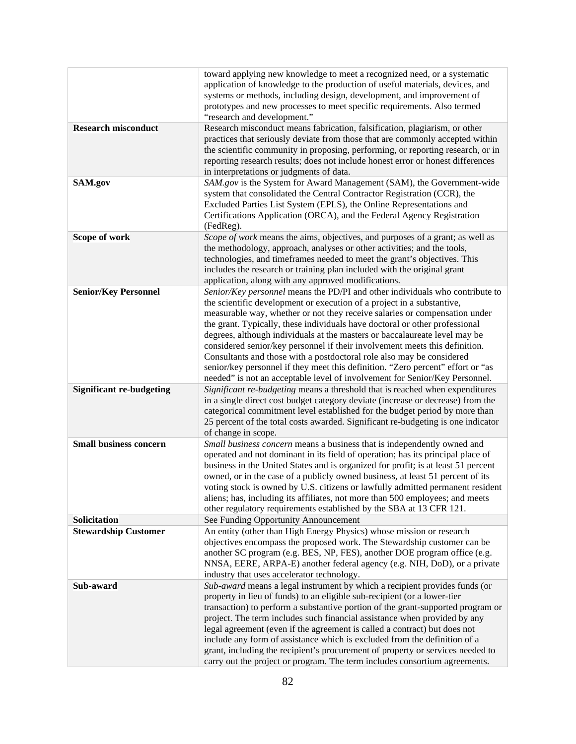|                                 | toward applying new knowledge to meet a recognized need, or a systematic<br>application of knowledge to the production of useful materials, devices, and<br>systems or methods, including design, development, and improvement of<br>prototypes and new processes to meet specific requirements. Also termed<br>"research and development."                                                                                                                                                                                                                                                                                                                                                                                 |
|---------------------------------|-----------------------------------------------------------------------------------------------------------------------------------------------------------------------------------------------------------------------------------------------------------------------------------------------------------------------------------------------------------------------------------------------------------------------------------------------------------------------------------------------------------------------------------------------------------------------------------------------------------------------------------------------------------------------------------------------------------------------------|
| <b>Research misconduct</b>      | Research misconduct means fabrication, falsification, plagiarism, or other<br>practices that seriously deviate from those that are commonly accepted within<br>the scientific community in proposing, performing, or reporting research, or in<br>reporting research results; does not include honest error or honest differences<br>in interpretations or judgments of data.                                                                                                                                                                                                                                                                                                                                               |
| SAM.gov                         | SAM.gov is the System for Award Management (SAM), the Government-wide<br>system that consolidated the Central Contractor Registration (CCR), the<br>Excluded Parties List System (EPLS), the Online Representations and<br>Certifications Application (ORCA), and the Federal Agency Registration<br>(FedReg).                                                                                                                                                                                                                                                                                                                                                                                                              |
| Scope of work                   | Scope of work means the aims, objectives, and purposes of a grant; as well as<br>the methodology, approach, analyses or other activities; and the tools,<br>technologies, and timeframes needed to meet the grant's objectives. This<br>includes the research or training plan included with the original grant<br>application, along with any approved modifications.                                                                                                                                                                                                                                                                                                                                                      |
| <b>Senior/Key Personnel</b>     | Senior/Key personnel means the PD/PI and other individuals who contribute to<br>the scientific development or execution of a project in a substantive,<br>measurable way, whether or not they receive salaries or compensation under<br>the grant. Typically, these individuals have doctoral or other professional<br>degrees, although individuals at the masters or baccalaureate level may be<br>considered senior/key personnel if their involvement meets this definition.<br>Consultants and those with a postdoctoral role also may be considered<br>senior/key personnel if they meet this definition. "Zero percent" effort or "as<br>needed" is not an acceptable level of involvement for Senior/Key Personnel. |
| <b>Significant re-budgeting</b> | Significant re-budgeting means a threshold that is reached when expenditures<br>in a single direct cost budget category deviate (increase or decrease) from the<br>categorical commitment level established for the budget period by more than<br>25 percent of the total costs awarded. Significant re-budgeting is one indicator<br>of change in scope.                                                                                                                                                                                                                                                                                                                                                                   |
| <b>Small business concern</b>   | Small business concern means a business that is independently owned and<br>operated and not dominant in its field of operation; has its principal place of<br>business in the United States and is organized for profit; is at least 51 percent<br>owned, or in the case of a publicly owned business, at least 51 percent of its<br>voting stock is owned by U.S. citizens or lawfully admitted permanent resident<br>aliens; has, including its affiliates, not more than 500 employees; and meets<br>other regulatory requirements established by the SBA at 13 CFR 121.                                                                                                                                                 |
| Solicitation                    | See Funding Opportunity Announcement                                                                                                                                                                                                                                                                                                                                                                                                                                                                                                                                                                                                                                                                                        |
| <b>Stewardship Customer</b>     | An entity (other than High Energy Physics) whose mission or research<br>objectives encompass the proposed work. The Stewardship customer can be<br>another SC program (e.g. BES, NP, FES), another DOE program office (e.g.<br>NNSA, EERE, ARPA-E) another federal agency (e.g. NIH, DoD), or a private<br>industry that uses accelerator technology.                                                                                                                                                                                                                                                                                                                                                                       |
| Sub-award                       | Sub-award means a legal instrument by which a recipient provides funds (or<br>property in lieu of funds) to an eligible sub-recipient (or a lower-tier<br>transaction) to perform a substantive portion of the grant-supported program or<br>project. The term includes such financial assistance when provided by any<br>legal agreement (even if the agreement is called a contract) but does not<br>include any form of assistance which is excluded from the definition of a<br>grant, including the recipient's procurement of property or services needed to<br>carry out the project or program. The term includes consortium agreements.                                                                            |